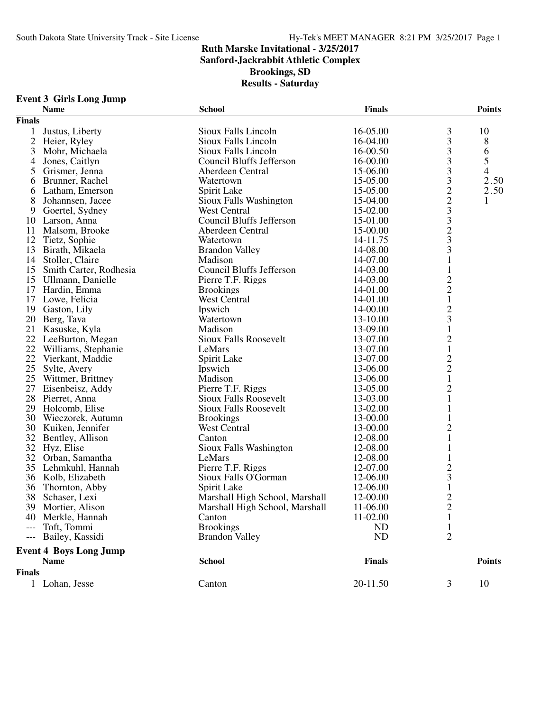**Sanford-Jackrabbit Athletic Complex**

**Brookings, SD**

#### **Results - Saturday**

|               | <b>Name</b>                   | <b>School</b>                   | <b>Finals</b> |                         | <b>Points</b>  |
|---------------|-------------------------------|---------------------------------|---------------|-------------------------|----------------|
| <b>Finals</b> |                               |                                 |               |                         |                |
| 1             | Justus, Liberty               | Sioux Falls Lincoln             | 16-05.00      | 3                       | 10             |
|               | 2 Heier, Ryley                | Sioux Falls Lincoln             | 16-04.00      | 3                       | 8              |
| 3             | Mohr, Michaela                | Sioux Falls Lincoln             | 16-00.50      | 3                       | 6              |
| 4             | Jones, Caitlyn                | Council Bluffs Jefferson        | 16-00.00      | 3                       | 5              |
| 5             | Grismer, Jenna                | Aberdeen Central                | 15-06.00      | 3                       | $\overline{4}$ |
| 6             | Brunner, Rachel               | Watertown                       | 15-05.00      | 3                       | 2.50           |
| 6             | Latham, Emerson               | Spirit Lake                     | 15-05.00      |                         | 2.50           |
| 8             | Johannsen, Jacee              | Sioux Falls Washington          | 15-04.00      |                         | 1              |
| 9             | Goertel, Sydney               | West Central                    | 15-02.00      |                         |                |
|               | 10 Larson, Anna               | Council Bluffs Jefferson        | 15-01.00      | $223$<br>$323$          |                |
| 11            | Malsom, Brooke                | Aberdeen Central                | 15-00.00      |                         |                |
| 12            | Tietz, Sophie                 | Watertown                       | 14-11.75      |                         |                |
| 13            | Birath, Mikaela               | <b>Brandon Valley</b>           | 14-08.00      | 3                       |                |
|               | 14 Stoller, Claire            | Madison                         | 14-07.00      | $\mathbf 1$             |                |
|               | 15 Smith Carter, Rodhesia     | <b>Council Bluffs Jefferson</b> | 14-03.00      | $\mathbf{1}$            |                |
|               |                               |                                 |               |                         |                |
|               | 15 Ullmann, Danielle          | Pierre T.F. Riggs               | 14-03.00      | $\frac{2}{2}$           |                |
|               | 17 Hardin, Emma               | <b>Brookings</b>                | 14-01.00      |                         |                |
| 17            | Lowe, Felicia                 | <b>West Central</b>             | 14-01.00      | $\mathbf{1}$            |                |
|               | 19 Gaston, Lily               | Ipswich                         | 14-00.00      | $\frac{2}{3}$           |                |
|               | 20 Berg, Tava                 | Watertown                       | 13-10.00      |                         |                |
|               | 21 Kasuske, Kyla              | Madison                         | 13-09.00      | $\mathbf{1}$            |                |
|               | 22 LeeBurton, Megan           | <b>Sioux Falls Roosevelt</b>    | 13-07.00      | $\frac{2}{1}$           |                |
|               | 22 Williams, Stephanie        | LeMars                          | 13-07.00      |                         |                |
| 22            | Vierkant, Maddie              | Spirit Lake                     | 13-07.00      | $\frac{2}{2}$           |                |
| 25            | Sylte, Avery                  | Ipswich                         | 13-06.00      |                         |                |
|               | 25 Wittmer, Brittney          | Madison                         | 13-06.00      | $\mathbf 1$             |                |
| 27            | Eisenbeisz, Addy              | Pierre T.F. Riggs               | 13-05.00      | $\overline{\mathbf{c}}$ |                |
|               | 28 Pierret, Anna              | <b>Sioux Falls Roosevelt</b>    | 13-03.00      | $\mathbf{1}$            |                |
|               | 29 Holcomb, Elise             | <b>Sioux Falls Roosevelt</b>    | 13-02.00      | 1                       |                |
|               | 30 Wieczorek, Autumn          | <b>Brookings</b>                | 13-00.00      | 1                       |                |
|               | 30 Kuiken, Jennifer           | West Central                    | 13-00.00      | $\overline{c}$          |                |
|               | 32 Bentley, Allison           | Canton                          | 12-08.00      | $\mathbf 1$             |                |
|               | 32 Hyz, Elise                 | Sioux Falls Washington          | 12-08.00      | 1                       |                |
|               | 32 Orban, Samantha            | LeMars                          | 12-08.00      |                         |                |
|               | 35 Lehmkuhl, Hannah           | Pierre T.F. Riggs               | 12-07.00      |                         |                |
|               | 36 Kolb, Elizabeth            | Sioux Falls O'Gorman            | 12-06.00      | $\frac{2}{3}$           |                |
| 36            | Thornton, Abby                | Spirit Lake                     | 12-06.00      | $\mathbf{1}$            |                |
|               | 38 Schaser, Lexi              | Marshall High School, Marshall  | 12-00.00      | $\overline{c}$          |                |
|               | 39 Mortier, Alison            | Marshall High School, Marshall  | 11-06.00      | $\overline{c}$          |                |
|               | 40 Merkle, Hannah             | Canton                          | 11-02.00      | 1                       |                |
|               | --- Toft, Tommi               | <b>Brookings</b>                | <b>ND</b>     |                         |                |
|               |                               |                                 | <b>ND</b>     | $\overline{2}$          |                |
|               | --- Bailey, Kassidi           | <b>Brandon Valley</b>           |               |                         |                |
|               | <b>Event 4 Boys Long Jump</b> |                                 |               |                         |                |
|               | <b>Name</b>                   | <b>School</b>                   | <b>Finals</b> |                         | <b>Points</b>  |
| <b>Finals</b> |                               |                                 |               |                         |                |

## **Event 3 Girls Long Jump**

1 Lohan, Jesse Canton Canton 20-11.50 3 10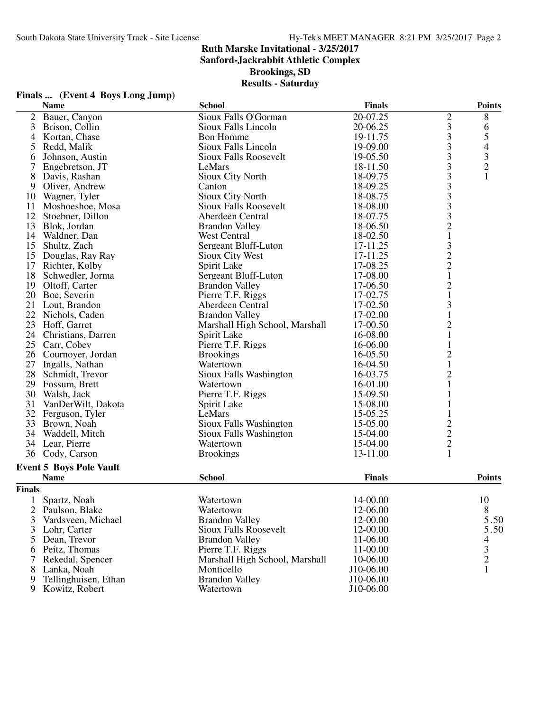## **Ruth Marske Invitational - 3/25/2017 Sanford-Jackrabbit Athletic Complex**

**Brookings, SD**

|                | Finals  (Event 4 Boys Long Jump) |                                |               |                                                 |               |
|----------------|----------------------------------|--------------------------------|---------------|-------------------------------------------------|---------------|
|                | <b>Name</b>                      | <b>School</b>                  | <b>Finals</b> |                                                 | <b>Points</b> |
| $\overline{2}$ | Bauer, Canyon                    | Sioux Falls O'Gorman           | 20-07.25      | $\overline{c}$                                  | 8             |
| 3              | Brison, Collin                   | Sioux Falls Lincoln            | 20-06.25      |                                                 | 6             |
| 4              | Kortan, Chase                    | <b>Bon Homme</b>               | 19-11.75      | $\frac{3}{3}$                                   |               |
| 5              | Redd, Malik                      | Sioux Falls Lincoln            | 19-09.00      | 3                                               | 54321         |
| 6              | Johnson, Austin                  | <b>Sioux Falls Roosevelt</b>   | 19-05.50      |                                                 |               |
| $\tau$         | Engebretson, JT                  | LeMars                         | 18-11.50      | $\frac{3}{3}$                                   |               |
| 8              | Davis, Rashan                    | Sioux City North               | 18-09.75      | 3                                               |               |
| 9              | Oliver, Andrew                   | Canton                         | 18-09.25      |                                                 |               |
|                | 10 Wagner, Tyler                 | Sioux City North               | 18-08.75      | $\begin{array}{c} 3 \\ 3 \\ 3 \\ 2 \end{array}$ |               |
| 11             | Moshoeshoe, Mosa                 | <b>Sioux Falls Roosevelt</b>   | 18-08.00      |                                                 |               |
|                | 12 Stoebner, Dillon              | Aberdeen Central               | 18-07.75      |                                                 |               |
| 13             | Blok, Jordan                     | <b>Brandon Valley</b>          | 18-06.50      |                                                 |               |
|                | 14 Waldner, Dan                  | <b>West Central</b>            | 18-02.50      | $\,1\,$                                         |               |
| 15             | Shultz, Zach                     | Sergeant Bluff-Luton           | 17-11.25      |                                                 |               |
|                | 15 Douglas, Ray Ray              | Sioux City West                | 17-11.25      | $\begin{array}{c} 3 \\ 2 \\ 2 \\ 1 \end{array}$ |               |
|                | 17 Richter, Kolby                | Spirit Lake                    | 17-08.25      |                                                 |               |
| 18             | Schwedler, Jorma                 | Sergeant Bluff-Luton           | 17-08.00      |                                                 |               |
| 19             | Oltoff, Carter                   | <b>Brandon Valley</b>          | 17-06.50      | $\overline{c}$                                  |               |
| 20             | Boe, Severin                     | Pierre T.F. Riggs              | 17-02.75      | $\mathbf 1$                                     |               |
| 21             | Lout, Brandon                    | Aberdeen Central               | 17-02.50      | 3                                               |               |
| 22             | Nichols, Caden                   | <b>Brandon Valley</b>          | 17-02.00      | $\mathbbm{1}$                                   |               |
| 23             | Hoff, Garret                     | Marshall High School, Marshall | 17-00.50      | $\sqrt{2}$                                      |               |
|                | 24 Christians, Darren            | Spirit Lake                    | 16-08.00      | $\mathbf{1}$                                    |               |
| 25             | Carr, Cobey                      | Pierre T.F. Riggs              | 16-06.00      | $\mathbf{1}$                                    |               |
|                | 26 Cournoyer, Jordan             | <b>Brookings</b>               | 16-05.50      | $\overline{c}$                                  |               |
| 27             | Ingalls, Nathan                  | Watertown                      | 16-04.50      | $\mathbf 1$                                     |               |
|                | 28 Schmidt, Trevor               | Sioux Falls Washington         | 16-03.75      | $\overline{\mathbf{c}}$                         |               |
|                | 29 Fossum, Brett                 | Watertown                      | 16-01.00      | $\mathbf{1}$                                    |               |
|                | 30 Walsh, Jack                   | Pierre T.F. Riggs              | 15-09.50      |                                                 |               |
| 31             | VanDerWilt, Dakota               | Spirit Lake                    | 15-08.00      |                                                 |               |
|                | 32 Ferguson, Tyler               | LeMars                         | 15-05.25      | $\mathbf{1}$                                    |               |
| 33             | Brown, Noah                      | Sioux Falls Washington         | 15-05.00      |                                                 |               |
| 34             | Waddell, Mitch                   | Sioux Falls Washington         | 15-04.00      |                                                 |               |
|                | 34 Lear, Pierre                  | Watertown                      | 15-04.00      |                                                 |               |
|                | 36 Cody, Carson                  | <b>Brookings</b>               | 13-11.00      | $\begin{array}{c} 2 \\ 2 \\ 2 \\ 1 \end{array}$ |               |
|                |                                  |                                |               |                                                 |               |
|                | <b>Event 5 Boys Pole Vault</b>   |                                |               |                                                 |               |
|                | <b>Name</b>                      | <b>School</b>                  | <b>Finals</b> |                                                 | <b>Points</b> |
| <b>Finals</b>  |                                  |                                |               |                                                 |               |
| 1              | Spartz, Noah                     | Watertown                      | 14-00.00      |                                                 | 10            |
| 2              | Paulson, Blake                   | Watertown                      | 12-06.00      |                                                 | 8             |
| 3              | Vardsveen, Michael               | <b>Brandon Valley</b>          | 12-00.00      |                                                 | 5.50          |
| 3              | Lohr, Carter                     | Sioux Falls Roosevelt          | 12-00.00      |                                                 | 5.50          |
| 5              | Dean, Trevor                     | <b>Brandon Valley</b>          | 11-06.00      |                                                 | 4             |
| 6              | Peitz, Thomas                    | Pierre T.F. Riggs              | 11-00.00      |                                                 |               |
| 7              | Rekedal, Spencer                 | Marshall High School, Marshall | 10-06.00      |                                                 | $\frac{3}{2}$ |
| 8              | Lanka, Noah                      | Monticello                     | J10-06.00     |                                                 | 1             |
| 9              | Tellinghuisen, Ethan             | <b>Brandon Valley</b>          | J10-06.00     |                                                 |               |
| 9              | Kowitz, Robert                   | Watertown                      | J10-06.00     |                                                 |               |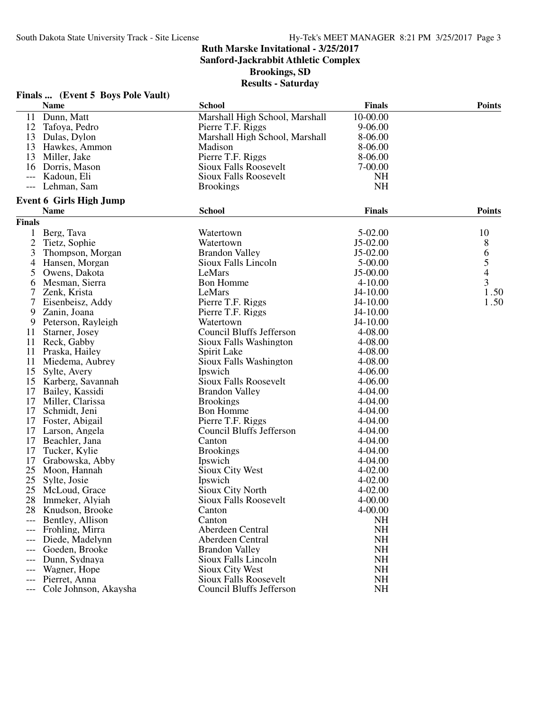**Sanford-Jackrabbit Athletic Complex**

**Brookings, SD**

|                     | Finals  (Event 5 Boys Pole Vault) |                                |               |               |
|---------------------|-----------------------------------|--------------------------------|---------------|---------------|
|                     | <b>Name</b>                       | <b>School</b>                  | <b>Finals</b> | <b>Points</b> |
| 11                  | Dunn, Matt                        | Marshall High School, Marshall | 10-00.00      |               |
| 12                  | Tafoya, Pedro                     | Pierre T.F. Riggs              | $9 - 06.00$   |               |
|                     | 13 Dulas, Dylon                   | Marshall High School, Marshall | 8-06.00       |               |
|                     | 13 Hawkes, Ammon                  | Madison                        | 8-06.00       |               |
| 13                  | Miller, Jake                      | Pierre T.F. Riggs              | 8-06.00       |               |
| 16                  | Dorris, Mason                     | <b>Sioux Falls Roosevelt</b>   | 7-00.00       |               |
| $\qquad \qquad - -$ | Kadoun, Eli                       | <b>Sioux Falls Roosevelt</b>   | <b>NH</b>     |               |
|                     | Lehman, Sam                       | <b>Brookings</b>               | <b>NH</b>     |               |
|                     | <b>Event 6 Girls High Jump</b>    |                                |               |               |
|                     | <b>Name</b>                       | <b>School</b>                  | <b>Finals</b> | <b>Points</b> |
| <b>Finals</b>       |                                   |                                |               |               |
| 1                   | Berg, Tava                        | Watertown                      | 5-02.00       | 10            |
| $\overline{c}$      | Tietz, Sophie                     | Watertown                      | $J5-02.00$    | 8             |
| 3                   | Thompson, Morgan                  | <b>Brandon Valley</b>          | $J5-02.00$    |               |
| 4                   | Hansen, Morgan                    | Sioux Falls Lincoln            | $5 - 00.00$   | $rac{6}{5}$   |
| 5                   | Owens, Dakota                     | LeMars                         | J5-00.00      |               |
| 6                   | Mesman, Sierra                    | <b>Bon Homme</b>               | $4 - 10.00$   | 3             |
| 7                   | Zenk, Krista                      | LeMars                         | J4-10.00      | 1.50          |
| 7                   | Eisenbeisz, Addy                  | Pierre T.F. Riggs              | $J4-10.00$    | 1.50          |
| 9                   | Zanin, Joana                      | Pierre T.F. Riggs              | $J4-10.00$    |               |
| 9                   | Peterson, Rayleigh                | Watertown                      | J4-10.00      |               |
| 11                  | Starner, Josey                    | Council Bluffs Jefferson       | 4-08.00       |               |
| 11                  | Reck, Gabby                       | Sioux Falls Washington         | 4-08.00       |               |
| 11                  | Praska, Hailey                    | Spirit Lake                    | 4-08.00       |               |
| 11                  | Miedema, Aubrey                   | Sioux Falls Washington         | 4-08.00       |               |
| 15                  | Sylte, Avery                      | Ipswich                        | 4-06.00       |               |
| 15                  | Karberg, Savannah                 | <b>Sioux Falls Roosevelt</b>   | $4 - 06.00$   |               |
| 17                  | Bailey, Kassidi                   | <b>Brandon Valley</b>          | 4-04.00       |               |
| 17                  | Miller, Clarissa                  | <b>Brookings</b>               | 4-04.00       |               |
| 17                  | Schmidt, Jeni                     | <b>Bon Homme</b>               | 4-04.00       |               |
| 17                  | Foster, Abigail                   | Pierre T.F. Riggs              | 4-04.00       |               |
| 17                  | Larson, Angela                    | Council Bluffs Jefferson       | 4-04.00       |               |
| 17                  | Beachler, Jana                    | Canton                         | 4-04.00       |               |
| 17                  | Tucker, Kylie                     | <b>Brookings</b>               | 4-04.00       |               |
| 17                  | Grabowska, Abby                   | Ipswich                        | 4-04.00       |               |
| 25                  | Moon, Hannah                      | Sioux City West                | $4 - 02.00$   |               |
| 25                  | Sylte, Josie                      | Ipswich                        | $4 - 02.00$   |               |
| 25                  | McLoud, Grace                     | Sioux City North               | 4-02.00       |               |
| 28                  | Immeker, Alyiah                   | Sioux Falls Roosevelt          | $4 - 00.00$   |               |
|                     | 28 Knudson, Brooke                | Canton                         | $4 - 00.00$   |               |
| $---$               | Bentley, Allison                  | Canton                         | <b>NH</b>     |               |
| ---                 | Frohling, Mirra                   | Aberdeen Central               | <b>NH</b>     |               |
| ---                 | Diede, Madelynn                   | Aberdeen Central               | <b>NH</b>     |               |
| $---$               | Goeden, Brooke                    | <b>Brandon Valley</b>          | <b>NH</b>     |               |
| ---                 | Dunn, Sydnaya                     | Sioux Falls Lincoln            | <b>NH</b>     |               |
| ---                 | Wagner, Hope                      | Sioux City West                | <b>NH</b>     |               |
| $---$               | Pierret, Anna                     | <b>Sioux Falls Roosevelt</b>   | <b>NH</b>     |               |
| ---                 | Cole Johnson, Akaysha             | Council Bluffs Jefferson       | <b>NH</b>     |               |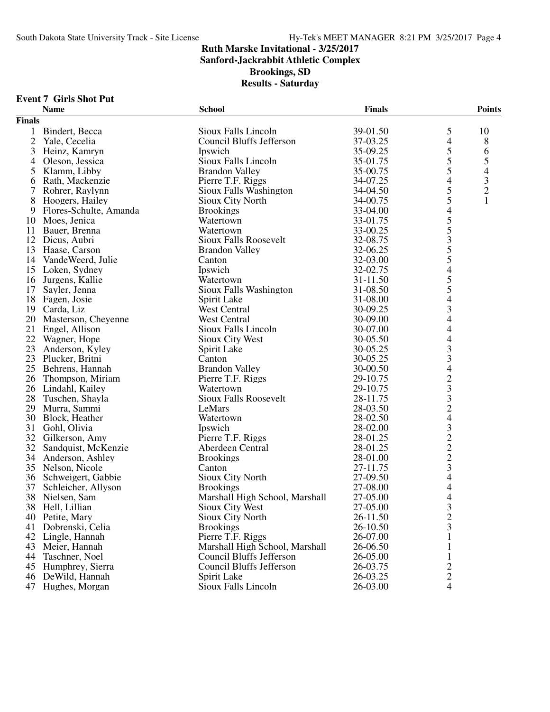**Sanford-Jackrabbit Athletic Complex**

**Brookings, SD**

| <b>Event 7 Girls Shot Put</b> |
|-------------------------------|
|                               |

|                | <b>Name</b>            | <b>School</b>                   | <b>Finals</b> |                                            | <b>Points</b>  |
|----------------|------------------------|---------------------------------|---------------|--------------------------------------------|----------------|
| <b>Finals</b>  |                        |                                 |               |                                            |                |
| $\mathbf{1}$   | Bindert, Becca         | Sioux Falls Lincoln             | 39-01.50      | 5                                          | 10             |
| $\overline{2}$ | Yale, Cecelia          | Council Bluffs Jefferson        | 37-03.25      | $\overline{\mathcal{L}}$                   | 8              |
| 3              | Heinz, Kamryn          | Ipswich                         | 35-09.25      | 5                                          | 6              |
| $\overline{4}$ | Oleson, Jessica        | Sioux Falls Lincoln             | 35-01.75      | 5                                          | 5              |
| 5              | Klamm, Libby           | <b>Brandon Valley</b>           | 35-00.75      | 5                                          | $\overline{4}$ |
| 6              | Rath, Mackenzie        | Pierre T.F. Riggs               | 34-07.25      | $\overline{\mathcal{L}}$                   | $\mathfrak{Z}$ |
| 7              | Rohrer, Raylynn        | Sioux Falls Washington          | 34-04.50      | 5                                          | $\overline{c}$ |
| 8              | Hoogers, Hailey        | Sioux City North                | 34-00.75      | 5                                          |                |
| 9              | Flores-Schulte, Amanda | <b>Brookings</b>                | 33-04.00      | 4                                          |                |
| 10             | Moes, Jenica           | Watertown                       | 33-01.75      | 5                                          |                |
| 11             | Bauer, Brenna          | Watertown                       | 33-00.25      | 5                                          |                |
| 12             | Dicus, Aubri           | <b>Sioux Falls Roosevelt</b>    | 32-08.75      | 3                                          |                |
|                | 13 Haase, Carson       | <b>Brandon Valley</b>           | 32-06.25      | 5                                          |                |
|                | 14 VandeWeerd, Julie   | Canton                          | 32-03.00      | 5                                          |                |
| 15             | Loken, Sydney          | Ipswich                         | 32-02.75      | $\overline{4}$                             |                |
| 16             | Jurgens, Kallie        | Watertown                       | 31-11.50      | 5                                          |                |
| 17             | Sayler, Jenna          | Sioux Falls Washington          | 31-08.50      | 5                                          |                |
| 18             | Fagen, Josie           | Spirit Lake                     | 31-08.00      | $\overline{4}$                             |                |
| 19             | Carda, Liz             | <b>West Central</b>             | 30-09.25      | 3                                          |                |
| 20             | Masterson, Cheyenne    | <b>West Central</b>             | 30-09.00      | 4                                          |                |
| 21             | Engel, Allison         | Sioux Falls Lincoln             | 30-07.00      | 4                                          |                |
| 22             | Wagner, Hope           | Sioux City West                 | 30-05.50      | $\overline{4}$                             |                |
| 23             | Anderson, Kyley        | Spirit Lake                     | 30-05.25      | 3                                          |                |
| 23             | Plucker, Britni        | Canton                          | 30-05.25      | 3                                          |                |
|                | 25 Behrens, Hannah     | <b>Brandon Valley</b>           | 30-00.50      | 4                                          |                |
| 26             | Thompson, Miriam       | Pierre T.F. Riggs               | 29-10.75      | $\frac{2}{3}$                              |                |
|                | 26 Lindahl, Kailey     | Watertown                       | 29-10.75      |                                            |                |
| 28             | Tuschen, Shayla        | <b>Sioux Falls Roosevelt</b>    | 28-11.75      | 3                                          |                |
| 29             | Murra, Sammi           | LeMars                          | 28-03.50      | $\overline{2}$                             |                |
| 30             | Block, Heather         | Watertown                       | 28-02.50      | $\overline{4}$                             |                |
| 31             | Gohl, Olivia           | Ipswich                         | 28-02.00      | $\begin{array}{c} 3 \\ 2 \\ 2 \end{array}$ |                |
|                | 32 Gilkerson, Amy      | Pierre T.F. Riggs               | 28-01.25      |                                            |                |
| 32             | Sandquist, McKenzie    | Aberdeen Central                | 28-01.25      |                                            |                |
| 34             | Anderson, Ashley       | <b>Brookings</b>                | 28-01.00      | $\frac{2}{3}$                              |                |
| 35             | Nelson, Nicole         | Canton                          | 27-11.75      |                                            |                |
|                | 36 Schweigert, Gabbie  | Sioux City North                | 27-09.50      | $\overline{\mathcal{A}}$                   |                |
| 37             | Schleicher, Allyson    | <b>Brookings</b>                | 27-08.00      | $\overline{\mathcal{L}}$                   |                |
| 38             | Nielsen, Sam           | Marshall High School, Marshall  | 27-05.00      | 4                                          |                |
|                | 38 Hell, Lillian       | Sioux City West                 | 27-05.00      | 3                                          |                |
| 40             | Petite, Mary           | Sioux City North                | 26-11.50      | $\overline{\mathbf{c}}$                    |                |
| 41             | Dobrenski, Celia       | <b>Brookings</b>                | 26-10.50      | 3                                          |                |
| 42             | Lingle, Hannah         | Pierre T.F. Riggs               | 26-07.00      |                                            |                |
| 43             | Meier, Hannah          | Marshall High School, Marshall  | 26-06.50      |                                            |                |
| 44             | Taschner, Noel         | Council Bluffs Jefferson        | 26-05.00      |                                            |                |
| 45             | Humphrey, Sierra       | <b>Council Bluffs Jefferson</b> | 26-03.75      | $\overline{c}$                             |                |
| 46             | DeWild, Hannah         | Spirit Lake                     | 26-03.25      | 2                                          |                |
| 47             | Hughes, Morgan         | Sioux Falls Lincoln             | 26-03.00      | $\overline{4}$                             |                |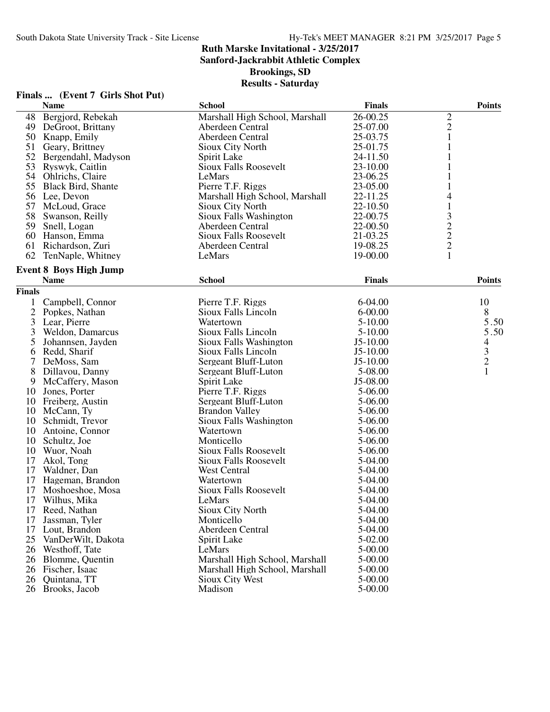**Sanford-Jackrabbit Athletic Complex**

**Brookings, SD**

|               | Finals  (Event 7 Girls Shot Put) |                                |               |                                            |
|---------------|----------------------------------|--------------------------------|---------------|--------------------------------------------|
|               | <b>Name</b>                      | <b>School</b>                  | <b>Finals</b> | <b>Points</b>                              |
| 48            | Bergjord, Rebekah                | Marshall High School, Marshall | 26-00.25      |                                            |
|               | 49 DeGroot, Brittany             | Aberdeen Central               | 25-07.00      | $\frac{2}{2}$                              |
|               | 50 Knapp, Emily                  | Aberdeen Central               | 25-03.75      | $\mathbf{1}$                               |
|               | 51 Geary, Brittney               | Sioux City North               | 25-01.75      | 1                                          |
|               | 52 Bergendahl, Madyson           | Spirit Lake                    | 24-11.50      |                                            |
|               | 53 Ryswyk, Caitlin               | <b>Sioux Falls Roosevelt</b>   | 23-10.00      |                                            |
|               | 54 Ohlrichs, Claire              | LeMars                         | 23-06.25      |                                            |
|               | 55 Black Bird, Shante            | Pierre T.F. Riggs              | 23-05.00      |                                            |
|               | 56 Lee, Devon                    | Marshall High School, Marshall | 22-11.25      | 4                                          |
|               | 57 McLoud, Grace                 | Sioux City North               | 22-10.50      | $\mathbf{1}$                               |
|               | 58 Swanson, Reilly               | Sioux Falls Washington         | 22-00.75      |                                            |
|               | 59 Snell, Logan                  | Aberdeen Central               | 22-00.50      | $\begin{array}{c} 3 \\ 2 \\ 2 \end{array}$ |
|               | 60 Hanson, Emma                  | Sioux Falls Roosevelt          | 21-03.25      |                                            |
|               | 61 Richardson, Zuri              | Aberdeen Central               | 19-08.25      |                                            |
|               | 62 TenNaple, Whitney             | LeMars                         | 19-00.00      | $\mathbf{1}$                               |
|               |                                  |                                |               |                                            |
|               | <b>Event 8 Boys High Jump</b>    |                                |               |                                            |
|               | <b>Name</b>                      | <b>School</b>                  | <b>Finals</b> | <b>Points</b>                              |
| <b>Finals</b> |                                  |                                |               |                                            |
| $\mathbf{1}$  | Campbell, Connor                 | Pierre T.F. Riggs              | $6-04.00$     | 10                                         |
|               | 2 Popkes, Nathan                 | Sioux Falls Lincoln            | $6 - 00.00$   | 8                                          |
| 3             | Lear, Pierre                     | Watertown                      | $5 - 10.00$   | 5.50                                       |
| 3             | Weldon, Damarcus                 | Sioux Falls Lincoln            | 5-10.00       | 5.50                                       |
| 5             | Johannsen, Jayden                | Sioux Falls Washington         | $J5-10.00$    | 4                                          |
| 6             | Redd, Sharif                     | Sioux Falls Lincoln            | $J5-10.00$    | $\frac{3}{2}$                              |
| 7             | DeMoss, Sam                      | Sergeant Bluff-Luton           | $J5-10.00$    |                                            |
| 8             | Dillavou, Danny                  | Sergeant Bluff-Luton           | 5-08.00       | $\mathbf{1}$                               |
| 9             | McCaffery, Mason                 | Spirit Lake                    | J5-08.00      |                                            |
|               | 10 Jones, Porter                 | Pierre T.F. Riggs              | 5-06.00       |                                            |
|               | 10 Freiberg, Austin              | Sergeant Bluff-Luton           | 5-06.00       |                                            |
|               | 10 McCann, Ty                    | <b>Brandon Valley</b>          | 5-06.00       |                                            |
| 10            | Schmidt, Trevor                  | Sioux Falls Washington         | 5-06.00       |                                            |
|               | 10 Antoine, Connor               | Watertown                      | 5-06.00       |                                            |
| 10            | Schultz, Joe                     | Monticello                     | 5-06.00       |                                            |
|               | 10 Wuor, Noah                    | <b>Sioux Falls Roosevelt</b>   | 5-06.00       |                                            |
| 17            | Akol, Tong                       | <b>Sioux Falls Roosevelt</b>   | 5-04.00       |                                            |
| 17            | Waldner, Dan                     | West Central                   | 5-04.00       |                                            |
| 17            | Hageman, Brandon                 | Watertown                      | 5-04.00       |                                            |
| 17            | Moshoeshoe, Mosa                 | Sioux Falls Roosevelt          | 5-04.00       |                                            |
|               | 17 Wilhus, Mika                  | LeMars                         | 5-04.00       |                                            |
|               | 17 Reed, Nathan                  | Sioux City North               | 5-04.00       |                                            |
| 17            | Jassman, Tyler                   | Monticello                     | 5-04.00       |                                            |
|               | 17 Lout, Brandon                 | Aberdeen Central               | 5-04.00       |                                            |
|               | 25 VanDerWilt, Dakota            | Spirit Lake                    | 5-02.00       |                                            |
|               | 26 Westhoff, Tate                | LeMars                         | 5-00.00       |                                            |
|               | 26 Blomme, Quentin               | Marshall High School, Marshall | 5-00.00       |                                            |
|               | 26 Fischer, Isaac                | Marshall High School, Marshall | $5-00.00$     |                                            |
|               | 26 Quintana, TT                  | Sioux City West                | 5-00.00       |                                            |
|               | 26 Brooks, Jacob                 | Madison                        | 5-00.00       |                                            |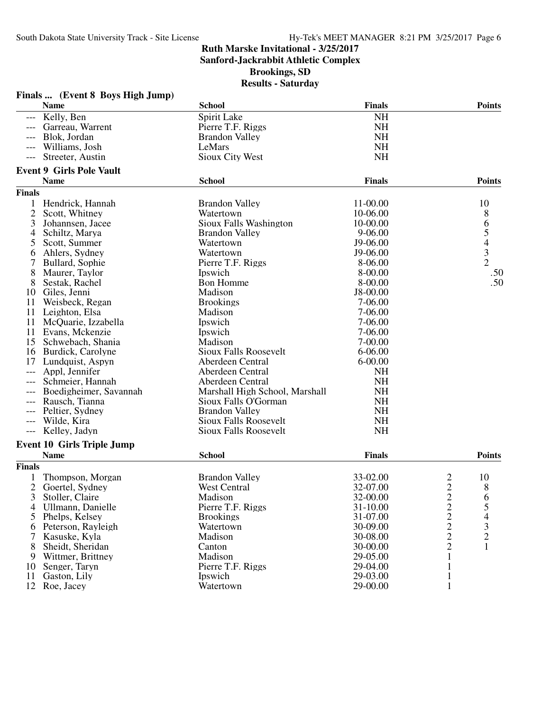**Sanford-Jackrabbit Athletic Complex**

**Brookings, SD**

|               | Finals  (Event 8 Boys High Jump)                 |                                |                      |                                           |                                            |
|---------------|--------------------------------------------------|--------------------------------|----------------------|-------------------------------------------|--------------------------------------------|
|               | <b>Name</b>                                      | <b>School</b>                  | <b>Finals</b>        |                                           | <b>Points</b>                              |
| $---$         | Kelly, Ben                                       | Spirit Lake                    | <b>NH</b>            |                                           |                                            |
| $---$         | Garreau, Warrent                                 | Pierre T.F. Riggs              | <b>NH</b>            |                                           |                                            |
|               | Blok, Jordan                                     | <b>Brandon Valley</b>          | <b>NH</b>            |                                           |                                            |
|               | Williams, Josh                                   | LeMars                         | <b>NH</b>            |                                           |                                            |
|               | Streeter, Austin                                 | Sioux City West                | <b>NH</b>            |                                           |                                            |
|               | <b>Event 9 Girls Pole Vault</b>                  |                                |                      |                                           |                                            |
|               | <b>Name</b>                                      | <b>School</b>                  | <b>Finals</b>        |                                           | <b>Points</b>                              |
| <b>Finals</b> |                                                  |                                |                      |                                           |                                            |
| 1             | Hendrick, Hannah                                 | <b>Brandon Valley</b>          | 11-00.00             |                                           | 10                                         |
| 2             | Scott, Whitney                                   | Watertown                      | 10-06.00             |                                           | 8                                          |
| 3             | Johannsen, Jacee                                 | Sioux Falls Washington         | 10-00.00             |                                           |                                            |
| 4             | Schiltz, Marya                                   | <b>Brandon Valley</b>          | $9 - 06.00$          |                                           |                                            |
| 5             | Scott, Summer                                    | Watertown                      | J9-06.00             |                                           | 65432                                      |
| 6             | Ahlers, Sydney                                   | Watertown                      | J9-06.00             |                                           |                                            |
| 7             | Bullard, Sophie                                  | Pierre T.F. Riggs              | 8-06.00              |                                           |                                            |
| 8             | Maurer, Taylor                                   | Ipswich                        | 8-00.00              |                                           | .50                                        |
| 8             | Sestak, Rachel                                   | <b>Bon Homme</b>               | 8-00.00              |                                           | .50                                        |
| 10            | Giles, Jenni                                     | Madison                        | J8-00.00             |                                           |                                            |
| 11            | Weisbeck, Regan                                  | <b>Brookings</b>               | 7-06.00              |                                           |                                            |
| 11            | Leighton, Elsa                                   | Madison                        | 7-06.00              |                                           |                                            |
| 11            | McQuarie, Izzabella                              | Ipswich                        | 7-06.00              |                                           |                                            |
| 11            | Evans, Mckenzie                                  | Ipswich                        | 7-06.00              |                                           |                                            |
| 15            | Schwebach, Shania                                | Madison                        | 7-00.00              |                                           |                                            |
| 16            | Burdick, Carolyne                                | <b>Sioux Falls Roosevelt</b>   | 6-06.00              |                                           |                                            |
| 17            | Lundquist, Aspyn                                 | Aberdeen Central               | $6 - 00.00$          |                                           |                                            |
| ---           | Appl, Jennifer                                   | Aberdeen Central               | <b>NH</b>            |                                           |                                            |
|               | Schmeier, Hannah                                 | Aberdeen Central               | <b>NH</b>            |                                           |                                            |
|               | Boedigheimer, Savannah                           | Marshall High School, Marshall | <b>NH</b>            |                                           |                                            |
| $---$         | Rausch, Tianna                                   | Sioux Falls O'Gorman           | <b>NH</b>            |                                           |                                            |
|               | Peltier, Sydney                                  | <b>Brandon Valley</b>          | <b>NH</b>            |                                           |                                            |
| $---$         | Wilde, Kira                                      | <b>Sioux Falls Roosevelt</b>   | <b>NH</b>            |                                           |                                            |
| $---$         | Kelley, Jadyn                                    | <b>Sioux Falls Roosevelt</b>   | <b>NH</b>            |                                           |                                            |
|               |                                                  |                                |                      |                                           |                                            |
|               | <b>Event 10 Girls Triple Jump</b><br><b>Name</b> | <b>School</b>                  | <b>Finals</b>        |                                           | <b>Points</b>                              |
| <b>Finals</b> |                                                  |                                |                      |                                           |                                            |
|               | Thompson, Morgan                                 | <b>Brandon Valley</b>          | 33-02.00             | 2                                         | 10                                         |
| 2             | Goertel, Sydney                                  | West Central                   | 32-07.00             | $\overline{2}$                            | 8                                          |
| 3             | Stoller, Claire                                  | Madison                        | 32-00.00             |                                           | 6                                          |
| 4             | Ullmann, Danielle                                | Pierre T.F. Riggs              | 31-10.00             |                                           | 5                                          |
| 5             | Phelps, Kelsey                                   | <b>Brookings</b>               | 31-07.00             | $\frac{2}{2}$ $\frac{2}{2}$ $\frac{2}{2}$ |                                            |
|               | Peterson, Rayleigh                               | Watertown                      | 30-09.00             |                                           | $\begin{array}{c} 4 \\ 3 \\ 2 \end{array}$ |
| 6             |                                                  |                                |                      |                                           |                                            |
| 7             | Kasuske, Kyla                                    | Madison                        | 30-08.00             |                                           |                                            |
| 8             | Sheidt, Sheridan                                 | Canton<br>Madison              | 30-00.00             | $\mathbf{1}$                              | 1                                          |
| 9             | Wittmer, Brittney                                |                                | 29-05.00             |                                           |                                            |
| 10            | Senger, Taryn                                    | Pierre T.F. Riggs              | 29-04.00<br>29-03.00 | $\mathbf{1}$                              |                                            |
| 11            | Gaston, Lily                                     | Ipswich                        |                      | $\mathbf{1}$                              |                                            |
|               | 12 Roe, Jacey                                    | Watertown                      | 29-00.00             | $\mathbf{1}$                              |                                            |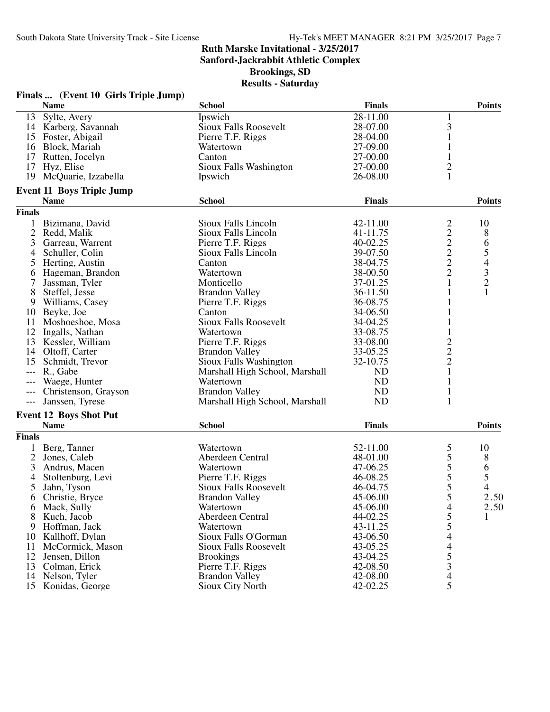**Sanford-Jackrabbit Athletic Complex**

**Brookings, SD**

|                | Finals  (Event 10 Girls Triple Jump) |                                |               |                                                   |                |
|----------------|--------------------------------------|--------------------------------|---------------|---------------------------------------------------|----------------|
|                | <b>Name</b>                          | <b>School</b>                  | <b>Finals</b> |                                                   | <b>Points</b>  |
| 13             | Sylte, Avery                         | Ipswich                        | 28-11.00      | 1                                                 |                |
|                | 14 Karberg, Savannah                 | <b>Sioux Falls Roosevelt</b>   | 28-07.00      | 3                                                 |                |
|                | 15 Foster, Abigail                   | Pierre T.F. Riggs              | 28-04.00      | 1                                                 |                |
|                | 16 Block, Mariah                     | Watertown                      | 27-09.00      | 1                                                 |                |
| 17             | Rutten, Jocelyn                      | Canton                         | 27-00.00      |                                                   |                |
|                | 17 Hyz, Elise                        | Sioux Falls Washington         | 27-00.00      | $\overline{c}$                                    |                |
|                | 19 McQuarie, Izzabella               | Ipswich                        | 26-08.00      | 1                                                 |                |
|                | <b>Event 11 Boys Triple Jump</b>     |                                |               |                                                   |                |
|                | <b>Name</b>                          | <b>School</b>                  | <b>Finals</b> |                                                   | <b>Points</b>  |
| <b>Finals</b>  |                                      |                                |               |                                                   |                |
| 1              | Bizimana, David                      | Sioux Falls Lincoln            | 42-11.00      | $\overline{c}$                                    | 10             |
| $\overline{2}$ | Redd, Malik                          | Sioux Falls Lincoln            | 41-11.75      |                                                   | 8              |
| 3              | Garreau, Warrent                     | Pierre T.F. Riggs              | 40-02.25      |                                                   |                |
| 4              | Schuller, Colin                      | Sioux Falls Lincoln            | 39-07.50      | $\begin{array}{c}\n2 \\ 2 \\ 2 \\ 2\n\end{array}$ | 65432          |
| 5              | Herting, Austin                      | Canton                         | 38-04.75      |                                                   |                |
| 6              | Hageman, Brandon                     | Watertown                      | 38-00.50      |                                                   |                |
| 7              | Jassman, Tyler                       | Monticello                     | 37-01.25      | $\mathbf{1}$                                      |                |
| 8              | Steffel, Jesse                       | <b>Brandon Valley</b>          | 36-11.50      | 1                                                 | $\mathbf{1}$   |
| 9              | Williams, Casey                      | Pierre T.F. Riggs              | 36-08.75      |                                                   |                |
|                | 10 Beyke, Joe                        | Canton                         | 34-06.50      |                                                   |                |
| 11             | Moshoeshoe, Mosa                     | Sioux Falls Roosevelt          | 34-04.25      | 1                                                 |                |
|                | 12 Ingalls, Nathan                   | Watertown                      | 33-08.75      | $\mathbf{1}$                                      |                |
|                | 13 Kessler, William                  | Pierre T.F. Riggs              | 33-08.00      | $\overline{c}$                                    |                |
| 14             | Oltoff, Carter                       | <b>Brandon Valley</b>          | 33-05.25      |                                                   |                |
| 15             | Schmidt, Trevor                      | Sioux Falls Washington         | 32-10.75      | $\frac{2}{2}$                                     |                |
|                | R., Gabe                             | Marshall High School, Marshall | <b>ND</b>     | $\mathbf{1}$                                      |                |
|                | Waege, Hunter                        | Watertown                      | <b>ND</b>     | 1                                                 |                |
|                | Christenson, Grayson                 | <b>Brandon Valley</b>          | ND            | $\mathbf{1}$                                      |                |
| $---$          | Janssen, Tyrese                      | Marshall High School, Marshall | <b>ND</b>     | $\mathbf{1}$                                      |                |
|                | <b>Event 12 Boys Shot Put</b>        |                                |               |                                                   |                |
|                | <b>Name</b>                          | <b>School</b>                  | <b>Finals</b> |                                                   | <b>Points</b>  |
| <b>Finals</b>  |                                      |                                |               |                                                   |                |
| $\mathbf{1}$   | Berg, Tanner                         | Watertown                      | 52-11.00      |                                                   | 10             |
| $\overline{2}$ | Jones, Caleb                         | Aberdeen Central               | 48-01.00      | $\frac{5}{5}$                                     | 8              |
| 3              | Andrus, Macen                        | Watertown                      | 47-06.25      | 5                                                 | 6              |
| 4              | Stoltenburg, Levi                    | Pierre T.F. Riggs              | 46-08.25      | 5                                                 | 5              |
| 5              | Jahn, Tyson                          | <b>Sioux Falls Roosevelt</b>   | 46-04.75      | 5                                                 | $\overline{4}$ |
| 6              | Christie, Bryce                      | <b>Brandon Valley</b>          | 45-06.00      | 5                                                 | 2.50           |
| 6              | Mack, Sully                          | Watertown                      | 45-06.00      |                                                   | 2.50           |
| 8              | Kuch, Jacob                          | Aberdeen Central               | 44-02.25      | $\frac{4}{5}$                                     | 1              |
| 9              | Hoffman, Jack                        | Watertown                      | 43-11.25      | 5                                                 |                |
|                | 10 Kallhoff, Dylan                   | Sioux Falls O'Gorman           | 43-06.50      | $\overline{\mathcal{L}}$                          |                |
| 11             | McCormick, Mason                     | <b>Sioux Falls Roosevelt</b>   | 43-05.25      |                                                   |                |
| 12             | Jensen, Dillon                       | <b>Brookings</b>               | 43-04.25      | $\frac{4}{5}$<br>$\frac{3}{4}$<br>$\frac{4}{5}$   |                |
| 13             | Colman, Erick                        | Pierre T.F. Riggs              | 42-08.50      |                                                   |                |
|                | 14 Nelson, Tyler                     | <b>Brandon Valley</b>          | 42-08.00      |                                                   |                |
| 15             | Konidas, George                      | Sioux City North               | 42-02.25      |                                                   |                |
|                |                                      |                                |               |                                                   |                |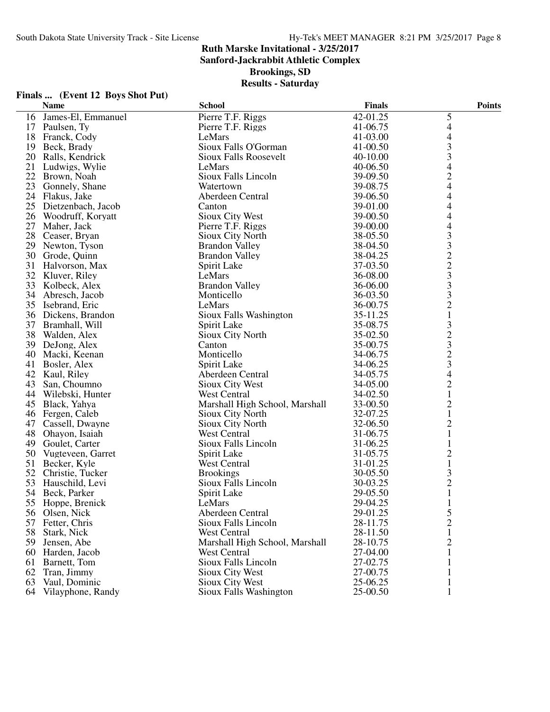**Sanford-Jackrabbit Athletic Complex**

**Brookings, SD**

|    | Finals  (Event 12 Boys Shot Put) |                                |               |                          |
|----|----------------------------------|--------------------------------|---------------|--------------------------|
|    | <b>Name</b>                      | <b>School</b>                  | <b>Finals</b> | <b>Points</b>            |
| 16 | James-El, Emmanuel               | Pierre T.F. Riggs              | 42-01.25      | 5                        |
| 17 | Paulsen, Ty                      | Pierre T.F. Riggs              | 41-06.75      | $\overline{4}$           |
| 18 | Franck, Cody                     | LeMars                         | 41-03.00      | $\overline{\mathcal{L}}$ |
| 19 | Beck, Brady                      | Sioux Falls O'Gorman           | 41-00.50      | 3                        |
| 20 | Ralls, Kendrick                  | Sioux Falls Roosevelt          | 40-10.00      | 3                        |
| 21 | Ludwigs, Wylie                   | LeMars                         | 40-06.50      | 4                        |
| 22 | Brown, Noah                      | Sioux Falls Lincoln            | 39-09.50      | $\overline{c}$           |
| 23 | Gonnely, Shane                   | Watertown                      | 39-08.75      | $\overline{4}$           |
|    | 24 Flakus, Jake                  | Aberdeen Central               | 39-06.50      | 4                        |
|    | 25 Dietzenbach, Jacob            | Canton                         | 39-01.00      | 4                        |
| 26 | Woodruff, Koryatt                | Sioux City West                | 39-00.50      | 4                        |
| 27 | Maher, Jack                      | Pierre T.F. Riggs              | 39-00.00      | 4                        |
| 28 | Ceaser, Bryan                    | Sioux City North               | 38-05.50      | 3                        |
| 29 | Newton, Tyson                    | <b>Brandon Valley</b>          | 38-04.50      | 3                        |
| 30 | Grode, Quinn                     | <b>Brandon Valley</b>          | 38-04.25      | $\sqrt{2}$               |
|    | 31 Halvorson, Max                | Spirit Lake                    | 37-03.50      | $\overline{c}$           |
|    | 32 Kluver, Riley                 | LeMars                         | 36-08.00      | 3                        |
| 33 | Kolbeck, Alex                    | <b>Brandon Valley</b>          | 36-06.00      | 3                        |
| 34 | Abresch, Jacob                   | Monticello                     | 36-03.50      | 3                        |
| 35 | Isebrand, Eric                   | LeMars                         | 36-00.75      | $\overline{2}$           |
|    | 36 Dickens, Brandon              | Sioux Falls Washington         | 35-11.25      | $\mathbf 1$              |
|    | 37 Bramhall, Will                | Spirit Lake                    | 35-08.75      | $\mathfrak{Z}$           |
|    | 38 Walden, Alex                  | Sioux City North               | 35-02.50      |                          |
| 39 | DeJong, Alex                     | Canton                         | 35-00.75      | $rac{2}{3}$              |
| 40 | Macki, Keenan                    | Monticello                     | 34-06.75      | $\overline{2}$           |
| 41 | Bosler, Alex                     | Spirit Lake                    | 34-06.25      | 3                        |
| 42 | Kaul, Riley                      | Aberdeen Central               | 34-05.75      | $\overline{\mathcal{L}}$ |
| 43 | San, Choumno                     | Sioux City West                | 34-05.00      | $\sqrt{2}$               |
| 44 | Wilebski, Hunter                 | <b>West Central</b>            | 34-02.50      | $\mathbf{1}$             |
| 45 | Black, Yahya                     | Marshall High School, Marshall | 33-00.50      | $\overline{c}$           |
| 46 | Fergen, Caleb                    | Sioux City North               | 32-07.25      | $\mathbf{1}$             |
| 47 | Cassell, Dwayne                  | Sioux City North               | 32-06.50      | $\mathbf{2}$             |
| 48 | Ohayon, Isaiah                   | West Central                   | 31-06.75      | $\mathbf{1}$             |
|    | 49 Goulet, Carter                | Sioux Falls Lincoln            | 31-06.25      | $\mathbf{1}$             |
| 50 | Vugteveen, Garret                | Spirit Lake                    | 31-05.75      | $\overline{c}$           |
| 51 | Becker, Kyle                     | West Central                   | 31-01.25      | $\mathbf{1}$             |
| 52 | Christie, Tucker                 | <b>Brookings</b>               | 30-05.50      | 3                        |
| 53 | Hauschild, Levi                  | Sioux Falls Lincoln            | 30-03.25      | $\overline{2}$           |
|    | 54 Beck, Parker                  | Spirit Lake                    | 29-05.50      | $\mathbf{1}$             |
|    | 55 Hoppe, Brenick                | LeMars                         | 29-04.25      | 1                        |
|    | 56 Olsen, Nick                   | Aberdeen Central               | 29-01.25      | 5                        |
|    | 57 Fetter, Chris                 | Sioux Falls Lincoln            | 28-11.75      | $\overline{2}$           |
| 58 | Stark, Nick                      | West Central                   | 28-11.50      | 1                        |
| 59 | Jensen, Abe                      | Marshall High School, Marshall | 28-10.75      | $\overline{2}$           |
|    | 60 Harden, Jacob                 | West Central                   | 27-04.00      | 1                        |
|    | 61 Barnett, Tom                  | Sioux Falls Lincoln            | 27-02.75      |                          |
|    | 62 Tran, Jimmy                   | <b>Sioux City West</b>         | 27-00.75      |                          |
| 63 | Vaul, Dominic                    | Sioux City West                | 25-06.25      | 1                        |
|    | 64 Vilayphone, Randy             | Sioux Falls Washington         | 25-00.50      | 1                        |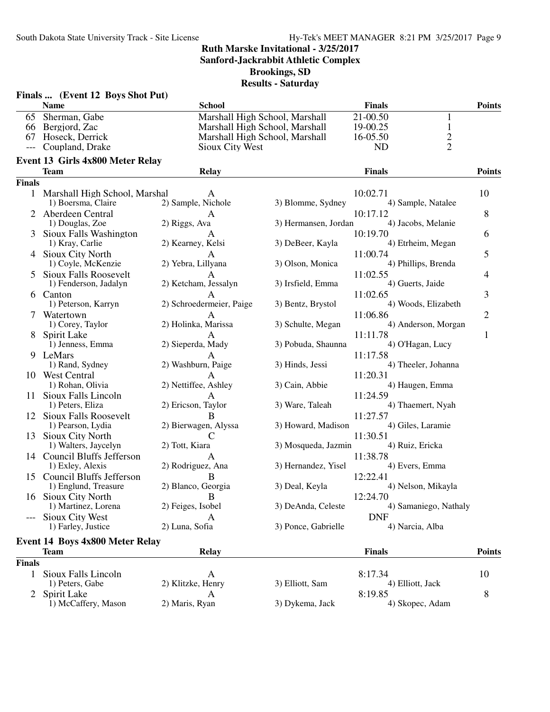**Sanford-Jackrabbit Athletic Complex**

**Brookings, SD**

|               | Finals  (Event 12 Boys Shot Put)        |                                |                      |                                 |                |
|---------------|-----------------------------------------|--------------------------------|----------------------|---------------------------------|----------------|
|               | <b>Name</b>                             | <b>School</b>                  |                      | <b>Finals</b>                   | <b>Points</b>  |
| 65            | Sherman, Gabe                           | Marshall High School, Marshall |                      | 21-00.50<br>1                   |                |
|               | 66 Bergjord, Zac                        | Marshall High School, Marshall |                      | $\mathbf{1}$<br>19-00.25        |                |
| 67            | Hoseck, Derrick                         | Marshall High School, Marshall |                      | $\mathbf{2}$<br>16-05.50        |                |
|               | Coupland, Drake                         | Sioux City West                |                      | $\overline{2}$<br><b>ND</b>     |                |
|               | <b>Event 13 Girls 4x800 Meter Relay</b> |                                |                      |                                 |                |
|               | <b>Team</b>                             | Relay                          |                      | <b>Finals</b>                   | <b>Points</b>  |
| <b>Finals</b> |                                         |                                |                      |                                 |                |
| $\mathbf{1}$  | Marshall High School, Marshal           |                                |                      | 10:02.71                        | 10             |
|               | 1) Boersma, Claire                      | 2) Sample, Nichole             | 3) Blomme, Sydney    | 4) Sample, Natalee              |                |
|               | Aberdeen Central                        | A                              |                      | 10:17.12                        | 8              |
|               | 1) Douglas, Zoe                         | 2) Riggs, Ava                  | 3) Hermansen, Jordan | 4) Jacobs, Melanie              |                |
| 3             | Sioux Falls Washington                  |                                |                      | 10:19.70                        | 6              |
|               | 1) Kray, Carlie                         | 2) Kearney, Kelsi              | 3) DeBeer, Kayla     | 4) Etrheim, Megan               |                |
| 4             | Sioux City North                        | A                              |                      | 11:00.74                        | 5              |
|               | 1) Coyle, McKenzie                      | 2) Yebra, Lillyana             | 3) Olson, Monica     | 4) Phillips, Brenda             |                |
| 5             | <b>Sioux Falls Roosevelt</b>            | A                              |                      | 11:02.55                        | 4              |
|               | 1) Fenderson, Jadalyn                   | 2) Ketcham, Jessalyn           | 3) Irsfield, Emma    | 4) Guerts, Jaide                |                |
|               | 6 Canton                                |                                |                      | 11:02.65                        | 3              |
|               | 1) Peterson, Karryn                     | 2) Schroedermeier, Paige       | 3) Bentz, Brystol    | 4) Woods, Elizabeth             |                |
| 7             | Watertown                               | A<br>2) Holinka, Marissa       | 3) Schulte, Megan    | 11:06.86<br>4) Anderson, Morgan | $\overline{2}$ |
|               | 1) Corey, Taylor                        |                                |                      |                                 |                |
| 8             | Spirit Lake<br>1) Jenness, Emma         | A<br>2) Sieperda, Mady         | 3) Pobuda, Shaunna   | 11:11.78<br>4) O'Hagan, Lucy    | $\mathbf{1}$   |
| 9             | LeMars                                  |                                |                      | 11:17.58                        |                |
|               | 1) Rand, Sydney                         | 2) Washburn, Paige             | 3) Hinds, Jessi      | 4) Theeler, Johanna             |                |
|               | 10 West Central                         |                                |                      | 11:20.31                        |                |
|               | 1) Rohan, Olivia                        | 2) Nettiffee, Ashley           | 3) Cain, Abbie       | 4) Haugen, Emma                 |                |
| 11            | Sioux Falls Lincoln                     | A                              |                      | 11:24.59                        |                |
|               | 1) Peters, Eliza                        | 2) Ericson, Taylor             | 3) Ware, Taleah      | 4) Thaemert, Nyah               |                |
| 12            | <b>Sioux Falls Roosevelt</b>            | B                              |                      | 11:27.57                        |                |
|               | 1) Pearson, Lydia                       | 2) Bierwagen, Alyssa           | 3) Howard, Madison   | 4) Giles, Laramie               |                |
| 13            | Sioux City North                        |                                |                      | 11:30.51                        |                |
|               | 1) Walters, Jaycelyn                    | 2) Tott, Kiara                 | 3) Mosqueda, Jazmin  | 4) Ruiz, Ericka                 |                |
|               | 14 Council Bluffs Jefferson             | A                              |                      | 11:38.78                        |                |
|               | 1) Exley, Alexis                        | 2) Rodriguez, Ana              | 3) Hernandez, Yisel  | 4) Evers, Emma                  |                |
| 15            | <b>Council Bluffs Jefferson</b>         | B                              |                      | 12:22.41                        |                |
|               | 1) Englund, Treasure                    | 2) Blanco, Georgia             | 3) Deal, Keyla       | 4) Nelson, Mikayla              |                |
|               | 16 Sioux City North                     | B                              |                      | 12:24.70                        |                |
|               | 1) Martinez, Lorena                     | 2) Feiges, Isobel              | 3) DeAnda, Celeste   | 4) Samaniego, Nathaly           |                |
|               | Sioux City West                         | A                              |                      | <b>DNF</b>                      |                |
|               | 1) Farley, Justice                      | 2) Luna, Sofia                 | 3) Ponce, Gabrielle  | 4) Narcia, Alba                 |                |
|               | <b>Event 14 Boys 4x800 Meter Relay</b>  |                                |                      |                                 |                |
|               | <b>Team</b>                             | Relay                          |                      | <b>Finals</b>                   | <b>Points</b>  |
| <b>Finals</b> |                                         |                                |                      |                                 |                |
| $\mathbf{1}$  | Sioux Falls Lincoln                     | A                              |                      | 8:17.34                         | 10             |
|               | 1) Peters, Gabe                         | 2) Klitzke, Henry              | 3) Elliott, Sam      | 4) Elliott, Jack                |                |
| 2             | Spirit Lake                             | A                              |                      | 8:19.85                         | 8              |
|               | 1) McCaffery, Mason                     | 2) Maris, Ryan                 | 3) Dykema, Jack      | 4) Skopec, Adam                 |                |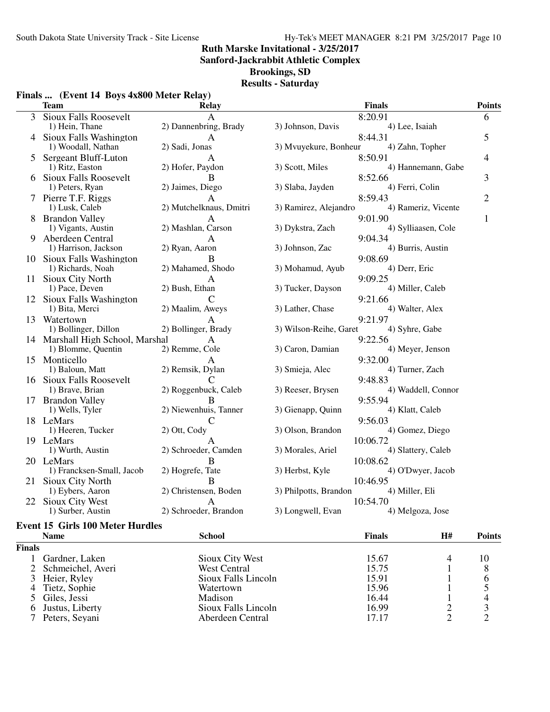**Sanford-Jackrabbit Athletic Complex**

**Brookings, SD**

## **Results - Saturday**

|    | <b>Team</b>                      | <b>Relay</b>                      | <b>Finals</b>                                  | <b>Points</b>  |
|----|----------------------------------|-----------------------------------|------------------------------------------------|----------------|
| 3  | <b>Sioux Falls Roosevelt</b>     | A                                 | 8:20.91                                        | 6              |
|    | 1) Hein, Thane                   | 2) Dannenbring, Brady             | 3) Johnson, Davis<br>4) Lee, Isaiah            |                |
|    | 4 Sioux Falls Washington         | А                                 | 8:44.31                                        | 5              |
|    | 1) Woodall, Nathan               | 2) Sadi, Jonas                    | 3) Mvuyekure, Bonheur<br>4) Zahn, Topher       |                |
|    | 5 Sergeant Bluff-Luton           | A                                 | 8:50.91                                        | $\overline{4}$ |
|    | 1) Ritz, Easton                  | 2) Hofer, Paydon                  | 3) Scott, Miles<br>4) Hannemann, Gabe          |                |
|    | <b>Sioux Falls Roosevelt</b>     | B                                 | 8:52.66                                        | 3              |
|    | 1) Peters, Ryan                  | 2) Jaimes, Diego                  | 4) Ferri, Colin<br>3) Slaba, Jayden            |                |
|    | 7 Pierre T.F. Riggs              |                                   | 8:59.43                                        | $\overline{2}$ |
|    | 1) Lusk, Caleb                   | 2) Mutchelknaus, Dmitri           | 3) Ramirez, Alejandro<br>4) Rameriz, Vicente   |                |
|    | <b>Brandon Valley</b>            | A                                 | 9:01.90                                        | 1              |
|    | 1) Vigants, Austin               | 2) Mashlan, Carson                | 3) Dykstra, Zach<br>4) Sylliaasen, Cole        |                |
| 9  | Aberdeen Central                 | A                                 | 9:04.34                                        |                |
|    | 1) Harrison, Jackson             | 2) Ryan, Aaron                    | 3) Johnson, Zac<br>4) Burris, Austin           |                |
| 10 | Sioux Falls Washington           | В                                 | 9:08.69                                        |                |
|    | 1) Richards, Noah                | 2) Mahamed, Shodo                 | 3) Mohamud, Ayub<br>4) Derr, Eric              |                |
|    | 11 Sioux City North              | A                                 | 9:09.25                                        |                |
|    | 1) Pace, Deven                   | 2) Bush, Ethan                    | 3) Tucker, Dayson<br>4) Miller, Caleb          |                |
| 12 | Sioux Falls Washington           | $\mathcal{C}$<br>2) Maalim, Aweys | 9:21.66<br>3) Lather, Chase<br>4) Walter, Alex |                |
|    | 1) Bita, Merci<br>Watertown      |                                   | 9:21.97                                        |                |
| 13 | 1) Bollinger, Dillon             | 2) Bollinger, Brady               | 3) Wilson-Reihe, Garet<br>4) Syhre, Gabe       |                |
|    | 14 Marshall High School, Marshal |                                   | 9:22.56                                        |                |
|    | 1) Blomme, Quentin               | 2) Remme, Cole                    | 3) Caron, Damian<br>4) Meyer, Jenson           |                |
|    | 15 Monticello                    | A                                 | 9:32.00                                        |                |
|    | 1) Baloun, Matt                  | 2) Remsik, Dylan                  | 4) Turner, Zach<br>3) Smieja, Alec             |                |
|    | 16 Sioux Falls Roosevelt         |                                   | 9:48.83                                        |                |
|    | 1) Brave, Brian                  | 2) Roggenbuck, Caleb              | 4) Waddell, Connor<br>3) Reeser, Brysen        |                |
|    | 17 Brandon Valley                | B                                 | 9:55.94                                        |                |
|    | 1) Wells, Tyler                  | 2) Niewenhuis, Tanner             | 3) Gienapp, Quinn<br>4) Klatt, Caleb           |                |
|    | 18 LeMars                        | C                                 | 9:56.03                                        |                |
|    | 1) Heeren, Tucker                | 2) Ott, Cody                      | 3) Olson, Brandon<br>4) Gomez, Diego           |                |
|    | 19 LeMars                        | А                                 | 10:06.72                                       |                |
|    | 1) Wurth, Austin                 | 2) Schroeder, Camden              | 3) Morales, Ariel<br>4) Slattery, Caleb        |                |
|    | 20 LeMars                        | R                                 | 10:08.62                                       |                |
|    | 1) Francksen-Small, Jacob        | 2) Hogrefe, Tate                  | 4) O'Dwyer, Jacob<br>3) Herbst, Kyle           |                |
| 21 | Sioux City North                 | B                                 | 10:46.95                                       |                |
|    | 1) Eybers, Aaron                 | 2) Christensen, Boden             | 3) Philpotts, Brandon<br>4) Miller, Eli        |                |
| 22 | Sioux City West                  | А                                 | 10:54.70                                       |                |
|    | 1) Surber, Austin                | 2) Schroeder, Brandon             | 3) Longwell, Evan<br>4) Melgoza, Jose          |                |

## **Event 15 Girls 100 Meter Hurdles**

| <b>Name</b>         |                     |        |               | <b>Points</b> |
|---------------------|---------------------|--------|---------------|---------------|
| <b>Finals</b>       |                     |        |               |               |
| Gardner, Laken      | Sioux City West     | 15.67  |               | 10            |
| 2 Schmeichel, Averi | West Central        | 15.75  |               |               |
| 3 Heier, Ryley      | Sioux Falls Lincoln | 15.91  |               | O             |
| 4 Tietz, Sophie     | Watertown           | 15.96  |               |               |
| 5 Giles, Jessi      | Madison             | 16.44  |               |               |
| 6 Justus, Liberty   | Sioux Falls Lincoln | 16.99  |               |               |
| Peters, Seyani      | Aberdeen Central    | 17.17  |               |               |
|                     |                     | School | <b>Finals</b> | H#            |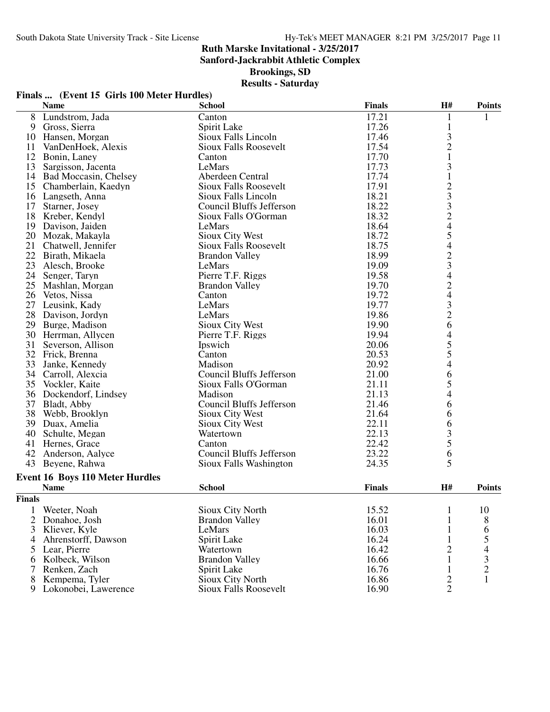**Finals ... (Event 15 Girls 100 Meter Hurdles)**

## **Ruth Marske Invitational - 3/25/2017**

**Sanford-Jackrabbit Athletic Complex**

**Brookings, SD**

## **Results - Saturday**

|               | <b>Name</b>                     | <b>School</b>                   | <b>Finals</b> | H#                                         | <b>Points</b>                                   |
|---------------|---------------------------------|---------------------------------|---------------|--------------------------------------------|-------------------------------------------------|
|               | 8 Lundstrom, Jada               | Canton                          | 17.21         | 1                                          |                                                 |
|               | 9 Gross, Sierra                 | Spirit Lake                     | 17.26         | $\mathbf{1}$                               |                                                 |
|               | 10 Hansen, Morgan               | Sioux Falls Lincoln             | 17.46         |                                            |                                                 |
| 11            | VanDenHoek, Alexis              | Sioux Falls Roosevelt           | 17.54         | $\frac{3}{2}$                              |                                                 |
|               | 12 Bonin, Laney                 | Canton                          | 17.70         | $\mathbf{1}$                               |                                                 |
|               | 13 Sargisson, Jacenta           | LeMars                          | 17.73         | $\mathfrak{Z}$                             |                                                 |
|               | 14 Bad Moccasin, Chelsey        | Aberdeen Central                | 17.74         | $\mathbf{1}$                               |                                                 |
|               | 15 Chamberlain, Kaedyn          | <b>Sioux Falls Roosevelt</b>    | 17.91         |                                            |                                                 |
|               | 16 Langseth, Anna               | Sioux Falls Lincoln             | 18.21         | 233245                                     |                                                 |
| 17            | Starner, Josey                  | <b>Council Bluffs Jefferson</b> | 18.22         |                                            |                                                 |
| 18            | Kreber, Kendyl                  | Sioux Falls O'Gorman            | 18.32         |                                            |                                                 |
|               | 19 Davison, Jaiden              | LeMars                          | 18.64         |                                            |                                                 |
|               | 20 Mozak, Makayla               | Sioux City West                 | 18.72         |                                            |                                                 |
|               | 21 Chatwell, Jennifer           | <b>Sioux Falls Roosevelt</b>    | 18.75         | $\overline{\mathcal{A}}$                   |                                                 |
|               | 22 Birath, Mikaela              | <b>Brandon Valley</b>           | 18.99         |                                            |                                                 |
| 23            | Alesch, Brooke                  | LeMars                          | 19.09         | $\frac{2}{3}$                              |                                                 |
| 24            | Senger, Taryn                   | Pierre T.F. Riggs               | 19.58         | $\overline{4}$                             |                                                 |
|               | 25 Mashlan, Morgan              | <b>Brandon Valley</b>           | 19.70         |                                            |                                                 |
|               | 26 Vetos, Nissa                 | Canton                          | 19.72         |                                            |                                                 |
|               | 27 Leusink, Kady                | LeMars                          | 19.77         | 24326                                      |                                                 |
|               | 28 Davison, Jordyn              | LeMars                          | 19.86         |                                            |                                                 |
| 29            | Burge, Madison                  | Sioux City West                 | 19.90         |                                            |                                                 |
|               | 30 Herrman, Allycen             | Pierre T.F. Riggs               | 19.94         |                                            |                                                 |
| 31            | Severson, Allison               | Ipswich                         | 20.06         | $\begin{array}{c} 4 \\ 5 \\ 5 \end{array}$ |                                                 |
|               | 32 Frick, Brenna                | Canton                          | 20.53         |                                            |                                                 |
|               | 33 Janke, Kennedy               | Madison                         | 20.92         | $\overline{\mathcal{A}}$                   |                                                 |
|               | 34 Carroll, Alexcia             | Council Bluffs Jefferson        | 21.00         | $\begin{array}{c} 6 \\ 5 \end{array}$      |                                                 |
|               | 35 Vockler, Kaite               | Sioux Falls O'Gorman            | 21.11         |                                            |                                                 |
|               | 36 Dockendorf, Lindsey          | Madison                         | 21.13         | $\overline{4}$                             |                                                 |
|               | 37 Bladt, Abby                  | <b>Council Bluffs Jefferson</b> | 21.46         | 6                                          |                                                 |
|               | 38 Webb, Brooklyn               | Sioux City West                 | 21.64         | 6                                          |                                                 |
|               | 39 Duax, Amelia                 | Sioux City West                 | 22.11         | 6                                          |                                                 |
|               | 40 Schulte, Megan               | Watertown                       | 22.13         | $rac{3}{5}$                                |                                                 |
|               | 41 Hernes, Grace                | Canton                          | 22.42         |                                            |                                                 |
| 42            | Anderson, Aalyce                | Council Bluffs Jefferson        | 23.22         | 6                                          |                                                 |
|               | 43 Beyene, Rahwa                | Sioux Falls Washington          | 24.35         | 5                                          |                                                 |
|               | Event 16 Boys 110 Meter Hurdles |                                 |               |                                            |                                                 |
|               | <b>Name</b>                     | <b>School</b>                   | <b>Finals</b> | H#                                         | <b>Points</b>                                   |
| <b>Finals</b> |                                 |                                 |               |                                            |                                                 |
| 1             | Weeter, Noah                    | Sioux City North                | 15.52         | 1                                          | 10                                              |
| 2             | Donahoe, Josh                   | <b>Brandon Valley</b>           | 16.01         |                                            | 8                                               |
| 3             | Kliever, Kyle                   | LeMars                          | 16.03         |                                            | 6                                               |
| 4             | Ahrenstorff, Dawson             | Spirit Lake                     | 16.24         | 1                                          |                                                 |
| 5             | Lear, Pierre                    | Watertown                       | 16.42         | $\mathbf{2}$                               | $\begin{array}{c} 5 \\ 4 \\ 3 \\ 2 \end{array}$ |
| 6             | Kolbeck, Wilson                 | <b>Brandon Valley</b>           | 16.66         | $\mathbf{1}$                               |                                                 |
| 7             | Renken, Zach                    | Spirit Lake                     | 16.76         | 1                                          |                                                 |
| 8             | Kempema, Tyler                  | Sioux City North                | 16.86         | $\mathbf{2}$                               | $\mathbf{1}$                                    |

9 Lokonobei, Lawerence Sioux Falls Roosevelt 16.90 2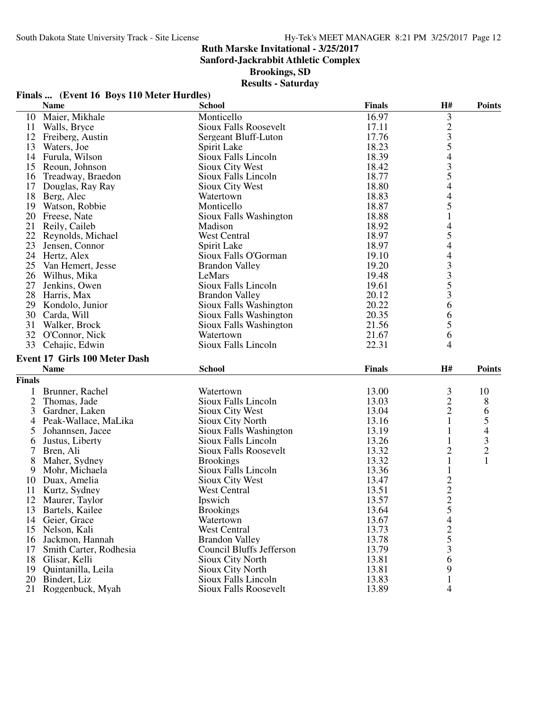**Sanford-Jackrabbit Athletic Complex**

**Brookings, SD**

## **Results - Saturday**

|                | Finals  (Event 16 Boys 110 Meter Hurdles) |                                                |                |                                           |                |
|----------------|-------------------------------------------|------------------------------------------------|----------------|-------------------------------------------|----------------|
|                | <b>Name</b>                               | <b>School</b>                                  | <b>Finals</b>  | H#                                        | <b>Points</b>  |
| 10             | Maier, Mikhale                            | Monticello                                     | 16.97          |                                           |                |
|                | 11 Walls, Bryce                           | <b>Sioux Falls Roosevelt</b>                   | 17.11          | $3235$<br>$435$                           |                |
|                | 12 Freiberg, Austin                       | Sergeant Bluff-Luton                           | 17.76          |                                           |                |
|                | 13 Waters, Joe                            | Spirit Lake                                    | 18.23          |                                           |                |
|                | 14 Furula, Wilson                         | Sioux Falls Lincoln                            | 18.39          |                                           |                |
|                | 15 Reoun, Johnson                         | Sioux City West                                | 18.42          |                                           |                |
|                | 16 Treadway, Braedon                      | Sioux Falls Lincoln                            | 18.77          |                                           |                |
|                | 17 Douglas, Ray Ray                       | <b>Sioux City West</b>                         | 18.80          | $\overline{4}$                            |                |
|                | 18 Berg, Alec                             | Watertown                                      | 18.83          | $\overline{4}$                            |                |
|                | 19 Watson, Robbie                         | Monticello                                     | 18.87          | 5                                         |                |
|                | 20 Freese, Nate                           | Sioux Falls Washington                         | 18.88          | $\mathbf{1}$                              |                |
|                | 21 Reily, Caileb                          | Madison                                        | 18.92          | 4                                         |                |
|                | 22 Reynolds, Michael                      | West Central                                   | 18.97          | 5                                         |                |
| 23             | Jensen, Connor                            | Spirit Lake                                    | 18.97          | $\overline{4}$                            |                |
|                | 24 Hertz, Alex                            | Sioux Falls O'Gorman                           | 19.10          |                                           |                |
|                | 25 Van Hemert, Jesse                      | <b>Brandon Valley</b>                          | 19.20          |                                           |                |
|                | 26 Wilhus, Mika                           | LeMars                                         | 19.48          | $\frac{4}{3}$ $\frac{3}{5}$ $\frac{5}{3}$ |                |
| 27             | Jenkins, Owen                             | Sioux Falls Lincoln                            | 19.61          |                                           |                |
|                | 28 Harris, Max                            | <b>Brandon Valley</b>                          | 20.12          |                                           |                |
|                | 29 Kondolo, Junior                        | Sioux Falls Washington                         | 20.22          | 6                                         |                |
|                | 30 Carda, Will                            | Sioux Falls Washington                         | 20.35          | 6                                         |                |
|                | 31 Walker, Brock                          | Sioux Falls Washington                         | 21.56          | 5                                         |                |
|                | 32 O'Connor, Nick                         | Watertown                                      | 21.67          | 6                                         |                |
|                | 33 Cehajic, Edwin                         | Sioux Falls Lincoln                            | 22.31          | 4                                         |                |
|                | <b>Event 17 Girls 100 Meter Dash</b>      |                                                |                |                                           |                |
|                | <b>Name</b>                               | <b>School</b>                                  | <b>Finals</b>  | H#                                        | <b>Points</b>  |
| <b>Finals</b>  |                                           |                                                |                |                                           |                |
|                |                                           |                                                |                |                                           |                |
|                | 1 Brunner, Rachel                         | Watertown                                      | 13.00          | 3<br>$\overline{c}$                       | 10             |
| $\overline{2}$ | Thomas, Jade                              | Sioux Falls Lincoln                            | 13.03          |                                           | 8              |
| 3              |                                           |                                                |                |                                           |                |
|                | Gardner, Laken                            | Sioux City West                                | 13.04          | $\overline{c}$                            | 6              |
| 4              | Peak-Wallace, MaLika                      | Sioux City North                               | 13.16          | $\mathbf{1}$                              | 5              |
| 5              | Johannsen, Jacee                          | Sioux Falls Washington                         | 13.19          | 1                                         | 4              |
| 6              | Justus, Liberty                           | Sioux Falls Lincoln                            | 13.26          | 1                                         | 3              |
| $\tau$         | Bren, Ali                                 | Sioux Falls Roosevelt                          | 13.32          | $\overline{c}$                            | $\overline{c}$ |
| 8              | Maher, Sydney                             | <b>Brookings</b>                               | 13.32          | $\mathbf{1}$                              | $\mathbf{1}$   |
| 9              | Mohr, Michaela                            | Sioux Falls Lincoln                            | 13.36          | $\mathbf{1}$                              |                |
|                | 10 Duax, Amelia                           | Sioux City West                                | 13.47          | $\overline{c}$                            |                |
|                | 11 Kurtz, Sydney                          | West Central                                   | 13.51          | $\overline{2}$                            |                |
|                | 12 Maurer, Taylor                         | Ipswich                                        | 13.57          |                                           |                |
|                | 13 Bartels, Kailee                        | <b>Brookings</b>                               | 13.64          | $\frac{2}{5}$                             |                |
|                | 14 Geier, Grace                           | Watertown                                      | 13.67          | $\overline{4}$                            |                |
|                | 15 Nelson, Kali                           | <b>West Central</b>                            | 13.73          |                                           |                |
|                | 16 Jackmon, Hannah                        | <b>Brandon Valley</b>                          | 13.78          | $rac{2}{5}$                               |                |
| 17             | Smith Carter, Rodhesia                    | Council Bluffs Jefferson                       | 13.79          | 3                                         |                |
|                | 18 Glisar, Kelli                          | Sioux City North                               | 13.81          | 6                                         |                |
|                | 19 Quintanilla, Leila<br>20 Bindert, Liz  | <b>Sioux City North</b><br>Sioux Falls Lincoln | 13.81<br>13.83 | 9<br>1                                    |                |

21 Roggenbuck, Myah Sioux Falls Roosevelt 13.89 4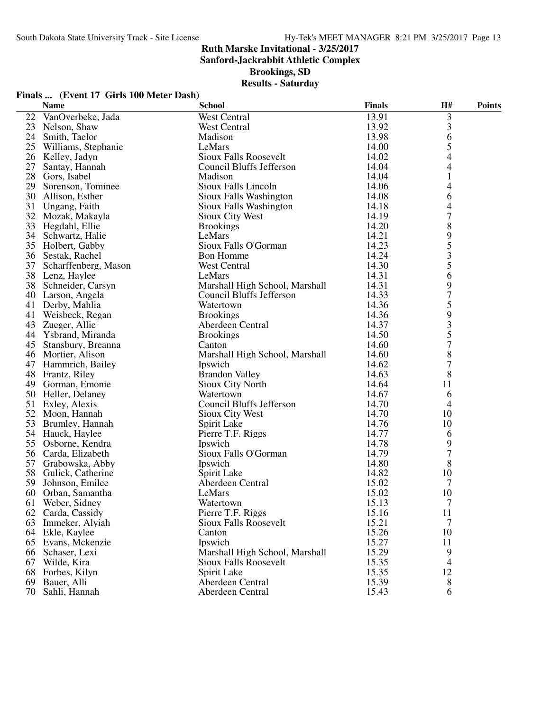**Sanford-Jackrabbit Athletic Complex**

**Brookings, SD**

| Finals  (Event 17 Girls 100 Meter Dash) |  |  |  |
|-----------------------------------------|--|--|--|
|-----------------------------------------|--|--|--|

|    | <b>Name</b>          | <b>School</b>                   | <b>Finals</b> | H#             | <b>Points</b> |
|----|----------------------|---------------------------------|---------------|----------------|---------------|
| 22 | VanOverbeke, Jada    | West Central                    | 13.91         | 3              |               |
| 23 | Nelson, Shaw         | West Central                    | 13.92         | 3              |               |
| 24 | Smith, Taelor        | Madison                         | 13.98         | 6              |               |
| 25 | Williams, Stephanie  | LeMars                          | 14.00         | 5              |               |
|    | 26 Kelley, Jadyn     | Sioux Falls Roosevelt           | 14.02         | 4              |               |
| 27 | Santay, Hannah       | Council Bluffs Jefferson        | 14.04         | 4              |               |
| 28 | Gors, Isabel         | Madison                         | 14.04         | $\mathbf{1}$   |               |
| 29 | Sorenson, Tominee    | Sioux Falls Lincoln             | 14.06         | 4              |               |
|    | 30 Allison, Esther   | Sioux Falls Washington          | 14.08         | 6              |               |
| 31 | Ungang, Faith        | Sioux Falls Washington          | 14.18         | 4              |               |
|    | 32 Mozak, Makayla    | Sioux City West                 | 14.19         | 7              |               |
| 33 | Hegdahl, Ellie       | <b>Brookings</b>                | 14.20         | 8              |               |
| 34 | Schwartz, Halie      | LeMars                          | 14.21         | 9              |               |
|    | 35 Holbert, Gabby    | Sioux Falls O'Gorman            | 14.23         | 5              |               |
|    | 36 Sestak, Rachel    | <b>Bon Homme</b>                | 14.24         | 3              |               |
| 37 | Scharffenberg, Mason | West Central                    | 14.30         | 5              |               |
|    | 38 Lenz, Haylee      | LeMars                          | 14.31         | 6              |               |
| 38 | Schneider, Carsyn    | Marshall High School, Marshall  | 14.31         | 9              |               |
| 40 | Larson, Angela       | Council Bluffs Jefferson        | 14.33         | $\overline{7}$ |               |
| 41 | Derby, Mahlia        | Watertown                       | 14.36         | 5              |               |
| 41 | Weisbeck, Regan      | <b>Brookings</b>                | 14.36         | 9              |               |
| 43 | Zueger, Allie        | Aberdeen Central                | 14.37         | 3              |               |
|    | 44 Ysbrand, Miranda  | <b>Brookings</b>                | 14.50         | 5              |               |
| 45 | Stansbury, Breanna   | Canton                          | 14.60         | 7              |               |
| 46 | Mortier, Alison      | Marshall High School, Marshall  | 14.60         | 8              |               |
|    | 47 Hammrich, Bailey  | Ipswich                         | 14.62         | 7              |               |
| 48 | Frantz, Riley        | <b>Brandon Valley</b>           | 14.63         | 8              |               |
|    | 49 Gorman, Emonie    | Sioux City North                | 14.64         | 11             |               |
|    | 50 Heller, Delaney   | Watertown                       | 14.67         | 6              |               |
| 51 | Exley, Alexis        | <b>Council Bluffs Jefferson</b> | 14.70         | 4              |               |
|    | 52 Moon, Hannah      | Sioux City West                 | 14.70         | 10             |               |
| 53 | Brumley, Hannah      | Spirit Lake                     | 14.76         | 10             |               |
|    | 54 Hauck, Haylee     | Pierre T.F. Riggs               | 14.77         | 6              |               |
|    | 55 Osborne, Kendra   | Ipswich                         | 14.78         | 9              |               |
|    | 56 Carda, Elizabeth  | Sioux Falls O'Gorman            | 14.79         | 7              |               |
| 57 | Grabowska, Abby      | Ipswich                         | 14.80         | 8              |               |
| 58 | Gulick, Catherine    | Spirit Lake                     | 14.82         | 10             |               |
| 59 | Johnson, Emilee      | Aberdeen Central                | 15.02         | 7              |               |
| 60 | Orban, Samantha      | LeMars                          | 15.02         | 10             |               |
|    | 61 Weber, Sidney     | Watertown                       | 15.13         | $\overline{7}$ |               |
|    | 62 Carda, Cassidy    | Pierre T.F. Riggs               | 15.16         | 11             |               |
| 63 | Immeker, Alyiah      | <b>Sioux Falls Roosevelt</b>    | 15.21         | 7              |               |
|    | 64 Ekle, Kaylee      | Canton                          | 15.26         | 10             |               |
|    | 65 Evans, Mckenzie   | Ipswich                         | 15.27         | 11             |               |
|    | 66 Schaser, Lexi     | Marshall High School, Marshall  | 15.29         | 9              |               |
|    | 67 Wilde, Kira       | Sioux Falls Roosevelt           | 15.35         | 4              |               |
|    | 68 Forbes, Kilyn     | Spirit Lake                     | 15.35         | 12             |               |
| 69 | Bauer, Alli          | Aberdeen Central                | 15.39         | 8              |               |
| 70 | Sahli, Hannah        | Aberdeen Central                | 15.43         | 6              |               |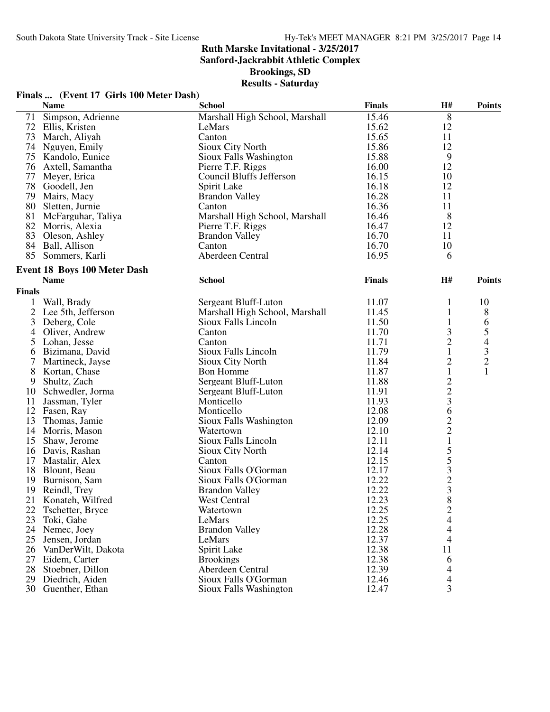**Sanford-Jackrabbit Athletic Complex**

**Brookings, SD**

## **Results - Saturday**

|                | Finals  (Event 17 Girls 100 Meter Dash) |                                              |               |                                            |                                            |
|----------------|-----------------------------------------|----------------------------------------------|---------------|--------------------------------------------|--------------------------------------------|
|                | <b>Name</b>                             | <b>School</b>                                | <b>Finals</b> | H#                                         | <b>Points</b>                              |
|                | 71 Simpson, Adrienne                    | Marshall High School, Marshall               | 15.46         | 8                                          |                                            |
|                | 72 Ellis, Kristen                       | LeMars                                       | 15.62         | 12                                         |                                            |
|                | 73 March, Aliyah                        | Canton                                       | 15.65         | 11                                         |                                            |
|                | 74 Nguyen, Emily                        | Sioux City North                             | 15.86         | 12                                         |                                            |
|                | 75 Kandolo, Eunice                      | Sioux Falls Washington                       | 15.88         | 9                                          |                                            |
|                | 76 Axtell, Samantha                     | Pierre T.F. Riggs                            | 16.00         | 12                                         |                                            |
|                | 77 Meyer, Erica                         | Council Bluffs Jefferson                     | 16.15         | 10                                         |                                            |
|                | 78 Goodell, Jen                         | Spirit Lake                                  | 16.18         | 12                                         |                                            |
|                | 79 Mairs, Macy                          | <b>Brandon Valley</b>                        | 16.28         | 11                                         |                                            |
|                | 80 Sletten, Jurnie                      | Canton                                       | 16.36         | 11                                         |                                            |
|                | 81 McFarguhar, Taliya                   | Marshall High School, Marshall               | 16.46         | 8                                          |                                            |
|                | 82 Morris, Alexia                       | Pierre T.F. Riggs                            | 16.47         | 12                                         |                                            |
|                | 83 Oleson, Ashley                       | <b>Brandon Valley</b>                        | 16.70         | 11                                         |                                            |
|                | 84 Ball, Allison                        | Canton                                       | 16.70         | 10                                         |                                            |
|                | 85 Sommers, Karli                       | Aberdeen Central                             | 16.95         | 6                                          |                                            |
|                | Event 18 Boys 100 Meter Dash            |                                              |               |                                            |                                            |
|                | <b>Name</b>                             | <b>School</b>                                | <b>Finals</b> | H#                                         | <b>Points</b>                              |
| <b>Finals</b>  |                                         |                                              |               |                                            |                                            |
|                | Wall, Brady                             | Sergeant Bluff-Luton                         | 11.07         | 1                                          | 10                                         |
| $\overline{2}$ | Lee 5th, Jefferson                      | Marshall High School, Marshall               | 11.45         | $\mathbf{1}$                               | $8\,$                                      |
| 3              | Deberg, Cole                            | Sioux Falls Lincoln                          | 11.50         | $\mathbf{1}$                               | 6                                          |
| 4              | Oliver, Andrew                          | Canton                                       | 11.70         | 3                                          | 5                                          |
| 5              | Lohan, Jesse                            | Canton                                       | 11.71         | $\overline{c}$                             | $\overline{4}$                             |
| 6              | Bizimana, David                         | Sioux Falls Lincoln                          | 11.79         | $\mathbf{1}$                               |                                            |
|                | Martineck, Jayse                        | Sioux City North                             | 11.84         | $\overline{c}$                             |                                            |
| 8              | Kortan, Chase                           | <b>Bon Homme</b>                             | 11.87         | $\mathbf{1}$                               | $\begin{array}{c} 3 \\ 2 \\ 1 \end{array}$ |
| 9              | Shultz, Zach                            | Sergeant Bluff-Luton                         | 11.88         | $\overline{c}$                             |                                            |
|                | 10 Schwedler, Jorma                     | Sergeant Bluff-Luton                         | 11.91         | $\overline{c}$                             |                                            |
| 11             | Jassman, Tyler                          | Monticello                                   | 11.93         | 3                                          |                                            |
|                | 12 Fasen, Ray                           | Monticello                                   | 12.08         | 6                                          |                                            |
| 13             | Thomas, Jamie                           | Sioux Falls Washington                       | 12.09         | $\overline{c}$                             |                                            |
|                | 14 Morris, Mason                        | Watertown                                    | 12.10         | $\overline{c}$                             |                                            |
|                | 15 Shaw, Jerome                         | Sioux Falls Lincoln                          | 12.11         | $\,1$                                      |                                            |
|                | 16 Davis, Rashan                        | Sioux City North                             | 12.14         | 5                                          |                                            |
|                | 17 Mastalir, Alex                       | Canton                                       | 12.15         |                                            |                                            |
|                | 18 Blount, Beau                         | Sioux Falls O'Gorman                         | 12.17         | $\begin{array}{c} 5 \\ 3 \\ 2 \end{array}$ |                                            |
| 19             | Burnison, Sam                           | Sioux Falls O'Gorman                         | 12.22         |                                            |                                            |
| 19             | Reindl, Trey                            |                                              | 12.22         | $\overline{3}$                             |                                            |
| 21             | Konateh, Wilfred                        | <b>Brandon Valley</b><br><b>West Central</b> | 12.23         | 8                                          |                                            |
| 22             | Tschetter, Bryce                        | Watertown                                    | 12.25         | $\overline{\mathbf{c}}$                    |                                            |
| 23             | Toki, Gabe                              | LeMars                                       | 12.25         | 4                                          |                                            |
| 24             | Nemec, Joey                             | <b>Brandon Valley</b>                        | 12.28         | 4                                          |                                            |
| 25             | Jensen, Jordan                          | LeMars                                       | 12.37         | 4                                          |                                            |
|                | 26 VanDerWilt, Dakota                   | Spirit Lake                                  | 12.38         | 11                                         |                                            |
| 27             | Eidem, Carter                           | <b>Brookings</b>                             | 12.38         | 6                                          |                                            |
| 28             | Stoebner, Dillon                        | Aberdeen Central                             | 12.39         | $\overline{4}$                             |                                            |
|                |                                         |                                              |               |                                            |                                            |

29 Diedrich, Aiden Sioux Falls O'Gorman 12.46 4 30 Guenther, Ethan Sioux Falls Washington 12.47 3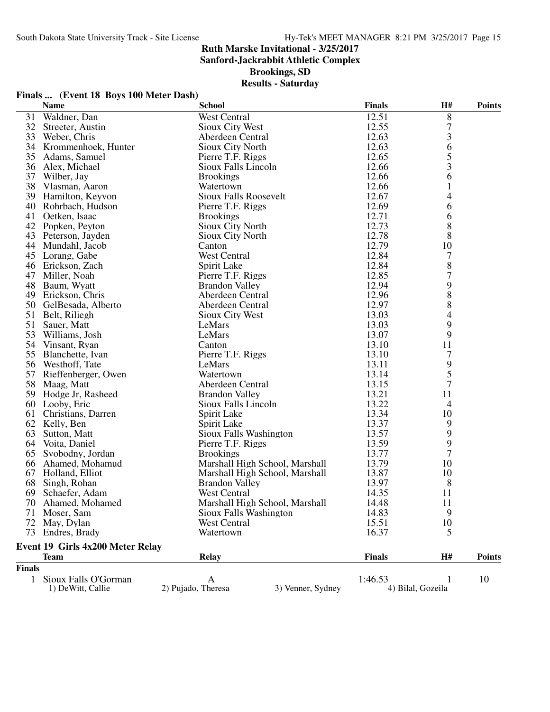**Finals ... (Event 18 Boys 100 Meter Dash)**

## **Ruth Marske Invitational - 3/25/2017**

**Sanford-Jackrabbit Athletic Complex**

**Brookings, SD**

|               | <b>Name</b>                               | <b>School</b>                |                                | <b>Finals</b> | H#                | <b>Points</b> |
|---------------|-------------------------------------------|------------------------------|--------------------------------|---------------|-------------------|---------------|
| 31            | Waldner, Dan                              | <b>West Central</b>          |                                | 12.51         | 8                 |               |
|               | 32 Streeter, Austin                       | <b>Sioux City West</b>       |                                | 12.55         | $\overline{7}$    |               |
|               | 33 Weber, Chris                           | Aberdeen Central             |                                | 12.63         | 3                 |               |
|               | 34 Krommenhoek, Hunter                    | Sioux City North             |                                | 12.63         | 6                 |               |
| 35            | Adams, Samuel                             | Pierre T.F. Riggs            |                                | 12.65         | 5                 |               |
|               | 36 Alex, Michael                          | Sioux Falls Lincoln          |                                | 12.66         | 3                 |               |
|               | 37 Wilber, Jay                            | <b>Brookings</b>             |                                | 12.66         | 6                 |               |
|               | 38 Vlasman, Aaron                         | Watertown                    |                                | 12.66         | 1                 |               |
|               | 39 Hamilton, Keyvon                       | <b>Sioux Falls Roosevelt</b> |                                | 12.67         | 4                 |               |
|               | 40 Rohrbach, Hudson                       | Pierre T.F. Riggs            |                                | 12.69         | 6                 |               |
|               | 41 Oetken, Isaac                          | <b>Brookings</b>             |                                | 12.71         | 6                 |               |
|               | 42 Popken, Peyton                         | Sioux City North             |                                | 12.73         | 8                 |               |
|               | 43 Peterson, Jayden                       | Sioux City North             |                                | 12.78         | 8                 |               |
|               | 44 Mundahl, Jacob                         | Canton                       |                                | 12.79         | 10                |               |
|               | 45 Lorang, Gabe                           | <b>West Central</b>          |                                | 12.84         | 7                 |               |
|               | 46 Erickson, Zach                         | Spirit Lake                  |                                | 12.84         | 8                 |               |
| 47            | Miller, Noah                              | Pierre T.F. Riggs            |                                | 12.85         | $\boldsymbol{7}$  |               |
|               | 48 Baum, Wyatt                            | <b>Brandon Valley</b>        |                                | 12.94         | 9                 |               |
|               | 49 Erickson, Chris                        | Aberdeen Central             |                                | 12.96         | 8                 |               |
|               | 50 GelBesada, Alberto                     | Aberdeen Central             |                                | 12.97         | 8                 |               |
|               | 51 Belt, Riliegh                          | Sioux City West              |                                | 13.03         | 4                 |               |
| 51            | Sauer, Matt                               | LeMars                       |                                | 13.03         | 9                 |               |
| 53            | Williams, Josh                            | LeMars                       |                                | 13.07         | 9                 |               |
|               | 54 Vinsant, Ryan                          | Canton                       |                                | 13.10         | 11                |               |
|               | 55 Blanchette, Ivan                       | Pierre T.F. Riggs            |                                | 13.10         | 7                 |               |
|               | 56 Westhoff, Tate                         | LeMars                       |                                | 13.11         | 9                 |               |
|               | 57 Rieffenberger, Owen                    | Watertown                    |                                | 13.14         | 5                 |               |
|               | 58 Maag, Matt                             | Aberdeen Central             |                                | 13.15         | $\overline{7}$    |               |
|               | 59 Hodge Jr, Rasheed                      | <b>Brandon Valley</b>        |                                | 13.21         | 11                |               |
|               | 60 Looby, Eric                            | Sioux Falls Lincoln          |                                | 13.22         | $\overline{4}$    |               |
|               | 61 Christians, Darren                     | Spirit Lake                  |                                | 13.34         | 10                |               |
|               | 62 Kelly, Ben                             | Spirit Lake                  |                                | 13.37         | 9                 |               |
| 63            | Sutton, Matt                              | Sioux Falls Washington       |                                | 13.57         | 9                 |               |
|               | 64 Voita, Daniel                          | Pierre T.F. Riggs            |                                | 13.59         | 9                 |               |
|               | 65 Svobodny, Jordan                       | <b>Brookings</b>             |                                | 13.77         | $\overline{7}$    |               |
|               | 66 Ahamed, Mohamud                        |                              | Marshall High School, Marshall | 13.79         | 10                |               |
|               | 67 Holland, Elliot                        |                              | Marshall High School, Marshall | 13.87         | 10                |               |
|               | 68 Singh, Rohan                           | <b>Brandon Valley</b>        |                                | 13.97         | 8                 |               |
| 69            | Schaefer, Adam                            | West Central                 |                                | 14.35         | 11                |               |
|               | 70 Ahamed, Mohamed                        |                              | Marshall High School, Marshall | 14.48         | 11                |               |
|               | 71 Moser, Sam                             | Sioux Falls Washington       |                                | 14.83         | 9                 |               |
| 72            | May, Dylan                                | <b>West Central</b>          |                                | 15.51         | 10                |               |
|               | 73 Endres, Brady                          | Watertown                    |                                | 16.37         | 5                 |               |
|               |                                           |                              |                                |               |                   |               |
|               | Event 19 Girls 4x200 Meter Relay          |                              |                                |               |                   |               |
|               | <b>Team</b>                               | <b>Relay</b>                 |                                | <b>Finals</b> | H#                | <b>Points</b> |
| <b>Finals</b> |                                           |                              |                                |               |                   |               |
| $\mathbf{1}$  | Sioux Falls O'Gorman<br>1) DeWitt, Callie | A<br>2) Pujado, Theresa      | 3) Venner, Sydney              | 1:46.53       | 4) Bilal, Gozeila | 10            |
|               |                                           |                              |                                |               |                   |               |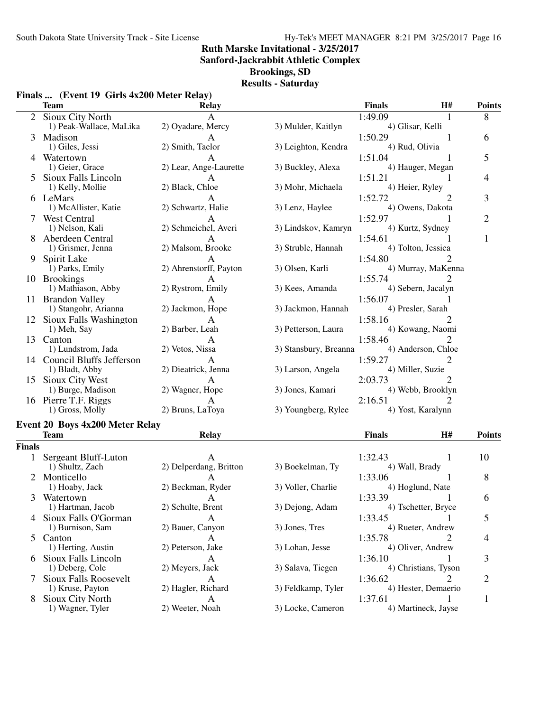**Sanford-Jackrabbit Athletic Complex**

**Brookings, SD**

|  |  | Finals  (Event 19 Girls 4x200 Meter Relay) |  |  |
|--|--|--------------------------------------------|--|--|
|--|--|--------------------------------------------|--|--|

|        | <b>Team</b>                                              | <b>Relay</b>                      |                       | <b>Finals</b><br><b>H#</b>                                  | <b>Points</b>  |
|--------|----------------------------------------------------------|-----------------------------------|-----------------------|-------------------------------------------------------------|----------------|
| 2      | Sioux City North<br>1) Peak-Wallace, MaLika              | $\mathbf{A}$<br>2) Oyadare, Mercy | 3) Mulder, Kaitlyn    | 1:49.09<br>4) Glisar, Kelli                                 | 8              |
| 3      | Madison<br>1) Giles, Jessi                               | А<br>2) Smith, Taelor             | 3) Leighton, Kendra   | 1:50.29<br>1<br>4) Rud, Olivia                              | 6              |
|        | 4 Watertown<br>1) Geier, Grace                           | A<br>2) Lear, Ange-Laurette       | 3) Buckley, Alexa     | 1:51.04<br>4) Hauger, Megan                                 | 5              |
|        | Sioux Falls Lincoln<br>1) Kelly, Mollie                  | A<br>2) Black, Chloe              | 3) Mohr, Michaela     | 1:51.21<br>1<br>4) Heier, Ryley                             | 4              |
|        | 6 LeMars<br>1) McAllister, Katie                         | A<br>2) Schwartz, Halie           | 3) Lenz, Haylee       | 1:52.72<br>2<br>4) Owens, Dakota                            | 3              |
|        | 7 West Central<br>1) Nelson, Kali                        | A<br>2) Schmeichel, Averi         | 3) Lindskov, Kamryn   | 1:52.97<br>4) Kurtz, Sydney                                 | $\overline{2}$ |
|        | Aberdeen Central<br>1) Grismer, Jenna                    | A<br>2) Malsom, Brooke            | 3) Struble, Hannah    | 1:54.61<br>4) Tolton, Jessica                               | $\mathbf{1}$   |
| 9      | Spirit Lake<br>1) Parks, Emily                           | A<br>2) Ahrenstorff, Payton       | 3) Olsen, Karli       | 1:54.80<br>4) Murray, MaKenna                               |                |
|        | 10 Brookings<br>1) Mathiason, Abby                       | A<br>2) Rystrom, Emily            | 3) Kees, Amanda       | 1:55.74<br>2<br>4) Sebern, Jacalyn                          |                |
|        | 11 Brandon Valley<br>1) Stangohr, Arianna                | А<br>2) Jackmon, Hope             | 3) Jackmon, Hannah    | 1:56.07<br>4) Presler, Sarah                                |                |
|        | 12 Sioux Falls Washington<br>1) Meh, Say                 | A<br>2) Barber, Leah              | 3) Petterson, Laura   | 1:58.16<br>2<br>4) Kowang, Naomi                            |                |
|        | 13 Canton<br>1) Lundstrom, Jada                          | А<br>2) Vetos, Nissa              | 3) Stansbury, Breanna | 1:58.46<br>2<br>4) Anderson, Chloe                          |                |
|        | 14 Council Bluffs Jefferson<br>1) Bladt, Abby            | A<br>2) Dieatrick, Jenna          | 3) Larson, Angela     | $\overline{2}$<br>1:59.27<br>4) Miller, Suzie               |                |
|        | 15 Sioux City West<br>1) Burge, Madison                  | A<br>2) Wagner, Hope              | 3) Jones, Kamari      | $\mathcal{D}_{\mathcal{L}}$<br>2:03.73<br>4) Webb, Brooklyn |                |
|        | 16 Pierre T.F. Riggs<br>1) Gross, Molly                  | 2) Bruns, LaToya                  | 3) Youngberg, Rylee   | 2:16.51<br>4) Yost, Karalynn                                |                |
|        | <b>Event 20 Boys 4x200 Meter Relay</b><br><b>Team</b>    | <b>Relay</b>                      |                       | <b>Finals</b><br><b>H#</b>                                  | <b>Points</b>  |
| Finals |                                                          |                                   |                       |                                                             |                |
|        | Sergeant Bluff-Luton<br>1) Shultz, Zach                  | A<br>2) Delperdang, Britton       | 3) Boekelman, Ty      | 1:32.43<br>1<br>4) Wall, Brady                              | 10             |
|        | 2 Monticello<br>1) Hoaby, Jack                           | A<br>2) Beckman, Ryder            | 3) Voller, Charlie    | 1:33.06<br>4) Hoglund, Nate                                 | 8              |
|        | 3 Watertown<br>1) Hartman, Jacob                         | A<br>2) Schulte, Brent            | 3) Dejong, Adam       | 1:33.39<br>1<br>4) Tschetter, Bryce                         | 6              |
|        | 4 Sioux Falls O'Gorman<br>1) Burnison, Sam               | A<br>2) Bauer, Canyon             | 3) Jones, Tres        | 1:33.45<br>4) Rueter, Andrew                                | 5              |
| 5      | Canton<br>1) Herting, Austin                             | A<br>2) Peterson, Jake            | 3) Lohan, Jesse       | 1:35.78<br>2<br>4) Oliver, Andrew                           | 4              |
|        | 6 Sioux Falls Lincoln<br>1) Deberg, Cole                 | $\mathbf{A}$<br>2) Meyers, Jack   | 3) Salava, Tiegen     | 1:36.10<br>4) Christians, Tyson                             | 3              |
| 7      | <b>Sioux Falls Roosevelt</b>                             | A<br>2) Hagler, Richard           | 3) Feldkamp, Tyler    | 1:36.62<br>$\mathcal{D}_{\cdot}$                            | $\overline{2}$ |
| 8      | 1) Kruse, Payton<br>Sioux City North<br>1) Wagner, Tyler | A<br>2) Weeter, Noah              | 3) Locke, Cameron     | 4) Hester, Demaerio<br>1:37.61<br>4) Martineck, Jayse       | $\mathbf{1}$   |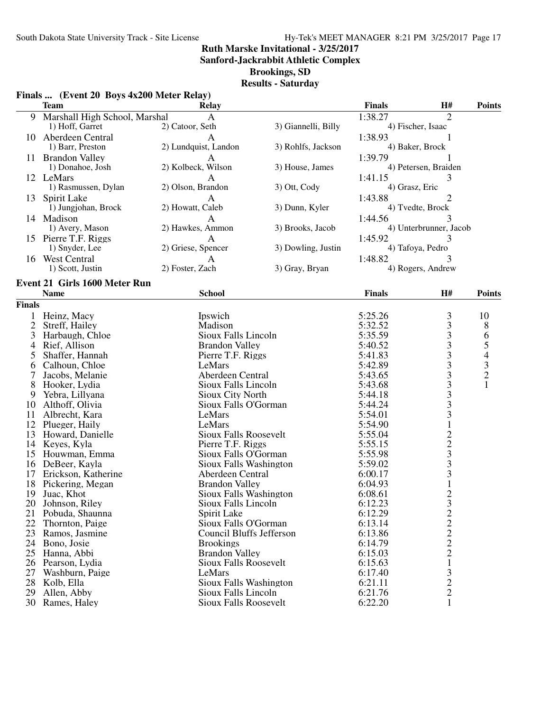**Sanford-Jackrabbit Athletic Complex**

**Brookings, SD**

#### **Results - Saturday**

## **Finals ... (Event 20 Boys 4x200 Meter Relay)**

|               | <b>Team</b>                   | <b>Relay</b>                    |                     | <b>Finals</b>  | H#                                              | <b>Points</b>                              |
|---------------|-------------------------------|---------------------------------|---------------------|----------------|-------------------------------------------------|--------------------------------------------|
|               | Marshall High School, Marshal | $\mathbf{A}$                    |                     | 1:38.27        | $\overline{2}$                                  |                                            |
|               | 1) Hoff, Garret               | 2) Catoor, Seth                 | 3) Giannelli, Billy |                | 4) Fischer, Isaac                               |                                            |
|               | 10 Aberdeen Central           | A                               |                     | 1:38.93        |                                                 |                                            |
|               | 1) Barr, Preston              | 2) Lundquist, Landon            | 3) Rohlfs, Jackson  |                | 4) Baker, Brock                                 |                                            |
|               | 11 Brandon Valley             | A                               |                     | 1:39.79        |                                                 |                                            |
|               | 1) Donahoe, Josh              | 2) Kolbeck, Wilson              | 3) House, James     |                | 4) Petersen, Braiden                            |                                            |
|               | 12 LeMars                     | A                               |                     | 1:41.15        | 3                                               |                                            |
|               | 1) Rasmussen, Dylan           | 2) Olson, Brandon               | 3) Ott, Cody        | 4) Grasz, Eric |                                                 |                                            |
| 13            | Spirit Lake                   | $\mathbf{A}$                    |                     | 1:43.88        | 2                                               |                                            |
|               | 1) Jungjohan, Brock           | 2) Howatt, Caleb                | 3) Dunn, Kyler      |                | 4) Tvedte, Brock                                |                                            |
|               | 14 Madison                    | $\mathbf{A}$                    |                     | 1:44.56        |                                                 |                                            |
|               | 1) Avery, Mason               | 2) Hawkes, Ammon                | 3) Brooks, Jacob    |                | 4) Unterbrunner, Jacob                          |                                            |
|               | 15 Pierre T.F. Riggs          | A                               |                     | 1:45.92        | 3                                               |                                            |
|               | 1) Snyder, Lee                | 2) Griese, Spencer              | 3) Dowling, Justin  |                | 4) Tafoya, Pedro                                |                                            |
|               | 16 West Central               | A                               |                     | 1:48.82        |                                                 |                                            |
|               | 1) Scott, Justin              | 2) Foster, Zach                 | 3) Gray, Bryan      |                | 4) Rogers, Andrew                               |                                            |
|               |                               |                                 |                     |                |                                                 |                                            |
|               | Event 21 Girls 1600 Meter Run |                                 |                     |                |                                                 |                                            |
|               | <b>Name</b>                   | <b>School</b>                   |                     | <b>Finals</b>  | H#                                              | <b>Points</b>                              |
| <b>Finals</b> |                               |                                 |                     |                |                                                 |                                            |
| $\mathbf 1$   | Heinz, Macy                   | Ipswich                         |                     | 5:25.26        | 3                                               | 10                                         |
| 2             | Streff, Hailey                | Madison                         |                     | 5:32.52        |                                                 | 8                                          |
| 3             | Harbaugh, Chloe               | Sioux Falls Lincoln             |                     | 5:35.59        | $\begin{array}{c} 3 \\ 3 \\ 3 \end{array}$      | 6                                          |
| 4             | Rief, Allison                 | <b>Brandon Valley</b>           |                     | 5:40.52        |                                                 | 5                                          |
| 5             | Shaffer, Hannah               | Pierre T.F. Riggs               |                     | 5:41.83        | $33333$<br>$333$<br>$33$                        | $\begin{array}{c} 4 \\ 3 \\ 2 \end{array}$ |
| 6             | Calhoun, Chloe                | LeMars                          |                     | 5:42.89        |                                                 |                                            |
| 7             | Jacobs, Melanie               | Aberdeen Central                |                     | 5:43.65        |                                                 |                                            |
| 8             | Hooker, Lydia                 | Sioux Falls Lincoln             |                     | 5:43.68        |                                                 | $\mathbf{1}$                               |
| 9             | Yebra, Lillyana               | Sioux City North                |                     | 5:44.18        |                                                 |                                            |
| 10            | Althoff, Olivia               | Sioux Falls O'Gorman            |                     | 5:44.24        |                                                 |                                            |
| 11            | Albrecht, Kara                | LeMars                          |                     | 5:54.01        |                                                 |                                            |
| 12            | Plueger, Haily                | LeMars                          |                     | 5:54.90        | $\mathbf 1$                                     |                                            |
| 13            | Howard, Danielle              | <b>Sioux Falls Roosevelt</b>    |                     | 5:55.04        |                                                 |                                            |
| 14            | Keyes, Kyla                   | Pierre T.F. Riggs               |                     | 5:55.15        |                                                 |                                            |
| 15            | Houwman, Emma                 | Sioux Falls O'Gorman            |                     | 5:55.98        | $\begin{array}{c} 2 \\ 2 \\ 3 \\ 3 \end{array}$ |                                            |
| 16            | DeBeer, Kayla                 | Sioux Falls Washington          |                     | 5:59.02        |                                                 |                                            |
| 17            | Erickson, Katherine           | Aberdeen Central                |                     | 6:00.17        | $\overline{\mathbf{3}}$                         |                                            |
| 18            | Pickering, Megan              | <b>Brandon Valley</b>           |                     | 6:04.93        |                                                 |                                            |
| 19            | Juac, Khot                    | Sioux Falls Washington          |                     | 6:08.61        | $\frac{1}{2}$                                   |                                            |
|               | 20 Johnson, Riley             | Sioux Falls Lincoln             |                     | 6:12.23        |                                                 |                                            |
| 21            | Pobuda, Shaunna               | Spirit Lake                     |                     | 6:12.29        |                                                 |                                            |
| 22            | Thornton, Paige               | Sioux Falls O'Gorman            |                     | 6:13.14        |                                                 |                                            |
| 23            | Ramos, Jasmine                | <b>Council Bluffs Jefferson</b> |                     | 6:13.86        |                                                 |                                            |
| 24            | Bono, Josie                   | <b>Brookings</b>                |                     | 6:14.79        | $\frac{2}{2}$<br>$\frac{2}{2}$                  |                                            |
| 25            | Hanna, Abbi                   | <b>Brandon Valley</b>           |                     | 6:15.03        |                                                 |                                            |
| 26            | Pearson, Lydia                | <b>Sioux Falls Roosevelt</b>    |                     | 6:15.63        |                                                 |                                            |
| 27            | Washburn, Paige               | LeMars                          |                     | 6:17.40        | 3                                               |                                            |
| 28            | Kolb, Ella                    | Sioux Falls Washington          |                     | 6:21.11        | $\overline{c}$                                  |                                            |
| 29            | Allen, Abby                   | Sioux Falls Lincoln             |                     | 6:21.76        | $\overline{2}$                                  |                                            |
|               | 30 Rames, Haley               | <b>Sioux Falls Roosevelt</b>    |                     | 6:22.20        | 1                                               |                                            |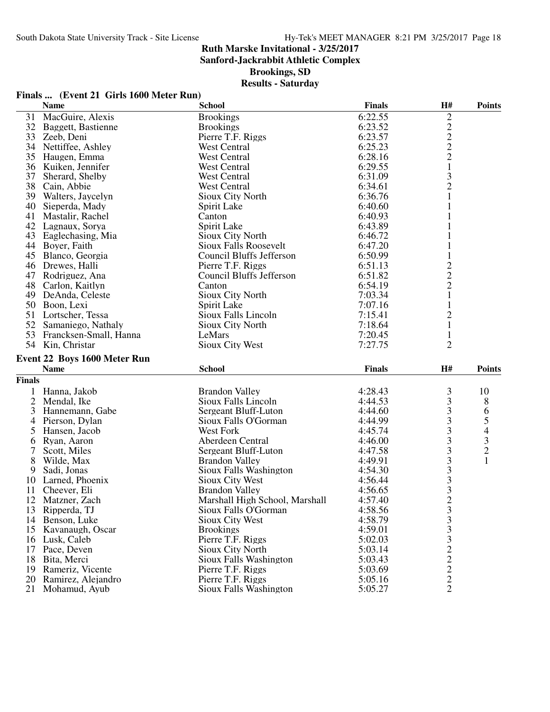**Sanford-Jackrabbit Athletic Complex**

**Brookings, SD**

|  | Finals  (Event 21 Girls 1600 Meter Run) |
|--|-----------------------------------------|
|--|-----------------------------------------|

|               | <b>Name</b>                         | <b>School</b>                                | <b>Finals</b>      | H#                                                | <b>Points</b>                  |
|---------------|-------------------------------------|----------------------------------------------|--------------------|---------------------------------------------------|--------------------------------|
| 31            | MacGuire, Alexis                    | <b>Brookings</b>                             | 6:22.55            | $\overline{c}$                                    |                                |
|               | 32 Baggett, Bastienne               | <b>Brookings</b>                             | 6:23.52            |                                                   |                                |
| 33            | Zeeb, Deni                          | Pierre T.F. Riggs                            | 6:23.57            |                                                   |                                |
| 34            | Nettiffee, Ashley                   | West Central                                 | 6:25.23            | $\begin{array}{c}\n2 \\ 2 \\ 2 \\ 1\n\end{array}$ |                                |
| 35            | Haugen, Emma                        | <b>West Central</b>                          | 6:28.16            |                                                   |                                |
| 36            | Kuiken, Jennifer                    | <b>West Central</b>                          | 6:29.55            |                                                   |                                |
| 37            | Sherard, Shelby                     | West Central                                 | 6:31.09            | 3                                                 |                                |
| 38            | Cain, Abbie                         | <b>West Central</b>                          | 6:34.61            | $\overline{c}$                                    |                                |
| 39            | Walters, Jaycelyn                   | <b>Sioux City North</b>                      | 6:36.76            |                                                   |                                |
| 40            | Sieperda, Mady                      | Spirit Lake                                  | 6:40.60            | 1                                                 |                                |
| 41            | Mastalir, Rachel                    | Canton                                       | 6:40.93            | 1                                                 |                                |
| 42            | Lagnaux, Sorya                      | Spirit Lake                                  | 6:43.89            | 1                                                 |                                |
| 43            | Eaglechasing, Mia                   | Sioux City North                             | 6:46.72            |                                                   |                                |
|               | 44 Boyer, Faith                     | <b>Sioux Falls Roosevelt</b>                 | 6:47.20            |                                                   |                                |
|               | 45 Blanco, Georgia                  | Council Bluffs Jefferson                     | 6:50.99            |                                                   |                                |
|               | 46 Drewes, Halli                    | Pierre T.F. Riggs                            | 6:51.13            |                                                   |                                |
| 47            | Rodriguez, Ana                      | Council Bluffs Jefferson                     | 6:51.82            | $\begin{array}{c} 2 \\ 2 \\ 2 \\ 1 \end{array}$   |                                |
| 48            | Carlon, Kaitlyn                     | Canton                                       | 6:54.19            |                                                   |                                |
| 49            | DeAnda, Celeste                     | Sioux City North                             | 7:03.34            |                                                   |                                |
|               | 50 Boon, Lexi                       | Spirit Lake                                  | 7:07.16            | $\mathbf{1}$                                      |                                |
| 51            | Lortscher, Tessa                    | Sioux Falls Lincoln                          | 7:15.41            | $\overline{c}$                                    |                                |
|               | 52 Samaniego, Nathaly               | Sioux City North                             | 7:18.64            | $\mathbf{1}$                                      |                                |
| 53            | Francksen-Small, Hanna              | LeMars                                       | 7:20.45            | $\mathbf{1}$                                      |                                |
|               | 54 Kin, Christar                    | Sioux City West                              | 7:27.75            | $\overline{2}$                                    |                                |
|               | Event 22 Boys 1600 Meter Run        |                                              |                    |                                                   |                                |
|               | <b>Name</b>                         | <b>School</b>                                | <b>Finals</b>      | H#                                                | <b>Points</b>                  |
| <b>Finals</b> |                                     |                                              |                    |                                                   |                                |
|               |                                     |                                              |                    |                                                   |                                |
| 1             | Hanna, Jakob                        | <b>Brandon Valley</b><br>Sioux Falls Lincoln | 4:28.43<br>4:44.53 | 3                                                 | 10                             |
|               |                                     |                                              |                    |                                                   |                                |
|               | 2 Mendal, Ike                       |                                              |                    | 3                                                 | 8                              |
| 3             | Hannemann, Gabe                     | Sergeant Bluff-Luton                         | 4:44.60            | 3                                                 | 6                              |
| 4             | Pierson, Dylan                      | Sioux Falls O'Gorman                         | 4:44.99            | $\overline{\mathbf{3}}$                           |                                |
| 5             | Hansen, Jacob                       | <b>West Fork</b>                             | 4:45.74            | 3                                                 |                                |
| 6             | Ryan, Aaron                         | Aberdeen Central                             | 4:46.00            | 3                                                 |                                |
| 7             | Scott, Miles                        | Sergeant Bluff-Luton                         | 4:47.58            | 3                                                 | $\frac{5}{4}$<br>$\frac{3}{2}$ |
| 8             | Wilde, Max                          | <b>Brandon Valley</b>                        | 4:49.91            | 3                                                 | $\mathbf{1}$                   |
| 9             | Sadi, Jonas                         | Sioux Falls Washington                       | 4:54.30            |                                                   |                                |
| 10            | Larned, Phoenix                     | Sioux City West                              | 4:56.44            |                                                   |                                |
| 11            | Cheever, Eli                        | <b>Brandon Valley</b>                        | 4:56.65            | $\begin{array}{c} 3 \\ 3 \\ 3 \end{array}$        |                                |
| 12            | Matzner, Zach                       | Marshall High School, Marshall               | 4:57.40            | $\overline{2}$                                    |                                |
|               | 13 Ripperda, TJ                     | Sioux Falls O'Gorman                         | 4:58.56            | $\mathfrak{Z}$                                    |                                |
|               | 14 Benson, Luke                     | <b>Sioux City West</b>                       | 4:58.79            |                                                   |                                |
| 15            | Kavanaugh, Oscar                    | <b>Brookings</b>                             | 4:59.01            |                                                   |                                |
| 16            | Lusk, Caleb                         | Pierre T.F. Riggs                            | 5:02.03            |                                                   |                                |
| 17            | Pace, Deven                         | <b>Sioux City North</b>                      | 5:03.14            |                                                   |                                |
| 18            | Bita, Merci                         | Sioux Falls Washington                       | 5:03.43            |                                                   |                                |
| 19            | Rameriz, Vicente                    | Pierre T.F. Riggs                            | 5:03.69            |                                                   |                                |
| 20<br>21      | Ramirez, Alejandro<br>Mohamud, Ayub | Pierre T.F. Riggs<br>Sioux Falls Washington  | 5:05.16<br>5:05.27 | 3332222                                           |                                |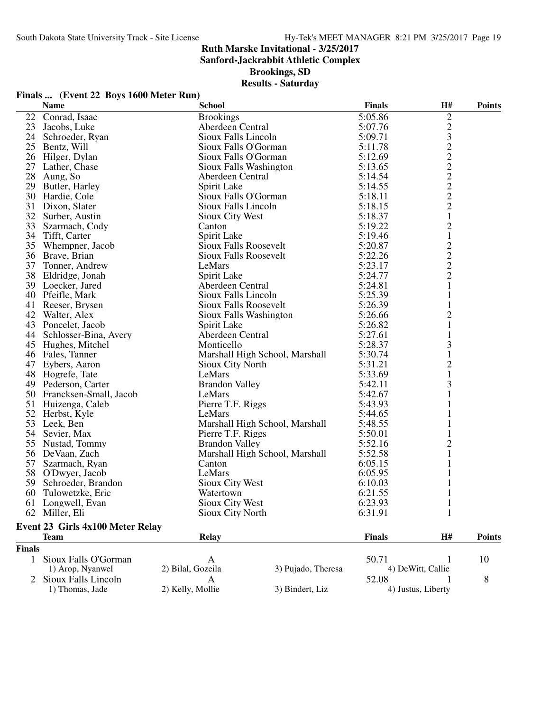**Sanford-Jackrabbit Athletic Complex**

**Brookings, SD**

| Finals  (Event 22 Boys 1600 Meter Run) |  |  |
|----------------------------------------|--|--|
|                                        |  |  |

|               | <b>Name</b>                      | <b>School</b>                |                                | <b>Finals</b>      | H#                                         | <b>Points</b> |
|---------------|----------------------------------|------------------------------|--------------------------------|--------------------|--------------------------------------------|---------------|
| 22            | Conrad, Isaac                    | <b>Brookings</b>             |                                | 5:05.86            | $\overline{c}$                             |               |
| 23            | Jacobs, Luke                     | Aberdeen Central             |                                | 5:07.76            |                                            |               |
|               | 24 Schroeder, Ryan               | Sioux Falls Lincoln          |                                | 5:09.71            | 23222222                                   |               |
|               | 25 Bentz, Will                   | Sioux Falls O'Gorman         |                                | 5:11.78            |                                            |               |
|               | 26 Hilger, Dylan                 | Sioux Falls O'Gorman         |                                | 5:12.69            |                                            |               |
|               | 27 Lather, Chase                 | Sioux Falls Washington       |                                | 5:13.65            |                                            |               |
| 28            | Aung, So                         | Aberdeen Central             |                                | 5:14.54            |                                            |               |
|               | 29 Butler, Harley                | Spirit Lake                  |                                |                    |                                            |               |
|               | 30 Hardie, Cole                  | Sioux Falls O'Gorman         |                                | 5:14.55<br>5:18.11 |                                            |               |
|               | 31 Dixon, Slater                 | Sioux Falls Lincoln          |                                | 5:18.15            |                                            |               |
|               | 32 Surber, Austin                | Sioux City West              |                                | 5:18.37            | $\mathbf{1}$                               |               |
|               | 33 Szarmach, Cody                | Canton                       |                                | 5:19.22            | $\overline{c}$                             |               |
| 34            | Tifft, Carter                    | Spirit Lake                  |                                | 5:19.46            | $\mathbf{1}$                               |               |
|               | 35 Whempner, Jacob               | <b>Sioux Falls Roosevelt</b> |                                | 5:20.87            |                                            |               |
|               | 36 Brave, Brian                  | <b>Sioux Falls Roosevelt</b> |                                | 5:22.26            |                                            |               |
|               | 37 Tonner, Andrew                | LeMars                       |                                | 5:23.17            |                                            |               |
|               | 38 Eldridge, Jonah               | Spirit Lake                  |                                | 5:24.77            | $\begin{array}{c} 2 \\ 2 \\ 2 \end{array}$ |               |
|               | 39 Loecker, Jared                | Aberdeen Central             |                                | 5:24.81            | $\mathbf{1}$                               |               |
|               | 40 Pfeifle, Mark                 | Sioux Falls Lincoln          |                                | 5:25.39            | 1                                          |               |
|               | 41 Reeser, Brysen                | <b>Sioux Falls Roosevelt</b> |                                | 5:26.39            | 1                                          |               |
|               | 42 Walter, Alex                  | Sioux Falls Washington       |                                | 5:26.66            | $\overline{c}$                             |               |
|               | 43 Poncelet, Jacob               | Spirit Lake                  |                                | 5:26.82            | $\mathbf{1}$                               |               |
|               | 44 Schlosser-Bina, Avery         | Aberdeen Central             |                                | 5:27.61            |                                            |               |
|               |                                  |                              |                                | 5:28.37            | 1<br>3                                     |               |
|               | 45 Hughes, Mitchel               | Monticello                   |                                | 5:30.74            |                                            |               |
|               | 46 Fales, Tanner                 |                              | Marshall High School, Marshall |                    | 1                                          |               |
|               | 47 Eybers, Aaron                 | Sioux City North             |                                | 5:31.21            | $\overline{\mathbf{c}}$                    |               |
|               | 48 Hogrefe, Tate                 | LeMars                       |                                | 5:33.69            | $\mathbf{1}$                               |               |
|               | 49 Pederson, Carter              | <b>Brandon Valley</b>        |                                | 5:42.11            | 3                                          |               |
|               | 50 Francksen-Small, Jacob        | LeMars                       |                                | 5:42.67            |                                            |               |
|               | 51 Huizenga, Caleb               | Pierre T.F. Riggs            |                                | 5:43.93            |                                            |               |
| 52            | Herbst, Kyle                     | LeMars                       |                                | 5:44.65            |                                            |               |
| 53            | Leek, Ben                        |                              | Marshall High School, Marshall | 5:48.55            |                                            |               |
|               | 54 Sevier, Max                   | Pierre T.F. Riggs            |                                | 5:50.01            |                                            |               |
|               | 55 Nustad, Tommy                 | <b>Brandon Valley</b>        |                                | 5:52.16            | $\overline{\mathbf{c}}$                    |               |
|               | 56 DeVaan, Zach                  |                              | Marshall High School, Marshall | 5:52.58            |                                            |               |
|               | 57 Szarmach, Ryan                | Canton                       |                                | 6:05.15            |                                            |               |
|               | 58 O'Dwyer, Jacob                | LeMars                       |                                | 6:05.95            | 1                                          |               |
| 59            | Schroeder, Brandon               | Sioux City West              |                                | 6:10.03            | 1                                          |               |
|               | 60 Tulowetzke, Eric              | Watertown                    |                                | 6:21.55            | $\mathbf{1}$                               |               |
|               | 61 Longwell, Evan                | Sioux City West              |                                | 6:23.93            | $\mathbf{1}$                               |               |
|               | 62 Miller, Eli                   | Sioux City North             |                                | 6:31.91            | 1                                          |               |
|               | Event 23 Girls 4x100 Meter Relay |                              |                                |                    |                                            |               |
|               | <b>Team</b>                      | <b>Relay</b>                 |                                | Finals             | H#                                         | <b>Points</b> |
| <b>Finals</b> |                                  |                              |                                |                    |                                            |               |
| $\mathbf{1}$  | Sioux Falls O'Gorman             | A                            |                                | 50.71              | 1                                          | 10            |
|               | 1) Arop, Nyanwel                 | 2) Bilal, Gozeila            | 3) Pujado, Theresa             |                    | 4) DeWitt, Callie                          |               |
|               | Sioux Falls Lincoln              | A                            |                                | 52.08              |                                            | 8             |
|               | 1) Thomas, Jade                  | 2) Kelly, Mollie             | 3) Bindert, Liz                |                    | 4) Justus, Liberty                         |               |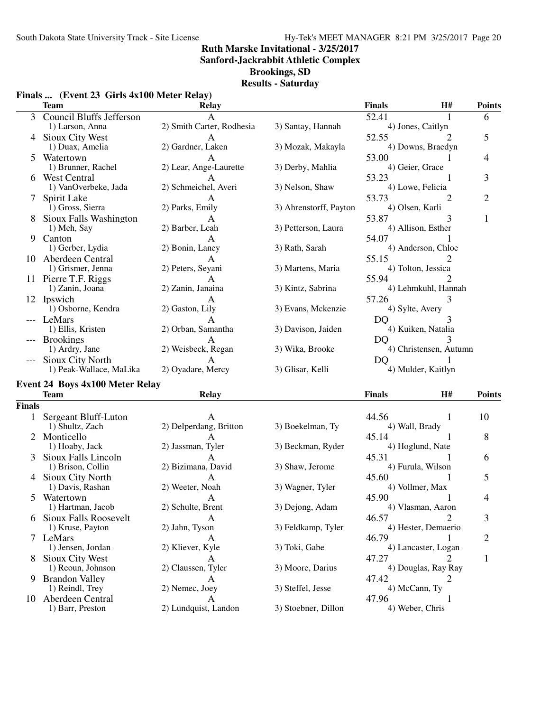**Sanford-Jackrabbit Athletic Complex**

**Brookings, SD**

|  |  | Finals  (Event 23 Girls 4x100 Meter Relay) |  |  |
|--|--|--------------------------------------------|--|--|
|--|--|--------------------------------------------|--|--|

|        | <b>Team</b>                                 | <b>Relay</b>              |                        | <b>Finals</b>                | H# | <b>Points</b>  |
|--------|---------------------------------------------|---------------------------|------------------------|------------------------------|----|----------------|
| 3      | <b>Council Bluffs Jefferson</b>             |                           |                        | 52.41                        |    | 6              |
|        | 1) Larson, Anna                             | 2) Smith Carter, Rodhesia | 3) Santay, Hannah      | 4) Jones, Caitlyn            |    |                |
|        | 4 Sioux City West                           | A                         |                        | 52.55                        |    | 5              |
|        | 1) Duax, Amelia                             | 2) Gardner, Laken         | 3) Mozak, Makayla      | 4) Downs, Braedyn            |    |                |
| 5      | Watertown                                   | A                         |                        | 53.00                        |    | $\overline{4}$ |
|        | 1) Brunner, Rachel                          | 2) Lear, Ange-Laurette    | 3) Derby, Mahlia       | 4) Geier, Grace              |    |                |
|        | 6 West Central                              | А                         |                        | 53.23                        |    | 3              |
|        | 1) VanOverbeke, Jada                        | 2) Schmeichel, Averi      | 3) Nelson, Shaw        | 4) Lowe, Felicia             |    |                |
| 7      | Spirit Lake                                 |                           |                        | 53.73                        | 2  | $\overline{2}$ |
|        | 1) Gross, Sierra                            | 2) Parks, Emily           | 3) Ahrenstorff, Payton | 4) Olsen, Karli              |    |                |
|        | Sioux Falls Washington                      | A                         |                        | 53.87                        | 3  | $\mathbf{1}$   |
|        | 1) Meh, Say                                 | 2) Barber, Leah           | 3) Petterson, Laura    | 4) Allison, Esther           |    |                |
| 9.     | Canton                                      | A                         |                        | 54.07                        |    |                |
|        | 1) Gerber, Lydia                            | 2) Bonin, Laney           | 3) Rath, Sarah         | 4) Anderson, Chloe           |    |                |
|        | 10 Aberdeen Central                         | A                         |                        | 55.15                        |    |                |
|        | 1) Grismer, Jenna                           | 2) Peters, Seyani         | 3) Martens, Maria      | 4) Tolton, Jessica           |    |                |
|        | 11 Pierre T.F. Riggs                        |                           |                        | 55.94                        |    |                |
|        | 1) Zanin, Joana                             | 2) Zanin, Janaina         | 3) Kintz, Sabrina      | 4) Lehmkuhl, Hannah          |    |                |
|        | 12 Ipswich                                  | A                         |                        | 57.26                        | 3  |                |
|        | 1) Osborne, Kendra                          | 2) Gaston, Lily           | 3) Evans, Mckenzie     | 4) Sylte, Avery              |    |                |
|        | --- LeMars                                  | A                         |                        | DQ                           | 3  |                |
|        | 1) Ellis, Kristen                           | 2) Orban, Samantha        | 3) Davison, Jaiden     | 4) Kuiken, Natalia           |    |                |
|        |                                             |                           |                        |                              |    |                |
|        | --- Brookings<br>1) Ardry, Jane             | A<br>2) Weisbeck, Regan   | 3) Wika, Brooke        | DQ<br>4) Christensen, Autumn |    |                |
|        |                                             |                           |                        |                              |    |                |
|        | Sioux City North<br>1) Peak-Wallace, MaLika | 2) Oyadare, Mercy         | 3) Glisar, Kelli       | DQ<br>4) Mulder, Kaitlyn     |    |                |
|        |                                             |                           |                        |                              |    |                |
|        | <b>Event 24 Boys 4x100 Meter Relay</b>      |                           |                        |                              |    |                |
|        | <b>Team</b>                                 | <b>Relay</b>              |                        | <b>Finals</b>                | H# | <b>Points</b>  |
| Finals |                                             |                           |                        |                              |    |                |
|        | 1 Sergeant Bluff-Luton                      | $\mathsf{A}$              |                        | 44.56                        | 1  | 10             |
|        | 1) Shultz, Zach                             | 2) Delperdang, Britton    | 3) Boekelman, Ty       | 4) Wall, Brady               |    |                |
|        | 2 Monticello                                | A                         |                        | 45.14                        |    | 8              |
|        | 1) Hoaby, Jack                              | 2) Jassman, Tyler         | 3) Beckman, Ryder      | 4) Hoglund, Nate             |    |                |
|        | Sioux Falls Lincoln                         | A                         |                        | 45.31                        |    | 6              |
|        | 1) Brison, Collin                           | 2) Bizimana, David        | 3) Shaw, Jerome        | 4) Furula, Wilson            |    |                |
|        | 4 Sioux City North                          | A                         |                        | 45.60                        | 1  | 5              |
|        | 1) Davis, Rashan                            | 2) Weeter, Noah           | 3) Wagner, Tyler       | 4) Vollmer, Max              |    |                |
| 5      | Watertown                                   | A                         |                        | 45.90                        | 1  | 4              |
|        | 1) Hartman, Jacob                           | 2) Schulte, Brent         | 3) Dejong, Adam        | 4) Vlasman, Aaron            |    |                |
|        | 6 Sioux Falls Roosevelt                     | А                         |                        | 46.57                        | 2  | 3              |
|        | 1) Kruse, Payton                            | 2) Jahn, Tyson            | 3) Feldkamp, Tyler     | 4) Hester, Demaerio          |    |                |
|        | 7 LeMars                                    | А                         |                        | 46.79                        |    | $\overline{2}$ |
|        | 1) Jensen, Jordan                           | 2) Kliever, Kyle          | 3) Toki, Gabe          | 4) Lancaster, Logan          |    |                |
| 8      | Sioux City West                             | A                         |                        | 47.27                        |    | 1              |
|        | 1) Reoun, Johnson                           | 2) Claussen, Tyler        | 3) Moore, Darius       | 4) Douglas, Ray Ray          |    |                |
| 9.     | <b>Brandon Valley</b>                       | A                         |                        | 47.42                        | 2  |                |
|        | 1) Reindl, Trey                             | 2) Nemec, Joey            | 3) Steffel, Jesse      | 4) McCann, Ty                |    |                |
|        | 10 Aberdeen Central                         | A                         |                        | 47.96                        |    |                |
|        | 1) Barr, Preston                            | 2) Lundquist, Landon      | 3) Stoebner, Dillon    | 4) Weber, Chris              |    |                |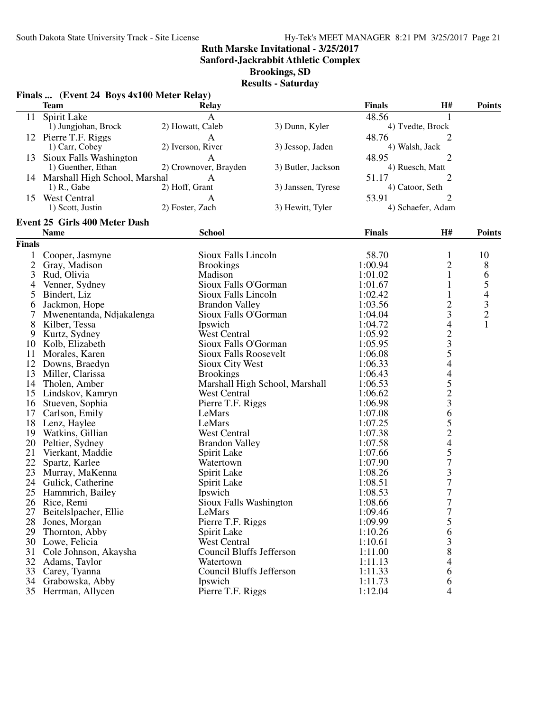**Sanford-Jackrabbit Athletic Complex**

**Brookings, SD**

|               | Finals  (Event 24 Boys 4x100 Meter Relay)<br><b>Team</b> | <b>Relay</b>                        |                                | <b>Finals</b> | <b>H#</b>                        | <b>Points</b>  |
|---------------|----------------------------------------------------------|-------------------------------------|--------------------------------|---------------|----------------------------------|----------------|
|               |                                                          | $\mathbf{A}$                        |                                | 48.56         |                                  |                |
| 11            | <b>Spirit Lake</b><br>1) Jungjohan, Brock                | 2) Howatt, Caleb                    | 3) Dunn, Kyler                 |               | 1<br>4) Tvedte, Brock            |                |
|               |                                                          |                                     |                                |               |                                  |                |
|               | 12 Pierre T.F. Riggs<br>1) Carr, Cobey                   | $\overline{A}$<br>2) Iverson, River |                                | 48.76         | $\overline{2}$<br>4) Walsh, Jack |                |
|               |                                                          |                                     | 3) Jessop, Jaden               |               |                                  |                |
| 13            | Sioux Falls Washington<br>1) Guenther, Ethan             | A<br>2) Crownover, Brayden          |                                | 48.95         | 2                                |                |
|               |                                                          |                                     | 3) Butler, Jackson             |               | 4) Ruesch, Matt                  |                |
|               | 14 Marshall High School, Marshal<br>1) R., Gabe          | $\mathbf{A}$<br>2) Hoff, Grant      |                                | 51.17         | 2                                |                |
|               |                                                          |                                     | 3) Janssen, Tyrese             |               | 4) Catoor, Seth                  |                |
| 15            | <b>West Central</b>                                      | A                                   |                                | 53.91         | 2                                |                |
|               | 1) Scott, Justin                                         | 2) Foster, Zach                     | 3) Hewitt, Tyler               |               | 4) Schaefer, Adam                |                |
|               | <b>Event 25 Girls 400 Meter Dash</b>                     |                                     |                                |               |                                  |                |
|               | <b>Name</b>                                              | <b>School</b>                       |                                | <b>Finals</b> | <b>H#</b>                        | <b>Points</b>  |
| <b>Finals</b> |                                                          |                                     |                                |               |                                  |                |
| 1             | Cooper, Jasmyne                                          | Sioux Falls Lincoln                 |                                | 58.70         | 1                                | 10             |
| 2             | Gray, Madison                                            | <b>Brookings</b>                    |                                | 1:00.94       | $\overline{c}$                   | 8              |
| 3             | Rud, Olivia                                              | Madison                             |                                | 1:01.02       | $\mathbf{1}$                     | 6              |
| 4             | Venner, Sydney                                           | Sioux Falls O'Gorman                |                                | 1:01.67       | $\mathbf{1}$                     | 5              |
| 5             | Bindert, Liz                                             | Sioux Falls Lincoln                 |                                | 1:02.42       | $\mathbf{1}$                     | $\overline{4}$ |
| 6             | Jackmon, Hope                                            | <b>Brandon Valley</b>               |                                | 1:03.56       | $\overline{c}$                   | $\frac{3}{2}$  |
| 7             | Mwenentanda, Ndjakalenga                                 | Sioux Falls O'Gorman                |                                | 1:04.04       | 3                                |                |
| 8             | Kilber, Tessa                                            | Ipswich                             |                                | 1:04.72       | $\overline{\mathcal{A}}$         | $\mathbf{1}$   |
| 9             | Kurtz, Sydney                                            | <b>West Central</b>                 |                                | 1:05.92       |                                  |                |
| 10            | Kolb, Elizabeth                                          | Sioux Falls O'Gorman                |                                | 1:05.95       |                                  |                |
| 11            | Morales, Karen                                           | <b>Sioux Falls Roosevelt</b>        |                                | 1:06.08       | 23544523                         |                |
| 12            | Downs, Braedyn                                           | Sioux City West                     |                                | 1:06.33       |                                  |                |
| 13            | Miller, Clarissa                                         | <b>Brookings</b>                    |                                | 1:06.43       |                                  |                |
| 14            | Tholen, Amber                                            |                                     | Marshall High School, Marshall | 1:06.53       |                                  |                |
| 15            | Lindskov, Kamryn                                         | <b>West Central</b>                 |                                | 1:06.62       |                                  |                |
| 16            | Stueven, Sophia                                          | Pierre T.F. Riggs                   |                                | 1:06.98       |                                  |                |
| 17            | Carlson, Emily                                           | LeMars                              |                                | 1:07.08       | 6                                |                |
| 18            | Lenz, Haylee                                             | LeMars                              |                                | 1:07.25       |                                  |                |
| 19            | Watkins, Gillian                                         | <b>West Central</b>                 |                                | 1:07.38       |                                  |                |
| 20            | Peltier, Sydney                                          | <b>Brandon Valley</b>               |                                | 1:07.58       | $\frac{5}{2}$<br>$\frac{4}{5}$   |                |
| 21            | Vierkant, Maddie                                         | Spirit Lake                         |                                | 1:07.66       |                                  |                |
| 22            | Spartz, Karlee                                           | Watertown                           |                                | 1:07.90       | $\overline{7}$                   |                |
| 23            | Murray, MaKenna                                          | Spirit Lake                         |                                | 1:08.26       | $\frac{3}{7}$                    |                |
| 24            | Gulick, Catherine                                        | Spirit Lake                         |                                | 1:08.51       |                                  |                |
| 25            | Hammrich, Bailey                                         | Ipswich                             |                                | 1:08.53       | 7                                |                |
| 26            | Rice, Remi                                               | Sioux Falls Washington              |                                | 1:08.66       | $\overline{7}$                   |                |
| 27            | Beitelslpacher, Ellie                                    | LeMars                              |                                | 1:09.46       | 7                                |                |
| 28            | Jones, Morgan                                            | Pierre T.F. Riggs                   |                                | 1:09.99       | 5                                |                |
| 29            | Thornton, Abby                                           | Spirit Lake                         |                                | 1:10.26       | 6                                |                |
|               | 30 Lowe, Felicia                                         | <b>West Central</b>                 |                                | 1:10.61       | 3                                |                |
| 31            | Cole Johnson, Akaysha                                    | Council Bluffs Jefferson            |                                | 1:11.00       | 8                                |                |
| 32            | Adams, Taylor                                            | Watertown                           |                                | 1:11.13       | 4                                |                |
| 33            | Carey, Tyanna                                            | Council Bluffs Jefferson            |                                | 1:11.33       | 6                                |                |
| 34            | Grabowska, Abby                                          | Ipswich                             |                                | 1:11.73       | 6                                |                |
|               | 35 Herrman, Allycen                                      | Pierre T.F. Riggs                   |                                | 1:12.04       | $\overline{4}$                   |                |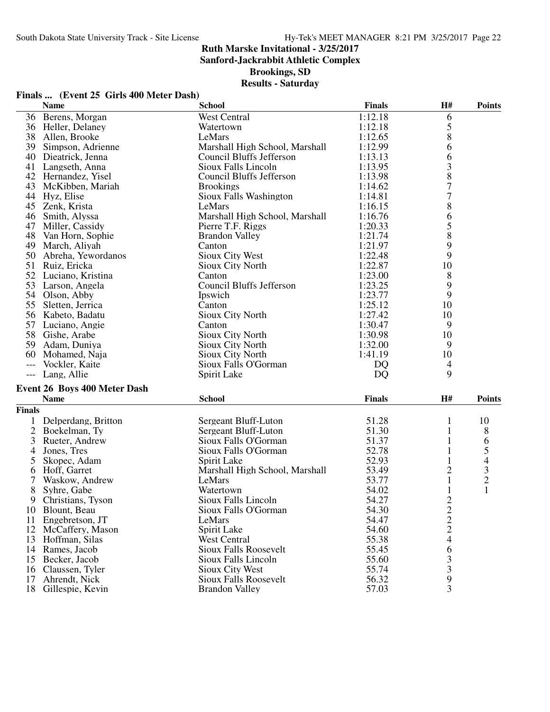**Finals ... (Event 25 Girls 400 Meter Dash)**

## **Ruth Marske Invitational - 3/25/2017**

**Sanford-Jackrabbit Athletic Complex**

**Brookings, SD**

## **Results - Saturday**

|                | <b>Name</b>                            | <b>School</b>                   | <b>Finals</b> | H#                           | <b>Points</b>  |
|----------------|----------------------------------------|---------------------------------|---------------|------------------------------|----------------|
|                | 36 Berens, Morgan                      | <b>West Central</b>             | 1:12.18       | 6                            |                |
|                | 36 Heller, Delaney                     | Watertown                       | 1:12.18       | 5                            |                |
|                | 38 Allen, Brooke                       | LeMars                          | 1:12.65       | 8                            |                |
|                | 39 Simpson, Adrienne                   | Marshall High School, Marshall  | 1:12.99       | 6                            |                |
|                | 40 Dieatrick, Jenna                    | Council Bluffs Jefferson        | 1:13.13       | 6                            |                |
|                | 41 Langseth, Anna                      | Sioux Falls Lincoln             | 1:13.95       | 3                            |                |
|                | 42 Hernandez, Yisel                    | Council Bluffs Jefferson        | 1:13.98       | 8                            |                |
|                | 43 McKibben, Mariah                    | <b>Brookings</b>                | 1:14.62       | $\overline{7}$               |                |
|                | 44 Hyz, Elise                          | Sioux Falls Washington          | 1:14.81       | $\sqrt{ }$                   |                |
|                | 45 Zenk, Krista                        | LeMars                          | 1:16.15       | 8                            |                |
| 46             | Smith, Alyssa                          | Marshall High School, Marshall  | 1:16.76       | 6                            |                |
|                | 47 Miller, Cassidy                     | Pierre T.F. Riggs               | 1:20.33       | 5                            |                |
|                | 48 Van Horn, Sophie                    | <b>Brandon Valley</b>           | 1:21.74       | 8                            |                |
|                | 49 March, Aliyah                       | Canton                          | 1:21.97       | 9                            |                |
| 50             | Abreha, Yewordanos                     | Sioux City West                 | 1:22.48       | 9                            |                |
| 51             | Ruiz, Ericka                           | Sioux City North                | 1:22.87       | 10                           |                |
| 52             | Luciano, Kristina                      | Canton                          | 1:23.00       | 8                            |                |
|                | 53 Larson, Angela                      | <b>Council Bluffs Jefferson</b> | 1:23.25       | 9                            |                |
|                | 54 Olson, Abby                         | Ipswich                         | 1:23.77       | 9                            |                |
|                | 55 Sletten, Jerrica                    | Canton                          | 1:25.12       | 10                           |                |
|                | 56 Kabeto, Badatu                      | Sioux City North                | 1:27.42       | 10                           |                |
|                | 57 Luciano, Angie                      | Canton                          | 1:30.47       | 9                            |                |
|                | 58 Gishe, Arabe                        | Sioux City North                | 1:30.98       | 10                           |                |
|                | 59 Adam, Duniya                        | Sioux City North                | 1:32.00       | 9                            |                |
|                | 60 Mohamed, Naja                       | Sioux City North                | 1:41.19       | 10                           |                |
| $---$          | Vockler, Kaite                         | Sioux Falls O'Gorman            | <b>DQ</b>     | $\overline{4}$               |                |
|                | --- Lang, Allie                        | Spirit Lake                     | DQ            | 9                            |                |
|                | <b>Event 26 Boys 400 Meter Dash</b>    |                                 |               |                              |                |
|                | <b>Name</b>                            | <b>School</b>                   | <b>Finals</b> | H#                           | <b>Points</b>  |
| <b>Finals</b>  |                                        |                                 |               |                              |                |
|                |                                        | Sergeant Bluff-Luton            | 51.28         | 1                            | 10             |
| $\overline{2}$ | 1 Delperdang, Britton<br>Boekelman, Ty | Sergeant Bluff-Luton            | 51.30         | $\mathbf{1}$                 |                |
| 3              |                                        | Sioux Falls O'Gorman            | 51.37         |                              | 8              |
|                | Rueter, Andrew<br>Jones, Tres          | Sioux Falls O'Gorman            | 52.78         | $\mathbf{1}$<br>$\mathbf{1}$ | 6<br>5         |
| 4<br>5         | Skopec, Adam                           | Spirit Lake                     | 52.93         | $\mathbf{1}$                 |                |
|                | Hoff, Garret                           | Marshall High School, Marshall  | 53.49         | 2                            | $\overline{4}$ |
| 6<br>7         | Waskow, Andrew                         | LeMars                          | 53.77         | $\mathbf{1}$                 | $\frac{3}{2}$  |
|                |                                        | Watertown                       | 54.02         | $\mathbf{1}$                 | $\mathbf{1}$   |
| 8<br>9         | Syhre, Gabe<br>Christians, Tyson       | Sioux Falls Lincoln             | 54.27         | $\overline{2}$               |                |
|                | 10 Blount, Beau                        | Sioux Falls O'Gorman            | 54.30         |                              |                |
| 11             | Engebretson, JT                        | LeMars                          | 54.47         | $\overline{\mathbf{c}}$      |                |
|                |                                        |                                 | 54.60         | $\frac{2}{2}$                |                |
| 13             | 12 McCaffery, Mason<br>Hoffman, Silas  | Spirit Lake<br>West Central     | 55.38         | $\overline{\mathcal{A}}$     |                |
| 14             | Rames, Jacob                           | <b>Sioux Falls Roosevelt</b>    | 55.45         | 6                            |                |
| 15             | Becker, Jacob                          | Sioux Falls Lincoln             | 55.60         | 3                            |                |
| 16             | Claussen, Tyler                        | <b>Sioux City West</b>          | 55.74         | $\mathfrak{Z}$               |                |
| 17             | Ahrendt, Nick                          | <b>Sioux Falls Roosevelt</b>    | 56.32         | 9                            |                |
|                |                                        |                                 |               |                              |                |

18 Gillespie, Kevin Brandon Valley 57.03 3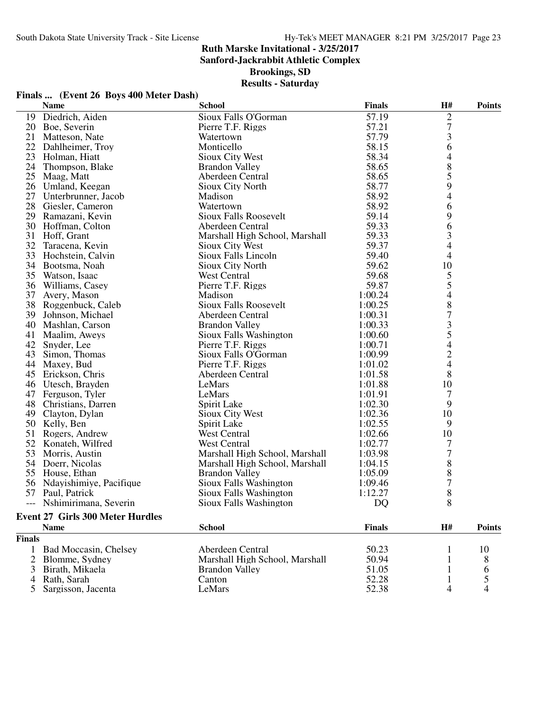**Sanford-Jackrabbit Athletic Complex**

**Brookings, SD**

|       |                                         | <b>Results - Saturday</b>      |               |                                       |               |
|-------|-----------------------------------------|--------------------------------|---------------|---------------------------------------|---------------|
|       | Finals  (Event 26 Boys 400 Meter Dash)  |                                |               |                                       |               |
|       | <b>Name</b>                             | <b>School</b>                  | <b>Finals</b> | H#                                    | <b>Points</b> |
|       | 19 Diedrich, Aiden                      | Sioux Falls O'Gorman           | 57.19         | $\overline{2}$                        |               |
|       | 20 Boe, Severin                         | Pierre T.F. Riggs              | 57.21         | $\sqrt{ }$                            |               |
| 21    | Matteson, Nate                          | Watertown                      | 57.79         | 3                                     |               |
|       | 22 Dahlheimer, Troy                     | Monticello                     | 58.15         | 6                                     |               |
|       | 23 Holman, Hiatt                        | Sioux City West                | 58.34         | $\overline{\mathcal{A}}$              |               |
|       | 24 Thompson, Blake                      | <b>Brandon Valley</b>          | 58.65         | $\begin{array}{c} 8 \\ 5 \end{array}$ |               |
|       | 25 Maag, Matt                           | Aberdeen Central               | 58.65         |                                       |               |
|       | 26 Umland, Keegan                       | Sioux City North               | 58.77         | 9                                     |               |
|       | 27 Unterbrunner, Jacob                  | Madison                        | 58.92         | $\overline{4}$                        |               |
|       | 28 Giesler, Cameron                     | Watertown                      | 58.92         | 6                                     |               |
|       | 29 Ramazani, Kevin                      | <b>Sioux Falls Roosevelt</b>   | 59.14         | 9                                     |               |
|       | 30 Hoffman, Colton                      | Aberdeen Central               | 59.33         | 6                                     |               |
|       | 31 Hoff, Grant                          | Marshall High School, Marshall | 59.33         | 3                                     |               |
|       | 32 Taracena, Kevin                      | Sioux City West                | 59.37         | $\overline{4}$                        |               |
|       | 33 Hochstein, Calvin                    | Sioux Falls Lincoln            | 59.40         | $\overline{4}$                        |               |
|       | 34 Bootsma, Noah                        | Sioux City North               | 59.62         | 10                                    |               |
|       | 35 Watson, Isaac                        | West Central                   | 59.68         | 5                                     |               |
|       | 36 Williams, Casey                      | Pierre T.F. Riggs              | 59.87         | 5                                     |               |
| 37    | Avery, Mason                            | Madison                        | 1:00.24       | $\overline{4}$                        |               |
|       | 38 Roggenbuck, Caleb                    | <b>Sioux Falls Roosevelt</b>   | 1:00.25       | $\,8\,$                               |               |
|       | 39 Johnson, Michael                     | Aberdeen Central               | 1:00.31       | 7                                     |               |
|       | 40 Mashlan, Carson                      | <b>Brandon Valley</b>          | 1:00.33       | 3                                     |               |
|       | 41 Maalim, Aweys                        | Sioux Falls Washington         | 1:00.60       | 5                                     |               |
|       | 42 Snyder, Lee                          | Pierre T.F. Riggs              | 1:00.71       | $\overline{4}$                        |               |
|       | 43 Simon, Thomas                        | Sioux Falls O'Gorman           | 1:00.99       | $\sqrt{2}$                            |               |
|       | 44 Maxey, Bud                           | Pierre T.F. Riggs              | 1:01.02       | $\overline{4}$                        |               |
|       | 45 Erickson, Chris                      | Aberdeen Central               | 1:01.58       | 8                                     |               |
|       | 46 Utesch, Brayden                      | LeMars                         | 1:01.88       | 10                                    |               |
|       | 47 Ferguson, Tyler                      | LeMars                         | 1:01.91       | $\tau$                                |               |
|       | 48 Christians, Darren                   | Spirit Lake                    | 1:02.30       | 9                                     |               |
|       | 49 Clayton, Dylan                       | Sioux City West                | 1:02.36       | 10                                    |               |
|       | 50 Kelly, Ben                           | Spirit Lake                    | 1:02.55       | 9                                     |               |
|       | 51 Rogers, Andrew                       | <b>West Central</b>            | 1:02.66       | 10                                    |               |
|       | 52 Konateh, Wilfred                     | West Central                   | 1:02.77       | 7                                     |               |
| 53    | Morris, Austin                          | Marshall High School, Marshall | 1:03.98       | $\overline{7}$                        |               |
|       | 54 Doerr, Nicolas                       | Marshall High School, Marshall | 1:04.15       | $8\,$                                 |               |
|       | 55 House, Ethan                         | <b>Brandon Valley</b>          | 1:05.09       | $\,8\,$                               |               |
|       | 56 Ndayishimiye, Pacifique              | Sioux Falls Washington         | 1:09.46       | $\overline{7}$                        |               |
|       | 57 Paul, Patrick                        | Sioux Falls Washington         | 1:12.27       | $8\,$                                 |               |
| $---$ | Nshimirimana, Severin                   | Sioux Falls Washington         | DQ            | 8                                     |               |
|       | <b>Event 27 Girls 300 Meter Hurdles</b> |                                |               |                                       |               |

|               | <b>Event 27 Girls 300 Meter Hurdles</b> |                                |               |    |               |  |  |
|---------------|-----------------------------------------|--------------------------------|---------------|----|---------------|--|--|
|               | <b>Name</b>                             | <b>School</b>                  | <b>Finals</b> | H# | <b>Points</b> |  |  |
| <b>Finals</b> |                                         |                                |               |    |               |  |  |
|               | <b>Bad Moccasin, Chelsey</b>            | Aberdeen Central               | 50.23         |    | 10            |  |  |
|               | 2 Blomme, Sydney                        | Marshall High School, Marshall | 50.94         |    |               |  |  |
|               | 3 Birath, Mikaela                       | <b>Brandon Valley</b>          | 51.05         |    |               |  |  |
|               | 4 Rath, Sarah                           | Canton                         | 52.28         |    |               |  |  |
|               | 5 Sargisson, Jacenta                    | LeMars                         | 52.38         |    |               |  |  |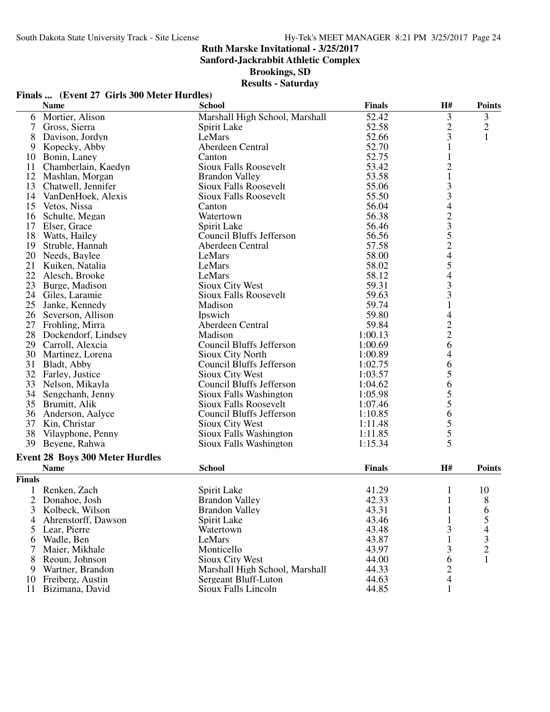**Sanford-Jackrabbit Athletic Complex**

**Brookings, SD**

| Finals  (Event 27 Girls 300 Meter Hurdles) |  |  |  |
|--------------------------------------------|--|--|--|
|--------------------------------------------|--|--|--|

|                | <b>Name</b>                            | <b>School</b>                   | <b>Finals</b> | H#                                              | <b>Points</b>  |
|----------------|----------------------------------------|---------------------------------|---------------|-------------------------------------------------|----------------|
| 6              | Mortier, Alison                        | Marshall High School, Marshall  | 52.42         | 3                                               | 3              |
| 7              | Gross, Sierra                          | Spirit Lake                     | 52.58         | $\overline{c}$                                  | $\overline{c}$ |
| 8              | Davison, Jordyn                        | LeMars                          | 52.66         | 3                                               | $\mathbf{1}$   |
| 9              | Kopecky, Abby                          | Aberdeen Central                | 52.70         | $\mathbf{1}$                                    |                |
| 10             | Bonin, Laney                           | Canton                          | 52.75         | 1                                               |                |
| 11             | Chamberlain, Kaedyn                    | <b>Sioux Falls Roosevelt</b>    | 53.42         | $\overline{c}$                                  |                |
|                | 12 Mashlan, Morgan                     | <b>Brandon Valley</b>           | 53.58         | $\mathbf{1}$                                    |                |
| 13             | Chatwell, Jennifer                     | Sioux Falls Roosevelt           | 55.06         |                                                 |                |
|                | 14 VanDenHoek, Alexis                  | <b>Sioux Falls Roosevelt</b>    | 55.50         | 33423524                                        |                |
| 15             | Vetos, Nissa                           | Canton                          | 56.04         |                                                 |                |
| 16             | Schulte, Megan                         | Watertown                       | 56.38         |                                                 |                |
| 17             | Elser, Grace                           | Spirit Lake                     | 56.46         |                                                 |                |
| 18             | Watts, Hailey                          | Council Bluffs Jefferson        | 56.56         |                                                 |                |
| 19             |                                        | Aberdeen Central                | 57.58         |                                                 |                |
|                | Struble, Hannah                        |                                 |               |                                                 |                |
| 20             | Needs, Baylee                          | LeMars                          | 58.00         |                                                 |                |
| 21             | Kuiken, Natalia                        | LeMars                          | 58.02         |                                                 |                |
| 22             | Alesch, Brooke                         | LeMars                          | 58.12         | $\begin{array}{c} 5 \\ 4 \\ 3 \\ 3 \end{array}$ |                |
| 23             | Burge, Madison                         | <b>Sioux City West</b>          | 59.31         |                                                 |                |
|                | 24 Giles, Laramie                      | <b>Sioux Falls Roosevelt</b>    | 59.63         |                                                 |                |
| 25             | Janke, Kennedy                         | Madison                         | 59.74         | $\,1$                                           |                |
|                | 26 Severson, Allison                   | Ipswich                         | 59.80         | $\overline{\mathcal{L}}$                        |                |
|                | 27 Frohling, Mirra                     | Aberdeen Central                | 59.84         |                                                 |                |
| 28             | Dockendorf, Lindsey                    | Madison                         | 1:00.13       | $\begin{array}{c} 2 \\ 2 \\ 6 \end{array}$      |                |
| 29             | Carroll, Alexcia                       | <b>Council Bluffs Jefferson</b> | 1:00.69       |                                                 |                |
| 30             | Martinez, Lorena                       | Sioux City North                | 1:00.89       | 4                                               |                |
| 31             | Bladt, Abby                            | Council Bluffs Jefferson        | 1:02.75       | 6                                               |                |
|                | 32 Farley, Justice                     | Sioux City West                 | 1:03.57       | 5                                               |                |
|                | 33 Nelson, Mikayla                     | Council Bluffs Jefferson        | 1:04.62       | 6                                               |                |
|                | 34 Sengchanh, Jenny                    | Sioux Falls Washington          | 1:05.98       |                                                 |                |
|                | 35 Brumitt, Alik                       | <b>Sioux Falls Roosevelt</b>    | 1:07.46       | $\frac{5}{5}$                                   |                |
| 36             | Anderson, Aalyce                       | Council Bluffs Jefferson        | 1:10.85       | 6                                               |                |
| 37             | Kin, Christar                          | Sioux City West                 | 1:11.48       |                                                 |                |
| 38             | Vilayphone, Penny                      | Sioux Falls Washington          | 1:11.85       |                                                 |                |
| 39             | Beyene, Rahwa                          | Sioux Falls Washington          | 1:15.34       | $\frac{5}{5}$                                   |                |
|                |                                        |                                 |               |                                                 |                |
|                | <b>Event 28 Boys 300 Meter Hurdles</b> |                                 |               |                                                 |                |
|                | <b>Name</b>                            | <b>School</b>                   | <b>Finals</b> | H#                                              | <b>Points</b>  |
| Finals         |                                        |                                 |               |                                                 |                |
|                | Renken, Zach                           | Spirit Lake                     | 41.29         | 1                                               | 10             |
| $\overline{2}$ | Donahoe, Josh                          | <b>Brandon Valley</b>           | 42.33         | $\mathbf{1}$                                    | 8              |
| 3              | Kolbeck, Wilson                        | <b>Brandon Valley</b>           | 43.31         | $\mathbf{1}$                                    | 6              |
| 4              | Ahrenstorff, Dawson                    | Spirit Lake                     | 43.46         | 1                                               | 5              |
| 5              | Lear, Pierre                           | Watertown                       | 43.48         | 3                                               | 4              |
| 6              | Wadle, Ben                             | LeMars                          | 43.87         | 1                                               | 3              |
|                | Maier, Mikhale                         | Monticello                      | 43.97         | 3                                               | $\overline{2}$ |
| 8              | Reoun, Johnson                         | <b>Sioux City West</b>          | 44.00         | 6                                               | $\mathbf{1}$   |
| 9              | Wartner, Brandon                       | Marshall High School, Marshall  | 44.33         | 2                                               |                |
| 10             | Freiberg, Austin                       | Sergeant Bluff-Luton            | 44.63         | 4                                               |                |
| 11             | Bizimana, David                        | Sioux Falls Lincoln             | 44.85         | 1                                               |                |
|                |                                        |                                 |               |                                                 |                |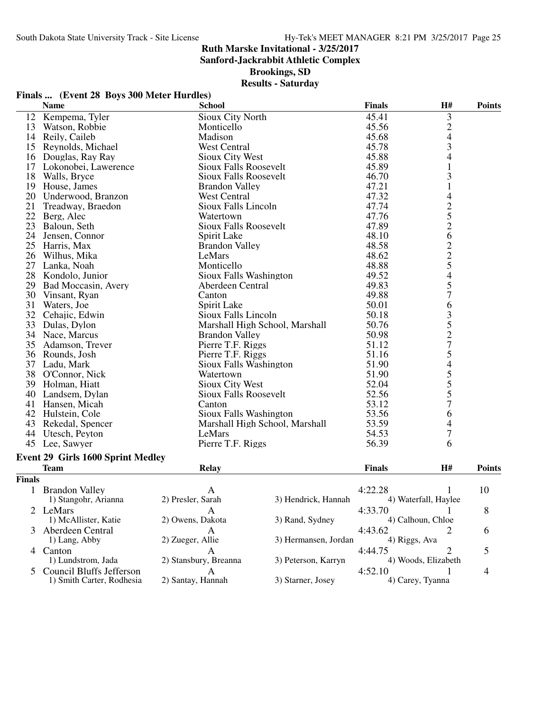**Sanford-Jackrabbit Athletic Complex**

**Brookings, SD**

|               | Finals  (Event 28 Boys 300 Meter Hurdles) |                              |                                |                |                                                 |                |
|---------------|-------------------------------------------|------------------------------|--------------------------------|----------------|-------------------------------------------------|----------------|
|               | <b>Name</b>                               | <b>School</b>                |                                | <b>Finals</b>  | H#                                              | <b>Points</b>  |
| 12            | Kempema, Tyler                            | Sioux City North             |                                | 45.41          | $\mathfrak{Z}$                                  |                |
| 13            | Watson, Robbie                            | Monticello                   |                                | 45.56          | $\frac{2}{4}$                                   |                |
|               | 14 Reily, Caileb                          | Madison                      |                                |                |                                                 |                |
|               | 15 Reynolds, Michael                      | West Central                 |                                | 45.68<br>45.78 | 3                                               |                |
|               | 16 Douglas, Ray Ray                       | <b>Sioux City West</b>       |                                |                | 4                                               |                |
|               | 17 Lokonobei, Lawerence                   | Sioux Falls Roosevelt        |                                | 45.88<br>45.89 | $\mathbf{1}$                                    |                |
|               | 18 Walls, Bryce                           | Sioux Falls Roosevelt        |                                | 46.70          | 3                                               |                |
| 19            | House, James                              | <b>Brandon Valley</b>        |                                | 47.21          | $\mathbf{1}$                                    |                |
|               | 20 Underwood, Branzon                     | West Central                 |                                | 47.32          | 4                                               |                |
| 21            | Treadway, Braedon                         | Sioux Falls Lincoln          |                                | 47.74          |                                                 |                |
| 22            | Berg, Alec                                | Watertown                    |                                | 47.76          | $\frac{2}{5}$                                   |                |
| 23            | Baloun, Seth                              | <b>Sioux Falls Roosevelt</b> |                                | 47.89          |                                                 |                |
| 24            | Jensen, Connor                            | Spirit Lake                  |                                | 48.10          | 6                                               |                |
| 25            | Harris, Max                               | <b>Brandon Valley</b>        |                                | 48.58          |                                                 |                |
| 26            | Wilhus, Mika                              | LeMars                       |                                | 48.62          | $\frac{2}{5}$                                   |                |
| 27            | Lanka, Noah                               | Monticello                   |                                | 48.88          |                                                 |                |
| 28            | Kondolo, Junior                           | Sioux Falls Washington       |                                | 49.52          | $\overline{\mathcal{L}}$                        |                |
| 29            | Bad Moccasin, Avery                       | Aberdeen Central             |                                | 49.83          | 5                                               |                |
| 30            | Vinsant, Ryan                             | Canton                       |                                | 49.88          | $\overline{7}$                                  |                |
| 31            | Waters, Joe                               | Spirit Lake                  |                                | 50.01          | 6                                               |                |
|               | 32 Cehajic, Edwin                         | Sioux Falls Lincoln          |                                | 50.18          |                                                 |                |
| 33            | Dulas, Dylon                              |                              | Marshall High School, Marshall | 50.76          |                                                 |                |
|               | 34 Nace, Marcus                           | <b>Brandon Valley</b>        |                                | 50.98          | $\begin{array}{c} 3 \\ 5 \\ 2 \\ 7 \end{array}$ |                |
| 35            | Adamson, Trever                           | Pierre T.F. Riggs            |                                | 51.12          |                                                 |                |
|               | 36 Rounds, Josh                           | Pierre T.F. Riggs            |                                | 51.16          | 5                                               |                |
|               | 37 Ladu, Mark                             | Sioux Falls Washington       |                                | 51.90          | $\overline{\mathcal{L}}$                        |                |
|               | 38 O'Connor, Nick                         | Watertown                    |                                | 51.90          |                                                 |                |
|               | 39 Holman, Hiatt                          | Sioux City West              |                                | 52.04          |                                                 |                |
|               | 40 Landsem, Dylan                         | Sioux Falls Roosevelt        |                                | 52.56          | 5<br>5<br>5<br>7                                |                |
|               | 41 Hansen, Micah                          | Canton                       |                                | 53.12          |                                                 |                |
|               | 42 Hulstein, Cole                         | Sioux Falls Washington       |                                | 53.56          | 6                                               |                |
|               | 43 Rekedal, Spencer                       |                              | Marshall High School, Marshall | 53.59          | 4                                               |                |
|               | 44 Utesch, Peyton                         | LeMars                       |                                | 54.53          | 7                                               |                |
|               | 45 Lee, Sawyer                            | Pierre T.F. Riggs            |                                | 56.39          | 6                                               |                |
|               | Event 29 Girls 1600 Sprint Medley         |                              |                                |                |                                                 |                |
|               | <b>Team</b>                               | <b>Relay</b>                 |                                | <b>Finals</b>  | H#                                              | <b>Points</b>  |
| <b>Finals</b> |                                           |                              |                                |                |                                                 |                |
| 1             | <b>Brandon Valley</b>                     | А                            |                                | 4:22.28        | 1                                               | 10             |
|               | 1) Stangohr, Arianna                      | 2) Presler, Sarah            | 3) Hendrick, Hannah            |                | 4) Waterfall, Haylee                            |                |
|               | 2 LeMars                                  | A                            |                                | 4:33.70        |                                                 | 8              |
|               | 1) McAllister, Katie                      | 2) Owens, Dakota             | 3) Rand, Sydney                |                | 4) Calhoun, Chloe                               |                |
|               | 3 Aberdeen Central                        | $\mathsf{A}$                 |                                | 4:43.62        | 2                                               | 6              |
|               | 1) Lang, Abby                             | 2) Zueger, Allie             | 3) Hermansen, Jordan           |                | 4) Riggs, Ava                                   |                |
|               | 4 Canton                                  | $\mathbf{A}$                 |                                | 4:44.75        | 2                                               | 5              |
|               | 1) Lundstrom, Jada                        | 2) Stansbury, Breanna        | 3) Peterson, Karryn            |                | 4) Woods, Elizabeth                             |                |
|               | 5 Council Bluffs Jefferson                | A                            |                                | 4:52.10        | 1                                               | $\overline{4}$ |
|               | 1) Smith Carter, Rodhesia                 | 2) Santay, Hannah            | 3) Starner, Josey              |                | 4) Carey, Tyanna                                |                |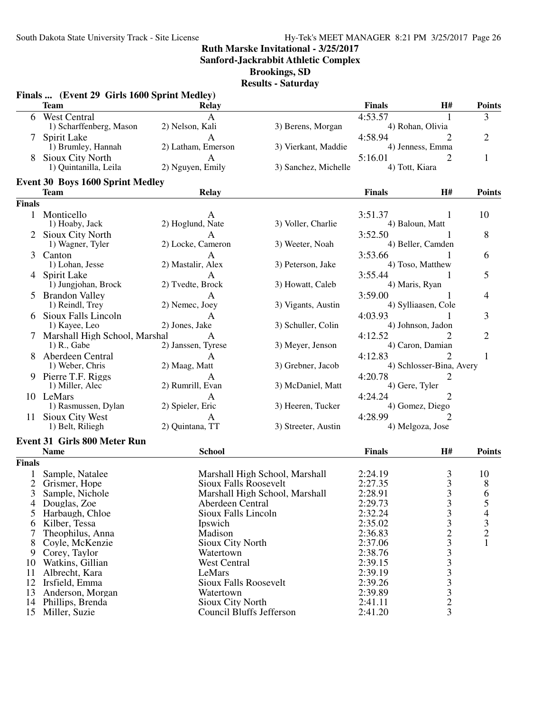**Sanford-Jackrabbit Athletic Complex**

**Brookings, SD**

|                | Finals  (Event 29 Girls 1600 Sprint Medley)<br><b>Team</b> | Relay                        |                                | <b>Finals</b>  | <b>H#</b>                                       | <b>Points</b>  |
|----------------|------------------------------------------------------------|------------------------------|--------------------------------|----------------|-------------------------------------------------|----------------|
|                | 6 West Central                                             | A                            |                                | 4:53.57        |                                                 | 3              |
|                | 1) Scharffenberg, Mason                                    | 2) Nelson, Kali              | 3) Berens, Morgan              |                | 4) Rohan, Olivia                                |                |
|                | 7 Spirit Lake                                              | A                            |                                | 4:58.94        |                                                 | $\overline{2}$ |
|                | 1) Brumley, Hannah                                         | 2) Latham, Emerson           | 3) Vierkant, Maddie            |                | 4) Jenness, Emma                                |                |
|                | <b>Sioux City North</b>                                    | A                            |                                | 5:16.01        | 2                                               | 1              |
|                | 1) Quintanilla, Leila                                      | 2) Nguyen, Emily             | 3) Sanchez, Michelle           | 4) Tott, Kiara |                                                 |                |
|                | <b>Event 30 Boys 1600 Sprint Medley</b>                    |                              |                                |                |                                                 |                |
|                | <b>Team</b>                                                | <b>Relay</b>                 |                                | <b>Finals</b>  | H#                                              | <b>Points</b>  |
| <b>Finals</b>  |                                                            |                              |                                |                |                                                 |                |
|                | 1 Monticello                                               | A                            |                                | 3:51.37        | 1                                               | 10             |
|                | 1) Hoaby, Jack                                             | 2) Hoglund, Nate             | 3) Voller, Charlie             |                | 4) Baloun, Matt                                 |                |
|                | 2 Sioux City North                                         | A                            |                                | 3:52.50        |                                                 | 8              |
|                | 1) Wagner, Tyler                                           | 2) Locke, Cameron            | 3) Weeter, Noah                |                | 4) Beller, Camden                               |                |
| 3              | Canton                                                     | A                            |                                | 3:53.66        |                                                 | 6              |
|                | 1) Lohan, Jesse                                            | 2) Mastalir, Alex            | 3) Peterson, Jake              |                | 4) Toso, Matthew                                |                |
|                | 4 Spirit Lake                                              | A                            |                                | 3:55.44        |                                                 | 5              |
|                | 1) Jungjohan, Brock                                        | 2) Tvedte, Brock             | 3) Howatt, Caleb               | 4) Maris, Ryan |                                                 |                |
|                | <b>Brandon Valley</b>                                      | A                            |                                | 3:59.00        | 1                                               | 4              |
|                | 1) Reindl, Trey                                            | 2) Nemec, Joey               | 3) Vigants, Austin             |                | 4) Sylliaasen, Cole                             |                |
|                | 6 Sioux Falls Lincoln                                      | A                            |                                | 4:03.93        |                                                 | 3              |
|                | 1) Kayee, Leo                                              | 2) Jones, Jake               | 3) Schuller, Colin             |                | 4) Johnson, Jadon                               |                |
|                | 7 Marshall High School, Marshal                            | A                            |                                | 4:12.52        | 2                                               | $\overline{2}$ |
|                | 1) R., Gabe                                                | 2) Janssen, Tyrese           | 3) Meyer, Jenson               |                | 4) Caron, Damian                                |                |
|                | Aberdeen Central                                           | A                            |                                | 4:12.83        | 2                                               | 1              |
|                | 1) Weber, Chris                                            | 2) Maag, Matt                | 3) Grebner, Jacob              |                | 4) Schlosser-Bina, Avery                        |                |
|                | 9 Pierre T.F. Riggs                                        | A                            |                                | 4:20.78        | 2                                               |                |
|                | 1) Miller, Alec                                            | 2) Rumrill, Evan             | 3) McDaniel, Matt              | 4) Gere, Tyler |                                                 |                |
|                | 10 LeMars                                                  | A                            |                                | 4:24.24        | 2                                               |                |
|                | 1) Rasmussen, Dylan                                        | 2) Spieler, Eric             | 3) Heeren, Tucker              |                | 4) Gomez, Diego                                 |                |
|                | 11 Sioux City West                                         |                              |                                | 4:28.99        |                                                 |                |
|                | 1) Belt, Riliegh                                           | 2) Quintana, TT              | 3) Streeter, Austin            |                | 4) Melgoza, Jose                                |                |
|                | <b>Event 31 Girls 800 Meter Run</b>                        |                              |                                |                |                                                 |                |
|                | <b>Name</b>                                                | <b>School</b>                |                                | <b>Finals</b>  | H#                                              | <b>Points</b>  |
| <b>Finals</b>  |                                                            |                              |                                |                |                                                 |                |
|                | Sample, Natalee                                            |                              | Marshall High School, Marshall | 2:24.19        | 3                                               | 10             |
| $\overline{2}$ | Grismer, Hope                                              | <b>Sioux Falls Roosevelt</b> |                                | 2:27.35        | 3                                               | 8              |
| 3              | Sample, Nichole                                            |                              | Marshall High School, Marshall | 2:28.91        |                                                 | 6              |
| 4              | Douglas, Zoe                                               | Aberdeen Central             |                                | 2:29.73        | $\frac{3}{3}$                                   | 5              |
| 5              | Harbaugh, Chloe                                            | Sioux Falls Lincoln          |                                | 2:32.24        | 3                                               | $\overline{4}$ |
| 6              | Kilber, Tessa                                              | Ipswich                      |                                | 2:35.02        | 3                                               | 3              |
| 7              | Theophilus, Anna                                           | Madison                      |                                | 2:36.83        | $\overline{c}$                                  | $\overline{c}$ |
| 8              | Coyle, McKenzie                                            | <b>Sioux City North</b>      |                                | 2:37.06        | $\begin{array}{c} 3 \\ 3 \\ 3 \end{array}$      |                |
| 9              | Corey, Taylor                                              | Watertown                    |                                | 2:38.76        |                                                 |                |
| 10             | Watkins, Gillian                                           | West Central                 |                                | 2:39.15        |                                                 |                |
| 11             | Albrecht, Kara                                             | LeMars                       |                                | 2:39.19        |                                                 |                |
| 12             | Irsfield, Emma                                             | <b>Sioux Falls Roosevelt</b> |                                | 2:39.26        |                                                 |                |
| 13             | Anderson, Morgan                                           | Watertown                    |                                | 2:39.89        | $\begin{array}{c} 3 \\ 3 \\ 2 \\ 3 \end{array}$ |                |
| 14             | Phillips, Brenda                                           | Sioux City North             |                                | 2:41.11        |                                                 |                |
| 15             | Miller, Suzie                                              | Council Bluffs Jefferson     |                                | 2:41.20        |                                                 |                |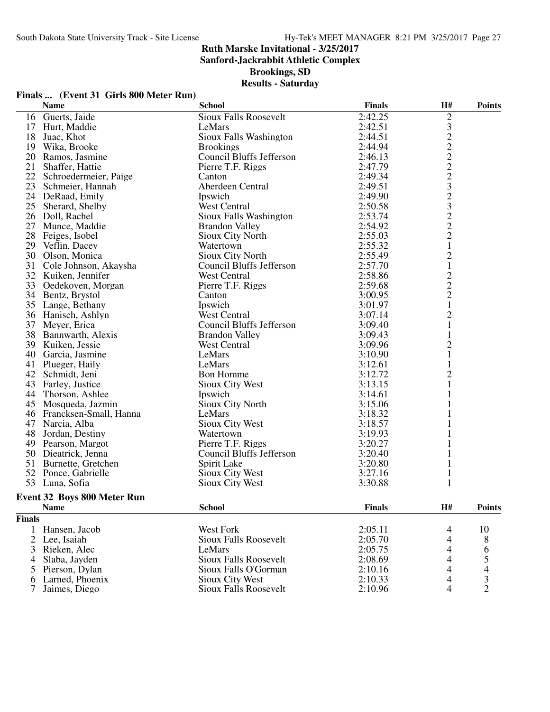**Sanford-Jackrabbit Athletic Complex**

**Brookings, SD**

## **Results - Saturday**

|                     |                                        | <b>INCOULLY</b> - DALUI UAY     |               |                |               |
|---------------------|----------------------------------------|---------------------------------|---------------|----------------|---------------|
|                     | Finals  (Event 31 Girls 800 Meter Run) |                                 |               |                |               |
| <b>Name</b>         |                                        | <b>School</b>                   | <b>Finals</b> | H#             | <b>Points</b> |
| 16 Guerts, Jaide    |                                        | <b>Sioux Falls Roosevelt</b>    | 2:42.25       | $\overline{c}$ |               |
| 17 Hurt, Maddie     |                                        | LeMars                          | 2:42.51       | 3              |               |
| 18<br>Juac, Khot    |                                        | Sioux Falls Washington          | 2:44.51       |                |               |
| 19                  | Wika, Brooke                           | <b>Brookings</b>                | 2:44.94       | $\frac{2}{2}$  |               |
| 20                  | Ramos, Jasmine                         | Council Bluffs Jefferson        | 2:46.13       |                |               |
| 21                  | Shaffer, Hattie                        | Pierre T.F. Riggs               | 2:47.79       | $\frac{2}{2}$  |               |
| 22                  | Schroedermeier, Paige                  | Canton                          | 2:49.34       |                |               |
| 23                  | Schmeier, Hannah                       | Aberdeen Central                | 2:49.51       | 3              |               |
| 24                  | DeRaad, Emily                          | Ipswich                         | 2:49.90       |                |               |
| 25                  | Sherard, Shelby                        | <b>West Central</b>             | 2:50.58       | $\frac{2}{3}$  |               |
| 26<br>Doll, Rachel  |                                        | Sioux Falls Washington          | 2:53.74       | $\frac{2}{2}$  |               |
| 27                  | Munce, Maddie                          | <b>Brandon Valley</b>           | 2:54.92       |                |               |
| 28                  | Feiges, Isobel                         | Sioux City North                | 2:55.03       | $\overline{c}$ |               |
| 29<br>Veflin, Dacey |                                        | Watertown                       | 2:55.32       |                |               |
| 30                  | Olson, Monica                          | Sioux City North                | 2:55.49       | $\overline{c}$ |               |
| 31                  | Cole Johnson, Akaysha                  | Council Bluffs Jefferson        | 2:57.70       | $\,1$          |               |
| 32                  | Kuiken, Jennifer                       | <b>West Central</b>             | 2:58.86       |                |               |
| 33                  | Oedekoven, Morgan                      | Pierre T.F. Riggs               | 2:59.68       |                |               |
| 34                  | Bentz, Brystol                         | Canton                          | 3:00.95       | $\frac{2}{2}$  |               |
| 35                  | Lange, Bethany                         | Ipswich                         | 3:01.97       | $\mathbf{1}$   |               |
| 36 Hanisch, Ashlyn  |                                        | <b>West Central</b>             | 3:07.14       | $\overline{2}$ |               |
| 37<br>Meyer, Erica  |                                        | <b>Council Bluffs Jefferson</b> | 3:09.40       |                |               |
|                     | 38 Bannwarth, Alexis                   | <b>Brandon Valley</b>           | 3:09.43       | 1              |               |
| 39                  | Kuiken, Jessie                         | <b>West Central</b>             | 3:09.96       | $\overline{c}$ |               |
| 40                  | Garcia, Jasmine                        | LeMars                          | 3:10.90       |                |               |
| 41                  | Plueger, Haily                         | LeMars                          | 3:12.61       |                |               |
| 42                  | Schmidt, Jeni                          | <b>Bon Homme</b>                | 3:12.72       | $\overline{c}$ |               |
| 43                  | Farley, Justice                        | Sioux City West                 | 3:13.15       |                |               |
| 44                  | Thorson, Ashlee                        | Ipswich                         | 3:14.61       |                |               |
| 45                  | Mosqueda, Jazmin                       | <b>Sioux City North</b>         | 3:15.06       |                |               |

|               | <b>Event 32 Boys 800 Meter Run</b> |                       |               |    |               |
|---------------|------------------------------------|-----------------------|---------------|----|---------------|
|               | <b>Name</b>                        | <b>School</b>         | <b>Finals</b> | H# | <b>Points</b> |
| <b>Finals</b> |                                    |                       |               |    |               |
|               | Hansen, Jacob                      | West Fork             | 2:05.11       | 4  | 10            |
|               | 2 Lee, Isaiah                      | Sioux Falls Roosevelt | 2:05.70       | 4  | 8             |
|               | 3 Rieken, Alec                     | LeMars                | 2:05.75       | 4  | 6             |
|               | 4 Slaba, Jayden                    | Sioux Falls Roosevelt | 2:08.69       | 4  |               |
|               | 5 Pierson, Dylan                   | Sioux Falls O'Gorman  | 2:10.16       | 4  |               |
|               | 6 Larned, Phoenix                  | Sioux City West       | 2:10.33       | 4  |               |
|               | Jaimes, Diego                      | Sioux Falls Roosevelt | 2:10.96       | 4  |               |

50 Council Bluffs Jefferson 3:20.40 1<br>Spirit Lake 3:20.80 1

45 Mosqueda, Jazmin Sioux City North 3:15.06 1<br>46 Francksen-Small, Hanna LeMars 2:18.32 1 Francksen-Small, Hanna LeMars 3:18.32 1 47 Narcia, Alba Sioux City West 3:18.57 1<br>48 Jordan, Destiny Watertown 3:19.93 1 48 Jordan, Destiny Watertown 3:19.93 1<br>49 Pearson, Margot Pierre T.F. Riggs 3:20.27 1 Pearson, Margot Pierre T.F. Riggs 3:20.27 1

51 Burnette, Gretchen Spirit Lake 3:20.80 1<br>52 Ponce, Gabrielle Sioux City West 3:27.16 1 52 Ponce, Gabrielle Sioux City West 3:27.16 1<br>53 Luna, Sofia Sioux City West 3:30.88 1 Sioux City West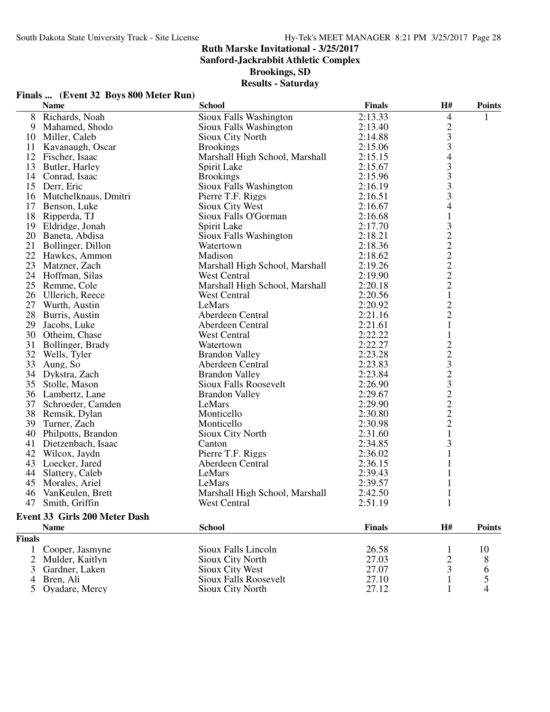**Sanford-Jackrabbit Athletic Complex**

**Brookings, SD**

| Finals  (Event 32 Boys 800 Meter Run) |  |  |
|---------------------------------------|--|--|
|                                       |  |  |

|                | <b>Name</b>                          | <b>School</b>                  | <b>Finals</b> | H#                         | <b>Points</b> |
|----------------|--------------------------------------|--------------------------------|---------------|----------------------------|---------------|
|                | 8 Richards, Noah                     | Sioux Falls Washington         | 2:13.33       | 4                          | 1             |
|                | 9 Mahamed, Shodo                     | Sioux Falls Washington         | 2:13.40       |                            |               |
| 10             | Miller, Caleb                        | Sioux City North               | 2:14.88       |                            |               |
|                | 11 Kavanaugh, Oscar                  | <b>Brookings</b>               | 2:15.06       |                            |               |
|                | 12 Fischer, Isaac                    | Marshall High School, Marshall | 2:15.15       |                            |               |
| 13             | Butler, Harley                       | Spirit Lake                    | 2:15.67       |                            |               |
|                | 14 Conrad, Isaac                     | <b>Brookings</b>               | 2:15.96       |                            |               |
|                | 15 Derr, Eric                        | Sioux Falls Washington         | 2:16.19       | $2334333$<br>$333$<br>$33$ |               |
|                | 16 Mutchelknaus, Dmitri              | Pierre T.F. Riggs              | 2:16.51       |                            |               |
|                | 17 Benson, Luke                      | Sioux City West                | 2:16.67       |                            |               |
|                | 18 Ripperda, TJ                      | Sioux Falls O'Gorman           | 2:16.68       | $\mathbf{1}$               |               |
| 19             | Eldridge, Jonah                      | Spirit Lake                    | 2:17.70       |                            |               |
|                | 20 Baneta, Abdisa                    | Sioux Falls Washington         | 2:18.21       | 3222222                    |               |
|                | 21 Bollinger, Dillon                 | Watertown                      | 2:18.36       |                            |               |
|                | 22 Hawkes, Ammon                     | Madison                        | 2:18.62       |                            |               |
|                | 23 Matzner, Zach                     | Marshall High School, Marshall | 2:19.26       |                            |               |
|                | 24 Hoffman, Silas                    | <b>West Central</b>            | 2:19.90       |                            |               |
| 25             | Remme, Cole                          | Marshall High School, Marshall | 2:20.18       |                            |               |
|                | 26 Ullerich, Reece                   | West Central                   | 2:20.56       | $\mathbf{1}$               |               |
|                | 27 Wurth, Austin                     | LeMars                         | 2:20.92       |                            |               |
| 28             | Burris, Austin                       | Aberdeen Central               | 2:21.16       | $\frac{2}{2}$              |               |
| 29             | Jacobs, Luke                         | Aberdeen Central               | 2:21.61       | $\mathbf{1}$               |               |
| 30             | Otheim, Chase                        | West Central                   | 2:22.22       | $\mathbf{1}$               |               |
| 31             | Bollinger, Brady                     | Watertown                      | 2:22.27       |                            |               |
| 32             | Wells, Tyler                         | <b>Brandon Valley</b>          | 2:23.28       | 22323222                   |               |
| 33             | Aung, So                             | Aberdeen Central               | 2:23.83       |                            |               |
|                | 34 Dykstra, Zach                     | <b>Brandon Valley</b>          | 2:23.84       |                            |               |
| 35             | Stolle, Mason                        | Sioux Falls Roosevelt          | 2:26.90       |                            |               |
|                | 36 Lambertz, Lane                    | <b>Brandon Valley</b>          | 2:29.67       |                            |               |
| 37             | Schroeder, Camden                    | LeMars                         | 2:29.90       |                            |               |
| 38             | Remsik, Dylan                        | Monticello                     | 2:30.80       |                            |               |
| 39             | Turner, Zach                         | Monticello                     | 2:30.98       |                            |               |
|                | 40 Philpotts, Brandon                | Sioux City North               | 2:31.60       | $\mathbf{1}$               |               |
|                | 41 Dietzenbach, Isaac                | Canton                         | 2:34.85       | 3                          |               |
|                | 42 Wilcox, Jaydn                     | Pierre T.F. Riggs              | 2:36.02       | $\mathbf{1}$               |               |
|                | 43 Loecker, Jared                    | Aberdeen Central               | 2:36.15       | 1                          |               |
|                | 44 Slattery, Caleb                   | LeMars                         | 2:39.43       | 1                          |               |
| 45             | Morales, Ariel                       | LeMars                         | 2:39.57       |                            |               |
| 46             | VanKeulen, Brett                     | Marshall High School, Marshall | 2:42.50       |                            |               |
|                | 47 Smith, Griffin                    | West Central                   | 2:51.19       |                            |               |
|                |                                      |                                |               |                            |               |
|                | <b>Event 33 Girls 200 Meter Dash</b> |                                |               |                            |               |
|                | <b>Name</b>                          | <b>School</b>                  | <b>Finals</b> | H#                         | <b>Points</b> |
| <b>Finals</b>  |                                      |                                |               |                            |               |
| 1              | Cooper, Jasmyne                      | Sioux Falls Lincoln            | 26.58         | 1                          | 10            |
| $\overline{2}$ | Mulder, Kaitlyn                      | Sioux City North               | 27.03         | $\overline{c}$             | 8             |
| 3              | Gardner, Laken                       | Sioux City West                | 27.07         | 3                          | 6             |
| 4              | Bren, Ali                            | <b>Sioux Falls Roosevelt</b>   | 27.10         | $\mathbf{1}$               | 5             |
| 5              | Oyadare, Mercy                       | Sioux City North               | 27.12         | 1                          | 4             |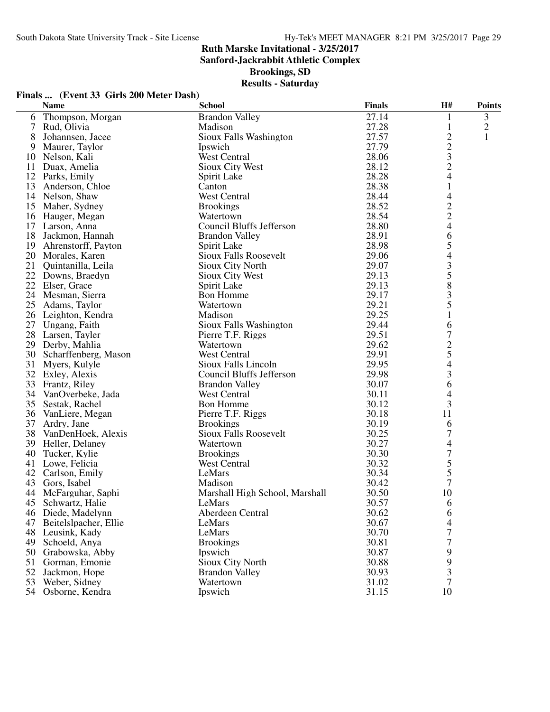**Sanford-Jackrabbit Athletic Complex**

**Brookings, SD**

| Finals  (Event 33 Girls 200 Meter Dash) |  |
|-----------------------------------------|--|
|-----------------------------------------|--|

|    | <b>Name</b>             | <b>School</b>                  | <b>Finals</b> | H#               | <b>Points</b> |
|----|-------------------------|--------------------------------|---------------|------------------|---------------|
|    | 6 Thompson, Morgan      | <b>Brandon Valley</b>          | 27.14         | 1                | 3             |
| 7  | Rud, Olivia             | Madison                        | 27.28         | 1                | $\mathbf{2}$  |
| 8  | Johannsen, Jacee        | Sioux Falls Washington         | 27.57         | $\overline{c}$   | 1             |
| 9  | Maurer, Taylor          | Ipswich                        | 27.79         | $\overline{2}$   |               |
| 10 | Nelson, Kali            | <b>West Central</b>            | 28.06         | 3                |               |
| 11 | Duax, Amelia            | Sioux City West                | 28.12         | $\overline{c}$   |               |
|    | 12 Parks, Emily         | Spirit Lake                    | 28.28         | $\overline{4}$   |               |
| 13 | Anderson, Chloe         | Canton                         | 28.38         | $\mathbf{1}$     |               |
|    | 14 Nelson, Shaw         | <b>West Central</b>            | 28.44         | 4                |               |
|    | 15 Maher, Sydney        | <b>Brookings</b>               | 28.52         | $\overline{c}$   |               |
|    | 16 Hauger, Megan        | Watertown                      | 28.54         | $\overline{c}$   |               |
| 17 | Larson, Anna            | Council Bluffs Jefferson       | 28.80         | $\overline{4}$   |               |
| 18 | Jackmon, Hannah         | <b>Brandon Valley</b>          | 28.91         | 6                |               |
| 19 | Ahrenstorff, Payton     | Spirit Lake                    | 28.98         | 5                |               |
|    | 20 Morales, Karen       | <b>Sioux Falls Roosevelt</b>   | 29.06         | 4                |               |
| 21 | Quintanilla, Leila      | Sioux City North               | 29.07         | $\mathfrak{Z}$   |               |
|    | 22 Downs, Braedyn       | Sioux City West                | 29.13         | 5                |               |
|    | 22 Elser, Grace         | Spirit Lake                    | 29.13         | 8                |               |
|    | 24 Mesman, Sierra       | <b>Bon Homme</b>               | 29.17         | 3                |               |
| 25 | Adams, Taylor           | Watertown                      | 29.21         | 5                |               |
|    | 26 Leighton, Kendra     | Madison                        | 29.25         | $\mathbf{1}$     |               |
| 27 | Ungang, Faith           | Sioux Falls Washington         | 29.44         | 6                |               |
|    | 28 Larsen, Tayler       | Pierre T.F. Riggs              | 29.51         | 7                |               |
| 29 | Derby, Mahlia           | Watertown                      | 29.62         |                  |               |
|    | 30 Scharffenberg, Mason | West Central                   | 29.91         | $rac{2}{5}$      |               |
| 31 | Myers, Kulyle           | Sioux Falls Lincoln            | 29.95         | 4                |               |
|    | 32 Exley, Alexis        | Council Bluffs Jefferson       | 29.98         | $\mathfrak{Z}$   |               |
|    | 33 Frantz, Riley        | <b>Brandon Valley</b>          | 30.07         | 6                |               |
| 34 | VanOverbeke, Jada       | West Central                   | 30.11         | 4                |               |
| 35 | Sestak, Rachel          | <b>Bon Homme</b>               | 30.12         | 3                |               |
|    | 36 VanLiere, Megan      | Pierre T.F. Riggs              | 30.18         | 11               |               |
| 37 | Ardry, Jane             | <b>Brookings</b>               | 30.19         | 6                |               |
| 38 | VanDenHoek, Alexis      | <b>Sioux Falls Roosevelt</b>   | 30.25         | $\boldsymbol{7}$ |               |
|    | 39 Heller, Delaney      | Watertown                      | 30.27         | 4                |               |
| 40 | Tucker, Kylie           | <b>Brookings</b>               | 30.30         | 7                |               |
| 41 | Lowe, Felicia           | <b>West Central</b>            | 30.32         | 5                |               |
| 42 | Carlson, Emily          | LeMars                         | 30.34         | 5                |               |
| 43 | Gors, Isabel            | Madison                        | 30.42         | 7                |               |
|    | 44 McFarguhar, Saphi    | Marshall High School, Marshall | 30.50         | 10               |               |
|    | 45 Schwartz, Halie      | LeMars                         | 30.57         | 6                |               |
|    | 46 Diede, Madelynn      | Aberdeen Central               | 30.62         |                  |               |
| 47 | Beitelslpacher, Ellie   | LeMars                         | 30.67         | 6<br>4           |               |
| 48 | Leusink, Kady           | LeMars                         | 30.70         | 7                |               |
| 49 | Schoeld, Anya           | <b>Brookings</b>               | 30.81         | 7                |               |
|    |                         |                                | 30.87         |                  |               |
| 50 | Grabowska, Abby         | Ipswich                        |               | 9<br>9           |               |
| 51 | Gorman, Emonie          | Sioux City North               | 30.88         |                  |               |
| 52 | Jackmon, Hope           | <b>Brandon Valley</b>          | 30.93         | 3                |               |
| 53 | Weber, Sidney           | Watertown                      | 31.02         | 7                |               |
| 54 | Osborne, Kendra         | Ipswich                        | 31.15         | 10               |               |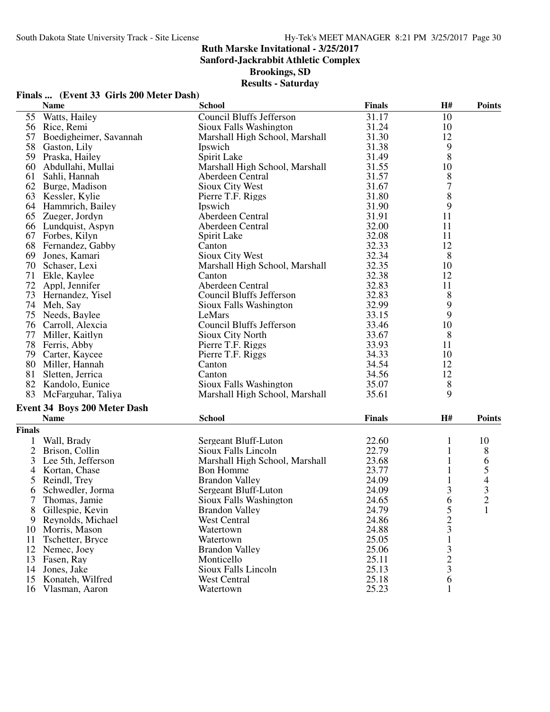**Sanford-Jackrabbit Athletic Complex**

**Brookings, SD**

## **Results - Saturday**

|               | Finals  (Event 33 Girls 200 Meter Dash) |                                 |               |                |               |
|---------------|-----------------------------------------|---------------------------------|---------------|----------------|---------------|
|               | <b>Name</b>                             | <b>School</b>                   | <b>Finals</b> | H#             | <b>Points</b> |
| 55            | Watts, Hailey                           | <b>Council Bluffs Jefferson</b> | 31.17         | 10             |               |
|               | 56 Rice, Remi                           | Sioux Falls Washington          | 31.24         | 10             |               |
| 57            | Boedigheimer, Savannah                  | Marshall High School, Marshall  | 31.30         | 12             |               |
|               | 58 Gaston, Lily                         | Ipswich                         | 31.38         | 9              |               |
|               | 59 Praska, Hailey                       | Spirit Lake                     | 31.49         | 8              |               |
| 60            | Abdullahi, Mullai                       | Marshall High School, Marshall  | 31.55         | 10             |               |
| 61            | Sahli, Hannah                           | Aberdeen Central                | 31.57         | 8              |               |
|               | 62 Burge, Madison                       | Sioux City West                 | 31.67         | 7              |               |
|               | 63 Kessler, Kylie                       | Pierre T.F. Riggs               | 31.80         | 8              |               |
|               | 64 Hammrich, Bailey                     | Ipswich                         | 31.90         | 9              |               |
|               | 65 Zueger, Jordyn                       | Aberdeen Central                | 31.91         | 11             |               |
|               | 66 Lundquist, Aspyn                     | Aberdeen Central                | 32.00         | 11             |               |
| 67            | Forbes, Kilyn                           | Spirit Lake                     | 32.08         | 11             |               |
| 68            | Fernandez, Gabby                        | Canton                          | 32.33         | 12             |               |
| 69            | Jones, Kamari                           | Sioux City West                 | 32.34         | 8              |               |
|               | 70 Schaser, Lexi                        | Marshall High School, Marshall  | 32.35         | 10             |               |
| 71            | Ekle, Kaylee                            | Canton                          | 32.38         | 12             |               |
|               | 72 Appl, Jennifer                       | Aberdeen Central                | 32.83         | 11             |               |
|               | 73 Hernandez, Yisel                     | Council Bluffs Jefferson        | 32.83         | 8              |               |
|               | 74 Meh, Say                             | Sioux Falls Washington          | 32.99         | 9              |               |
|               | 75 Needs, Baylee                        | LeMars                          | 33.15         | 9              |               |
|               | 76 Carroll, Alexcia                     | Council Bluffs Jefferson        | 33.46         | 10             |               |
| 77            | Miller, Kaitlyn                         | Sioux City North                | 33.67         | 8              |               |
|               | 78 Ferris, Abby                         | Pierre T.F. Riggs               | 33.93         | 11             |               |
|               | 79 Carter, Kaycee                       | Pierre T.F. Riggs               | 34.33         | 10             |               |
|               | 80 Miller, Hannah                       | Canton                          | 34.54         | 12             |               |
| 81            | Sletten, Jerrica                        | Canton                          | 34.56         | 12             |               |
|               | 82 Kandolo, Eunice                      | Sioux Falls Washington          | 35.07         | 8              |               |
|               | 83 McFarguhar, Taliya                   | Marshall High School, Marshall  | 35.61         | 9              |               |
|               | Event 34 Boys 200 Meter Dash            |                                 |               |                |               |
|               | <b>Name</b>                             | <b>School</b>                   | <b>Finals</b> | H#             | <b>Points</b> |
| <b>Finals</b> |                                         |                                 |               |                |               |
| 1             | Wall, Brady                             | Sergeant Bluff-Luton            | 22.60         | 1              | 10            |
|               | 2 Brison, Collin                        | Sioux Falls Lincoln             | 22.79         | $\mathbf{1}$   | 8             |
| 3             | Lee 5th, Jefferson                      | Marshall High School, Marshall  | 23.68         | 1              | 6             |
| 4             | Kortan, Chase                           | <b>Bon Homme</b>                | 23.77         | 1              | 5             |
| 5             | Reindl, Trey                            | <b>Brandon Valley</b>           | 24.09         | 1              | 4             |
| 6             | Schwedler, Jorma                        | Sergeant Bluff-Luton            | 24.09         | 3              | 3             |
|               | Thomas, Jamie                           | Sioux Falls Washington          | 24.65         | 6              |               |
| 8             | Gillespie, Kevin                        | <b>Brandon Valley</b>           | 24.79         | 5              | $\frac{2}{1}$ |
|               | 9 Reynolds, Michael                     | <b>West Central</b>             | 24.86         | $\overline{c}$ |               |
|               | 10 Morris, Mason                        | Watertown                       | 24.88         | 3              |               |
| 11            | Tschetter, Bryce                        | Watertown                       | 25.05         | 1              |               |
|               | 12 Nemec, Joey                          | <b>Brandon Valley</b>           | 25.06         | 3              |               |
|               | 13 Fasen, Ray                           | Monticello                      | 25.11         | $\overline{c}$ |               |
|               | 14 Jones, Jake                          | Sioux Falls Lincoln             | 25.13         | 3              |               |
|               | 15 Konateh, Wilfred                     | West Central                    | 25.18         | 6              |               |
|               | 16 Vlasman, Aaron                       | Watertown                       | 25.23         |                |               |
|               |                                         |                                 |               |                |               |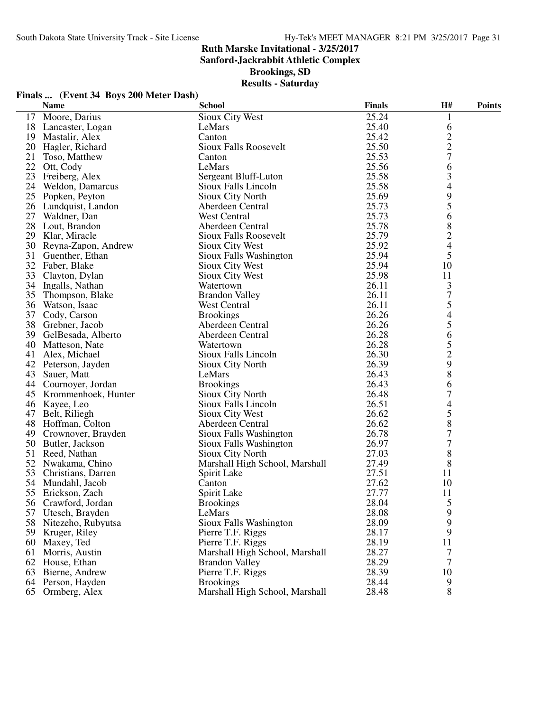**Finals ... (Event 34 Boys 200 Meter Dash)**

## **Ruth Marske Invitational - 3/25/2017**

**Sanford-Jackrabbit Athletic Complex**

**Brookings, SD**

|    | <b>Name</b>            | <b>School</b>                  | <b>Finals</b> | <b>H#</b>      | <b>Points</b> |
|----|------------------------|--------------------------------|---------------|----------------|---------------|
|    | 17 Moore, Darius       | Sioux City West                | 25.24         |                |               |
|    | 18 Lancaster, Logan    | LeMars                         | 25.40         | 6              |               |
|    | 19 Mastalir, Alex      | Canton                         | 25.42         |                |               |
|    | 20 Hagler, Richard     | <b>Sioux Falls Roosevelt</b>   | 25.50         | $\frac{2}{2}$  |               |
| 21 | Toso, Matthew          | Canton                         | 25.53         | $\overline{7}$ |               |
|    | 22 Ott, Cody           | LeMars                         | 25.56         | 6              |               |
|    | 23 Freiberg, Alex      | Sergeant Bluff-Luton           | 25.58         | 3              |               |
|    | 24 Weldon, Damarcus    | Sioux Falls Lincoln            | 25.58         | 4              |               |
|    | 25 Popken, Peyton      | Sioux City North               | 25.69         |                |               |
|    | 26 Lundquist, Landon   | Aberdeen Central               | 25.73         | $\frac{9}{5}$  |               |
| 27 | Waldner, Dan           | <b>West Central</b>            | 25.73         | 6              |               |
|    | 28 Lout, Brandon       | Aberdeen Central               | 25.78         | 8              |               |
|    | 29 Klar, Miracle       | <b>Sioux Falls Roosevelt</b>   | 25.79         | $\overline{c}$ |               |
|    | 30 Reyna-Zapon, Andrew | Sioux City West                | 25.92         | 4              |               |
| 31 | Guenther, Ethan        | Sioux Falls Washington         | 25.94         | 5              |               |
|    | 32 Faber, Blake        | Sioux City West                | 25.94         | 10             |               |
|    | 33 Clayton, Dylan      | Sioux City West                | 25.98         | 11             |               |
|    | 34 Ingalls, Nathan     | Watertown                      | 26.11         | 3              |               |
|    | 35 Thompson, Blake     | <b>Brandon Valley</b>          | 26.11         | $\sqrt{ }$     |               |
|    | 36 Watson, Isaac       | <b>West Central</b>            | 26.11         | 5              |               |
| 37 | Cody, Carson           | <b>Brookings</b>               | 26.26         |                |               |
|    | 38 Grebner, Jacob      | Aberdeen Central               | 26.26         | $\frac{4}{5}$  |               |
|    | 39 GelBesada, Alberto  | Aberdeen Central               | 26.28         | 6              |               |
|    | 40 Matteson, Nate      | Watertown                      | 26.28         | 5              |               |
|    | 41 Alex, Michael       | Sioux Falls Lincoln            | 26.30         | $\overline{c}$ |               |
|    | 42 Peterson, Jayden    | Sioux City North               | 26.39         | 9              |               |
|    | 43 Sauer, Matt         | LeMars                         | 26.43         | 8              |               |
|    | 44 Cournoyer, Jordan   | <b>Brookings</b>               | 26.43         | 6              |               |
|    | 45 Krommenhoek, Hunter | <b>Sioux City North</b>        | 26.48         | $\overline{7}$ |               |
|    | 46 Kayee, Leo          | Sioux Falls Lincoln            | 26.51         | 4              |               |
|    | 47 Belt, Riliegh       | Sioux City West                | 26.62         | 5              |               |
|    | 48 Hoffman, Colton     | Aberdeen Central               | 26.62         | 8              |               |
|    | 49 Crownover, Brayden  | Sioux Falls Washington         | 26.78         | 7              |               |
|    | 50 Butler, Jackson     | Sioux Falls Washington         | 26.97         | 7              |               |
|    | 51 Reed, Nathan        | Sioux City North               | 27.03         | 8              |               |
|    | 52 Nwakama, Chino      | Marshall High School, Marshall | 27.49         | 8              |               |
|    | 53 Christians, Darren  | Spirit Lake                    | 27.51         | 11             |               |
|    | 54 Mundahl, Jacob      | Canton                         | 27.62         | 10             |               |
|    | 55 Erickson, Zach      | Spirit Lake                    | 27.77         | 11             |               |
|    | 56 Crawford, Jordan    | <b>Brookings</b>               | 28.04         | 5              |               |
|    | 57 Utesch, Brayden     | LeMars                         | 28.08         | 9              |               |
|    | 58 Nitezeho, Rubyutsa  | Sioux Falls Washington         | 28.09         | 9              |               |
|    | 59 Kruger, Riley       | Pierre T.F. Riggs              | 28.17         | 9              |               |
|    | 60 Maxey, Ted          | Pierre T.F. Riggs              | 28.19         | 11             |               |
|    | 61 Morris, Austin      | Marshall High School, Marshall | 28.27         | 7              |               |
|    | 62 House, Ethan        | <b>Brandon Valley</b>          | 28.29         | 7              |               |
|    | 63 Bierne, Andrew      | Pierre T.F. Riggs              | 28.39         | 10             |               |
|    | 64 Person, Hayden      | <b>Brookings</b>               | 28.44         | 9              |               |
|    | 65 Ormberg, Alex       | Marshall High School, Marshall | 28.48         | 8              |               |
|    |                        |                                |               |                |               |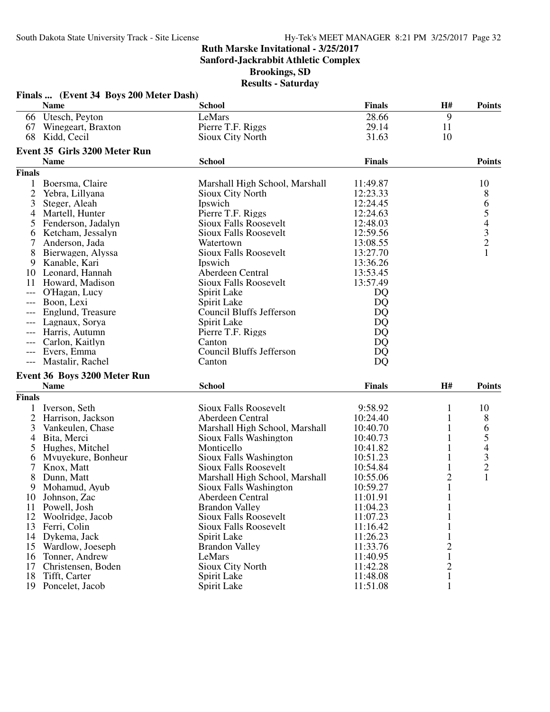**Sanford-Jackrabbit Athletic Complex**

**Brookings, SD**

| <b>Finals</b><br>H#<br><b>Name</b><br><b>School</b><br><b>Points</b><br>9<br>Utesch, Peyton<br>LeMars<br>28.66<br>66<br>Winegeart, Braxton<br>Pierre T.F. Riggs<br>29.14<br>11<br>67<br>68<br>10<br>Kidd, Cecil<br>Sioux City North<br>31.63<br>Event 35 Girls 3200 Meter Run<br><b>Name</b><br><b>School</b><br><b>Finals</b><br><b>Points</b><br><b>Finals</b><br>1<br>Boersma, Claire<br>Marshall High School, Marshall<br>11:49.87<br>10<br>$\overline{c}$<br>12:23.33<br>8<br>Yebra, Lillyana<br><b>Sioux City North</b><br>65432<br>3<br>12:24.45<br>Steger, Aleah<br>Ipswich<br>Pierre T.F. Riggs<br>12:24.63<br>Martell, Hunter<br>4<br><b>Sioux Falls Roosevelt</b><br>12:48.03<br>Fenderson, Jadalyn<br>5<br>12:59.56<br>Ketcham, Jessalyn<br><b>Sioux Falls Roosevelt</b><br>6<br>13:08.55<br>7<br>Anderson, Jada<br>Watertown<br>$\mathbf{1}$<br><b>Sioux Falls Roosevelt</b><br>13:27.70<br>8<br>Bierwagen, Alyssa<br>9<br>Kanable, Kari<br>Ipswich<br>13:36.26<br>Aberdeen Central<br>10 Leonard, Hannah<br>13:53.45<br>Sioux Falls Roosevelt<br>13:57.49<br>11<br>Howard, Madison<br>O'Hagan, Lucy<br>Spirit Lake<br>DQ<br>Boon, Lexi<br>DQ<br>Spirit Lake<br>$---$<br><b>Council Bluffs Jefferson</b><br>Englund, Treasure<br>DQ<br>Lagnaux, Sorya<br>Spirit Lake<br>DQ<br>DQ<br>Harris, Autumn<br>Pierre T.F. Riggs<br>DQ<br>Carlon, Kaitlyn<br>Canton<br><b>Council Bluffs Jefferson</b><br>--- Evers, Emma<br>DQ<br>--- Mastalir, Rachel<br>Canton<br>DQ<br>Event 36 Boys 3200 Meter Run<br><b>Name</b><br><b>School</b><br>H#<br><b>Points</b><br><b>Finals</b><br><b>Finals</b><br>9:58.92<br>Iverson, Seth<br><b>Sioux Falls Roosevelt</b><br>$\mathbf{1}$<br>10<br>8<br>2<br>Harrison, Jackson<br>Aberdeen Central<br>10:24.40<br>$\mathbf{1}$<br>6<br>3<br>Vankeulen, Chase<br>Marshall High School, Marshall<br>10:40.70<br>1<br>54321<br>Bita, Merci<br>10:40.73<br>1<br>4<br>Sioux Falls Washington<br>5<br>Hughes, Mitchel<br>Monticello<br>10:41.82<br>Sioux Falls Washington<br>Mvuyekure, Bonheur<br>10:51.23<br>6<br>7<br>Knox, Matt<br><b>Sioux Falls Roosevelt</b><br>10:54.84<br>1<br>$\overline{c}$<br>8<br>10:55.06<br>Dunn, Matt<br>Marshall High School, Marshall<br>$\mathbf{1}$<br>9<br>Sioux Falls Washington<br>10:59.27<br>Mohamud, Ayub<br>11:01.91<br>Johnson, Zac<br>Aberdeen Central<br>10<br>1<br>11:04.23<br>11<br>Powell, Josh<br><b>Brandon Valley</b><br>1<br><b>Sioux Falls Roosevelt</b><br>12<br>Woolridge, Jacob<br>11:07.23<br>13<br>Ferri, Colin<br>Sioux Falls Roosevelt<br>11:16.42<br>1<br>14<br>Dykema, Jack<br>Spirit Lake<br>11:26.23<br>$\mathbf{1}$<br>$\overline{c}$<br>15<br>11:33.76<br>Wardlow, Joeseph<br><b>Brandon Valley</b><br>11:40.95<br>$\mathbf{1}$<br>16<br>Tonner, Andrew<br>LeMars<br>$\overline{c}$<br>17<br>Christensen, Boden<br>Sioux City North<br>11:42.28<br>18<br>Tifft, Carter<br>Spirit Lake<br>11:48.08<br>1 |    | Finals  (Event 34 Boys 200 Meter Dash) |             |          |   |  |
|------------------------------------------------------------------------------------------------------------------------------------------------------------------------------------------------------------------------------------------------------------------------------------------------------------------------------------------------------------------------------------------------------------------------------------------------------------------------------------------------------------------------------------------------------------------------------------------------------------------------------------------------------------------------------------------------------------------------------------------------------------------------------------------------------------------------------------------------------------------------------------------------------------------------------------------------------------------------------------------------------------------------------------------------------------------------------------------------------------------------------------------------------------------------------------------------------------------------------------------------------------------------------------------------------------------------------------------------------------------------------------------------------------------------------------------------------------------------------------------------------------------------------------------------------------------------------------------------------------------------------------------------------------------------------------------------------------------------------------------------------------------------------------------------------------------------------------------------------------------------------------------------------------------------------------------------------------------------------------------------------------------------------------------------------------------------------------------------------------------------------------------------------------------------------------------------------------------------------------------------------------------------------------------------------------------------------------------------------------------------------------------------------------------------------------------------------------------------------------------------------------------------------------------------------------------------------------------------------------------------------------------------------------------------------------------------------------------------------------------------------------------------------------------------------------------------------------------------------------------------------------------------------------|----|----------------------------------------|-------------|----------|---|--|
|                                                                                                                                                                                                                                                                                                                                                                                                                                                                                                                                                                                                                                                                                                                                                                                                                                                                                                                                                                                                                                                                                                                                                                                                                                                                                                                                                                                                                                                                                                                                                                                                                                                                                                                                                                                                                                                                                                                                                                                                                                                                                                                                                                                                                                                                                                                                                                                                                                                                                                                                                                                                                                                                                                                                                                                                                                                                                                            |    |                                        |             |          |   |  |
|                                                                                                                                                                                                                                                                                                                                                                                                                                                                                                                                                                                                                                                                                                                                                                                                                                                                                                                                                                                                                                                                                                                                                                                                                                                                                                                                                                                                                                                                                                                                                                                                                                                                                                                                                                                                                                                                                                                                                                                                                                                                                                                                                                                                                                                                                                                                                                                                                                                                                                                                                                                                                                                                                                                                                                                                                                                                                                            |    |                                        |             |          |   |  |
|                                                                                                                                                                                                                                                                                                                                                                                                                                                                                                                                                                                                                                                                                                                                                                                                                                                                                                                                                                                                                                                                                                                                                                                                                                                                                                                                                                                                                                                                                                                                                                                                                                                                                                                                                                                                                                                                                                                                                                                                                                                                                                                                                                                                                                                                                                                                                                                                                                                                                                                                                                                                                                                                                                                                                                                                                                                                                                            |    |                                        |             |          |   |  |
|                                                                                                                                                                                                                                                                                                                                                                                                                                                                                                                                                                                                                                                                                                                                                                                                                                                                                                                                                                                                                                                                                                                                                                                                                                                                                                                                                                                                                                                                                                                                                                                                                                                                                                                                                                                                                                                                                                                                                                                                                                                                                                                                                                                                                                                                                                                                                                                                                                                                                                                                                                                                                                                                                                                                                                                                                                                                                                            |    |                                        |             |          |   |  |
|                                                                                                                                                                                                                                                                                                                                                                                                                                                                                                                                                                                                                                                                                                                                                                                                                                                                                                                                                                                                                                                                                                                                                                                                                                                                                                                                                                                                                                                                                                                                                                                                                                                                                                                                                                                                                                                                                                                                                                                                                                                                                                                                                                                                                                                                                                                                                                                                                                                                                                                                                                                                                                                                                                                                                                                                                                                                                                            |    |                                        |             |          |   |  |
|                                                                                                                                                                                                                                                                                                                                                                                                                                                                                                                                                                                                                                                                                                                                                                                                                                                                                                                                                                                                                                                                                                                                                                                                                                                                                                                                                                                                                                                                                                                                                                                                                                                                                                                                                                                                                                                                                                                                                                                                                                                                                                                                                                                                                                                                                                                                                                                                                                                                                                                                                                                                                                                                                                                                                                                                                                                                                                            |    |                                        |             |          |   |  |
|                                                                                                                                                                                                                                                                                                                                                                                                                                                                                                                                                                                                                                                                                                                                                                                                                                                                                                                                                                                                                                                                                                                                                                                                                                                                                                                                                                                                                                                                                                                                                                                                                                                                                                                                                                                                                                                                                                                                                                                                                                                                                                                                                                                                                                                                                                                                                                                                                                                                                                                                                                                                                                                                                                                                                                                                                                                                                                            |    |                                        |             |          |   |  |
|                                                                                                                                                                                                                                                                                                                                                                                                                                                                                                                                                                                                                                                                                                                                                                                                                                                                                                                                                                                                                                                                                                                                                                                                                                                                                                                                                                                                                                                                                                                                                                                                                                                                                                                                                                                                                                                                                                                                                                                                                                                                                                                                                                                                                                                                                                                                                                                                                                                                                                                                                                                                                                                                                                                                                                                                                                                                                                            |    |                                        |             |          |   |  |
|                                                                                                                                                                                                                                                                                                                                                                                                                                                                                                                                                                                                                                                                                                                                                                                                                                                                                                                                                                                                                                                                                                                                                                                                                                                                                                                                                                                                                                                                                                                                                                                                                                                                                                                                                                                                                                                                                                                                                                                                                                                                                                                                                                                                                                                                                                                                                                                                                                                                                                                                                                                                                                                                                                                                                                                                                                                                                                            |    |                                        |             |          |   |  |
|                                                                                                                                                                                                                                                                                                                                                                                                                                                                                                                                                                                                                                                                                                                                                                                                                                                                                                                                                                                                                                                                                                                                                                                                                                                                                                                                                                                                                                                                                                                                                                                                                                                                                                                                                                                                                                                                                                                                                                                                                                                                                                                                                                                                                                                                                                                                                                                                                                                                                                                                                                                                                                                                                                                                                                                                                                                                                                            |    |                                        |             |          |   |  |
|                                                                                                                                                                                                                                                                                                                                                                                                                                                                                                                                                                                                                                                                                                                                                                                                                                                                                                                                                                                                                                                                                                                                                                                                                                                                                                                                                                                                                                                                                                                                                                                                                                                                                                                                                                                                                                                                                                                                                                                                                                                                                                                                                                                                                                                                                                                                                                                                                                                                                                                                                                                                                                                                                                                                                                                                                                                                                                            |    |                                        |             |          |   |  |
|                                                                                                                                                                                                                                                                                                                                                                                                                                                                                                                                                                                                                                                                                                                                                                                                                                                                                                                                                                                                                                                                                                                                                                                                                                                                                                                                                                                                                                                                                                                                                                                                                                                                                                                                                                                                                                                                                                                                                                                                                                                                                                                                                                                                                                                                                                                                                                                                                                                                                                                                                                                                                                                                                                                                                                                                                                                                                                            |    |                                        |             |          |   |  |
|                                                                                                                                                                                                                                                                                                                                                                                                                                                                                                                                                                                                                                                                                                                                                                                                                                                                                                                                                                                                                                                                                                                                                                                                                                                                                                                                                                                                                                                                                                                                                                                                                                                                                                                                                                                                                                                                                                                                                                                                                                                                                                                                                                                                                                                                                                                                                                                                                                                                                                                                                                                                                                                                                                                                                                                                                                                                                                            |    |                                        |             |          |   |  |
|                                                                                                                                                                                                                                                                                                                                                                                                                                                                                                                                                                                                                                                                                                                                                                                                                                                                                                                                                                                                                                                                                                                                                                                                                                                                                                                                                                                                                                                                                                                                                                                                                                                                                                                                                                                                                                                                                                                                                                                                                                                                                                                                                                                                                                                                                                                                                                                                                                                                                                                                                                                                                                                                                                                                                                                                                                                                                                            |    |                                        |             |          |   |  |
|                                                                                                                                                                                                                                                                                                                                                                                                                                                                                                                                                                                                                                                                                                                                                                                                                                                                                                                                                                                                                                                                                                                                                                                                                                                                                                                                                                                                                                                                                                                                                                                                                                                                                                                                                                                                                                                                                                                                                                                                                                                                                                                                                                                                                                                                                                                                                                                                                                                                                                                                                                                                                                                                                                                                                                                                                                                                                                            |    |                                        |             |          |   |  |
|                                                                                                                                                                                                                                                                                                                                                                                                                                                                                                                                                                                                                                                                                                                                                                                                                                                                                                                                                                                                                                                                                                                                                                                                                                                                                                                                                                                                                                                                                                                                                                                                                                                                                                                                                                                                                                                                                                                                                                                                                                                                                                                                                                                                                                                                                                                                                                                                                                                                                                                                                                                                                                                                                                                                                                                                                                                                                                            |    |                                        |             |          |   |  |
|                                                                                                                                                                                                                                                                                                                                                                                                                                                                                                                                                                                                                                                                                                                                                                                                                                                                                                                                                                                                                                                                                                                                                                                                                                                                                                                                                                                                                                                                                                                                                                                                                                                                                                                                                                                                                                                                                                                                                                                                                                                                                                                                                                                                                                                                                                                                                                                                                                                                                                                                                                                                                                                                                                                                                                                                                                                                                                            |    |                                        |             |          |   |  |
|                                                                                                                                                                                                                                                                                                                                                                                                                                                                                                                                                                                                                                                                                                                                                                                                                                                                                                                                                                                                                                                                                                                                                                                                                                                                                                                                                                                                                                                                                                                                                                                                                                                                                                                                                                                                                                                                                                                                                                                                                                                                                                                                                                                                                                                                                                                                                                                                                                                                                                                                                                                                                                                                                                                                                                                                                                                                                                            |    |                                        |             |          |   |  |
|                                                                                                                                                                                                                                                                                                                                                                                                                                                                                                                                                                                                                                                                                                                                                                                                                                                                                                                                                                                                                                                                                                                                                                                                                                                                                                                                                                                                                                                                                                                                                                                                                                                                                                                                                                                                                                                                                                                                                                                                                                                                                                                                                                                                                                                                                                                                                                                                                                                                                                                                                                                                                                                                                                                                                                                                                                                                                                            |    |                                        |             |          |   |  |
|                                                                                                                                                                                                                                                                                                                                                                                                                                                                                                                                                                                                                                                                                                                                                                                                                                                                                                                                                                                                                                                                                                                                                                                                                                                                                                                                                                                                                                                                                                                                                                                                                                                                                                                                                                                                                                                                                                                                                                                                                                                                                                                                                                                                                                                                                                                                                                                                                                                                                                                                                                                                                                                                                                                                                                                                                                                                                                            |    |                                        |             |          |   |  |
|                                                                                                                                                                                                                                                                                                                                                                                                                                                                                                                                                                                                                                                                                                                                                                                                                                                                                                                                                                                                                                                                                                                                                                                                                                                                                                                                                                                                                                                                                                                                                                                                                                                                                                                                                                                                                                                                                                                                                                                                                                                                                                                                                                                                                                                                                                                                                                                                                                                                                                                                                                                                                                                                                                                                                                                                                                                                                                            |    |                                        |             |          |   |  |
|                                                                                                                                                                                                                                                                                                                                                                                                                                                                                                                                                                                                                                                                                                                                                                                                                                                                                                                                                                                                                                                                                                                                                                                                                                                                                                                                                                                                                                                                                                                                                                                                                                                                                                                                                                                                                                                                                                                                                                                                                                                                                                                                                                                                                                                                                                                                                                                                                                                                                                                                                                                                                                                                                                                                                                                                                                                                                                            |    |                                        |             |          |   |  |
|                                                                                                                                                                                                                                                                                                                                                                                                                                                                                                                                                                                                                                                                                                                                                                                                                                                                                                                                                                                                                                                                                                                                                                                                                                                                                                                                                                                                                                                                                                                                                                                                                                                                                                                                                                                                                                                                                                                                                                                                                                                                                                                                                                                                                                                                                                                                                                                                                                                                                                                                                                                                                                                                                                                                                                                                                                                                                                            |    |                                        |             |          |   |  |
|                                                                                                                                                                                                                                                                                                                                                                                                                                                                                                                                                                                                                                                                                                                                                                                                                                                                                                                                                                                                                                                                                                                                                                                                                                                                                                                                                                                                                                                                                                                                                                                                                                                                                                                                                                                                                                                                                                                                                                                                                                                                                                                                                                                                                                                                                                                                                                                                                                                                                                                                                                                                                                                                                                                                                                                                                                                                                                            |    |                                        |             |          |   |  |
|                                                                                                                                                                                                                                                                                                                                                                                                                                                                                                                                                                                                                                                                                                                                                                                                                                                                                                                                                                                                                                                                                                                                                                                                                                                                                                                                                                                                                                                                                                                                                                                                                                                                                                                                                                                                                                                                                                                                                                                                                                                                                                                                                                                                                                                                                                                                                                                                                                                                                                                                                                                                                                                                                                                                                                                                                                                                                                            |    |                                        |             |          |   |  |
|                                                                                                                                                                                                                                                                                                                                                                                                                                                                                                                                                                                                                                                                                                                                                                                                                                                                                                                                                                                                                                                                                                                                                                                                                                                                                                                                                                                                                                                                                                                                                                                                                                                                                                                                                                                                                                                                                                                                                                                                                                                                                                                                                                                                                                                                                                                                                                                                                                                                                                                                                                                                                                                                                                                                                                                                                                                                                                            |    |                                        |             |          |   |  |
|                                                                                                                                                                                                                                                                                                                                                                                                                                                                                                                                                                                                                                                                                                                                                                                                                                                                                                                                                                                                                                                                                                                                                                                                                                                                                                                                                                                                                                                                                                                                                                                                                                                                                                                                                                                                                                                                                                                                                                                                                                                                                                                                                                                                                                                                                                                                                                                                                                                                                                                                                                                                                                                                                                                                                                                                                                                                                                            |    |                                        |             |          |   |  |
|                                                                                                                                                                                                                                                                                                                                                                                                                                                                                                                                                                                                                                                                                                                                                                                                                                                                                                                                                                                                                                                                                                                                                                                                                                                                                                                                                                                                                                                                                                                                                                                                                                                                                                                                                                                                                                                                                                                                                                                                                                                                                                                                                                                                                                                                                                                                                                                                                                                                                                                                                                                                                                                                                                                                                                                                                                                                                                            |    |                                        |             |          |   |  |
|                                                                                                                                                                                                                                                                                                                                                                                                                                                                                                                                                                                                                                                                                                                                                                                                                                                                                                                                                                                                                                                                                                                                                                                                                                                                                                                                                                                                                                                                                                                                                                                                                                                                                                                                                                                                                                                                                                                                                                                                                                                                                                                                                                                                                                                                                                                                                                                                                                                                                                                                                                                                                                                                                                                                                                                                                                                                                                            |    |                                        |             |          |   |  |
|                                                                                                                                                                                                                                                                                                                                                                                                                                                                                                                                                                                                                                                                                                                                                                                                                                                                                                                                                                                                                                                                                                                                                                                                                                                                                                                                                                                                                                                                                                                                                                                                                                                                                                                                                                                                                                                                                                                                                                                                                                                                                                                                                                                                                                                                                                                                                                                                                                                                                                                                                                                                                                                                                                                                                                                                                                                                                                            |    |                                        |             |          |   |  |
|                                                                                                                                                                                                                                                                                                                                                                                                                                                                                                                                                                                                                                                                                                                                                                                                                                                                                                                                                                                                                                                                                                                                                                                                                                                                                                                                                                                                                                                                                                                                                                                                                                                                                                                                                                                                                                                                                                                                                                                                                                                                                                                                                                                                                                                                                                                                                                                                                                                                                                                                                                                                                                                                                                                                                                                                                                                                                                            |    |                                        |             |          |   |  |
|                                                                                                                                                                                                                                                                                                                                                                                                                                                                                                                                                                                                                                                                                                                                                                                                                                                                                                                                                                                                                                                                                                                                                                                                                                                                                                                                                                                                                                                                                                                                                                                                                                                                                                                                                                                                                                                                                                                                                                                                                                                                                                                                                                                                                                                                                                                                                                                                                                                                                                                                                                                                                                                                                                                                                                                                                                                                                                            |    |                                        |             |          |   |  |
|                                                                                                                                                                                                                                                                                                                                                                                                                                                                                                                                                                                                                                                                                                                                                                                                                                                                                                                                                                                                                                                                                                                                                                                                                                                                                                                                                                                                                                                                                                                                                                                                                                                                                                                                                                                                                                                                                                                                                                                                                                                                                                                                                                                                                                                                                                                                                                                                                                                                                                                                                                                                                                                                                                                                                                                                                                                                                                            |    |                                        |             |          |   |  |
|                                                                                                                                                                                                                                                                                                                                                                                                                                                                                                                                                                                                                                                                                                                                                                                                                                                                                                                                                                                                                                                                                                                                                                                                                                                                                                                                                                                                                                                                                                                                                                                                                                                                                                                                                                                                                                                                                                                                                                                                                                                                                                                                                                                                                                                                                                                                                                                                                                                                                                                                                                                                                                                                                                                                                                                                                                                                                                            |    |                                        |             |          |   |  |
|                                                                                                                                                                                                                                                                                                                                                                                                                                                                                                                                                                                                                                                                                                                                                                                                                                                                                                                                                                                                                                                                                                                                                                                                                                                                                                                                                                                                                                                                                                                                                                                                                                                                                                                                                                                                                                                                                                                                                                                                                                                                                                                                                                                                                                                                                                                                                                                                                                                                                                                                                                                                                                                                                                                                                                                                                                                                                                            |    |                                        |             |          |   |  |
|                                                                                                                                                                                                                                                                                                                                                                                                                                                                                                                                                                                                                                                                                                                                                                                                                                                                                                                                                                                                                                                                                                                                                                                                                                                                                                                                                                                                                                                                                                                                                                                                                                                                                                                                                                                                                                                                                                                                                                                                                                                                                                                                                                                                                                                                                                                                                                                                                                                                                                                                                                                                                                                                                                                                                                                                                                                                                                            |    |                                        |             |          |   |  |
|                                                                                                                                                                                                                                                                                                                                                                                                                                                                                                                                                                                                                                                                                                                                                                                                                                                                                                                                                                                                                                                                                                                                                                                                                                                                                                                                                                                                                                                                                                                                                                                                                                                                                                                                                                                                                                                                                                                                                                                                                                                                                                                                                                                                                                                                                                                                                                                                                                                                                                                                                                                                                                                                                                                                                                                                                                                                                                            |    |                                        |             |          |   |  |
|                                                                                                                                                                                                                                                                                                                                                                                                                                                                                                                                                                                                                                                                                                                                                                                                                                                                                                                                                                                                                                                                                                                                                                                                                                                                                                                                                                                                                                                                                                                                                                                                                                                                                                                                                                                                                                                                                                                                                                                                                                                                                                                                                                                                                                                                                                                                                                                                                                                                                                                                                                                                                                                                                                                                                                                                                                                                                                            |    |                                        |             |          |   |  |
|                                                                                                                                                                                                                                                                                                                                                                                                                                                                                                                                                                                                                                                                                                                                                                                                                                                                                                                                                                                                                                                                                                                                                                                                                                                                                                                                                                                                                                                                                                                                                                                                                                                                                                                                                                                                                                                                                                                                                                                                                                                                                                                                                                                                                                                                                                                                                                                                                                                                                                                                                                                                                                                                                                                                                                                                                                                                                                            |    |                                        |             |          |   |  |
|                                                                                                                                                                                                                                                                                                                                                                                                                                                                                                                                                                                                                                                                                                                                                                                                                                                                                                                                                                                                                                                                                                                                                                                                                                                                                                                                                                                                                                                                                                                                                                                                                                                                                                                                                                                                                                                                                                                                                                                                                                                                                                                                                                                                                                                                                                                                                                                                                                                                                                                                                                                                                                                                                                                                                                                                                                                                                                            |    |                                        |             |          |   |  |
|                                                                                                                                                                                                                                                                                                                                                                                                                                                                                                                                                                                                                                                                                                                                                                                                                                                                                                                                                                                                                                                                                                                                                                                                                                                                                                                                                                                                                                                                                                                                                                                                                                                                                                                                                                                                                                                                                                                                                                                                                                                                                                                                                                                                                                                                                                                                                                                                                                                                                                                                                                                                                                                                                                                                                                                                                                                                                                            |    |                                        |             |          |   |  |
|                                                                                                                                                                                                                                                                                                                                                                                                                                                                                                                                                                                                                                                                                                                                                                                                                                                                                                                                                                                                                                                                                                                                                                                                                                                                                                                                                                                                                                                                                                                                                                                                                                                                                                                                                                                                                                                                                                                                                                                                                                                                                                                                                                                                                                                                                                                                                                                                                                                                                                                                                                                                                                                                                                                                                                                                                                                                                                            |    |                                        |             |          |   |  |
|                                                                                                                                                                                                                                                                                                                                                                                                                                                                                                                                                                                                                                                                                                                                                                                                                                                                                                                                                                                                                                                                                                                                                                                                                                                                                                                                                                                                                                                                                                                                                                                                                                                                                                                                                                                                                                                                                                                                                                                                                                                                                                                                                                                                                                                                                                                                                                                                                                                                                                                                                                                                                                                                                                                                                                                                                                                                                                            |    |                                        |             |          |   |  |
|                                                                                                                                                                                                                                                                                                                                                                                                                                                                                                                                                                                                                                                                                                                                                                                                                                                                                                                                                                                                                                                                                                                                                                                                                                                                                                                                                                                                                                                                                                                                                                                                                                                                                                                                                                                                                                                                                                                                                                                                                                                                                                                                                                                                                                                                                                                                                                                                                                                                                                                                                                                                                                                                                                                                                                                                                                                                                                            |    |                                        |             |          |   |  |
|                                                                                                                                                                                                                                                                                                                                                                                                                                                                                                                                                                                                                                                                                                                                                                                                                                                                                                                                                                                                                                                                                                                                                                                                                                                                                                                                                                                                                                                                                                                                                                                                                                                                                                                                                                                                                                                                                                                                                                                                                                                                                                                                                                                                                                                                                                                                                                                                                                                                                                                                                                                                                                                                                                                                                                                                                                                                                                            |    |                                        |             |          |   |  |
|                                                                                                                                                                                                                                                                                                                                                                                                                                                                                                                                                                                                                                                                                                                                                                                                                                                                                                                                                                                                                                                                                                                                                                                                                                                                                                                                                                                                                                                                                                                                                                                                                                                                                                                                                                                                                                                                                                                                                                                                                                                                                                                                                                                                                                                                                                                                                                                                                                                                                                                                                                                                                                                                                                                                                                                                                                                                                                            |    |                                        |             |          |   |  |
|                                                                                                                                                                                                                                                                                                                                                                                                                                                                                                                                                                                                                                                                                                                                                                                                                                                                                                                                                                                                                                                                                                                                                                                                                                                                                                                                                                                                                                                                                                                                                                                                                                                                                                                                                                                                                                                                                                                                                                                                                                                                                                                                                                                                                                                                                                                                                                                                                                                                                                                                                                                                                                                                                                                                                                                                                                                                                                            |    |                                        |             |          |   |  |
|                                                                                                                                                                                                                                                                                                                                                                                                                                                                                                                                                                                                                                                                                                                                                                                                                                                                                                                                                                                                                                                                                                                                                                                                                                                                                                                                                                                                                                                                                                                                                                                                                                                                                                                                                                                                                                                                                                                                                                                                                                                                                                                                                                                                                                                                                                                                                                                                                                                                                                                                                                                                                                                                                                                                                                                                                                                                                                            | 19 | Poncelet, Jacob                        | Spirit Lake | 11:51.08 | 1 |  |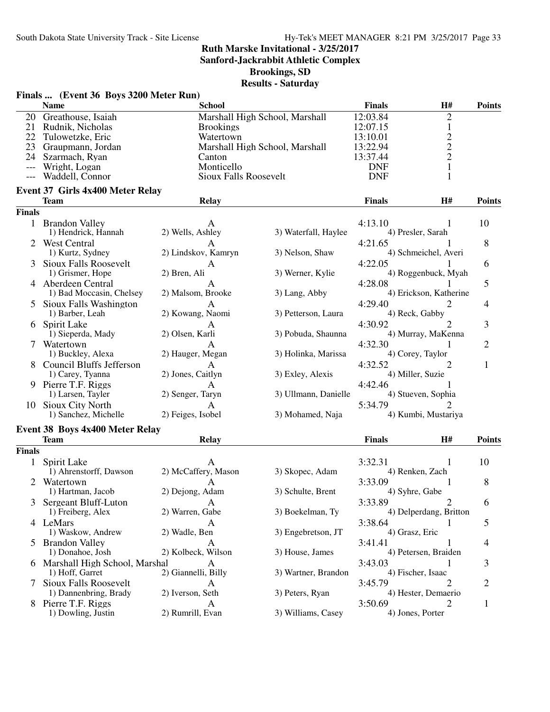**Sanford-Jackrabbit Athletic Complex**

**Brookings, SD**

|               | Finals  (Event 36 Boys 3200 Meter Run)<br><b>Name</b> | wwww<br><b>School</b>        | vacar ua v                     | <b>Finals</b>                | H#                     | <b>Points</b>  |
|---------------|-------------------------------------------------------|------------------------------|--------------------------------|------------------------------|------------------------|----------------|
|               | 20 Greathouse, Isaiah                                 |                              | Marshall High School, Marshall | 12:03.84                     | $\overline{2}$         |                |
|               | 21 Rudnik, Nicholas                                   | <b>Brookings</b>             |                                | 12:07.15                     | $\mathbf{1}$           |                |
|               | 22 Tulowetzke, Eric                                   | Watertown                    |                                | 13:10.01                     |                        |                |
| 23            | Graupmann, Jordan                                     |                              | Marshall High School, Marshall | 13:22.94                     | $\frac{2}{2}$          |                |
| 24            | Szarmach, Ryan                                        | Canton                       |                                | 13:37.44                     |                        |                |
|               | Wright, Logan                                         | Monticello                   |                                | <b>DNF</b>                   | $\mathbf{1}$           |                |
|               | Waddell, Connor                                       | <b>Sioux Falls Roosevelt</b> |                                | <b>DNF</b>                   | 1                      |                |
|               | <b>Event 37 Girls 4x400 Meter Relay</b>               |                              |                                |                              |                        |                |
|               | <b>Team</b>                                           | <b>Relay</b>                 |                                | <b>Finals</b>                | H#                     | <b>Points</b>  |
| <b>Finals</b> |                                                       |                              |                                |                              |                        |                |
|               | 1 Brandon Valley<br>1) Hendrick, Hannah               | 2) Wells, Ashley             | 3) Waterfall, Haylee           | 4:13.10<br>4) Presler, Sarah |                        | 10             |
|               | 2 West Central                                        |                              |                                | 4:21.65                      |                        | 8              |
|               | 1) Kurtz, Sydney                                      | 2) Lindskov, Kamryn          | 3) Nelson, Shaw                |                              | 4) Schmeichel, Averi   |                |
| 3             | <b>Sioux Falls Roosevelt</b>                          | A                            |                                | 4:22.05                      |                        | 6              |
|               | 1) Grismer, Hope                                      | 2) Bren, Ali                 | 3) Werner, Kylie               |                              | 4) Roggenbuck, Myah    |                |
|               | 4 Aberdeen Central                                    | A                            |                                | 4:28.08                      |                        | 5              |
|               | 1) Bad Moccasin, Chelsey                              | 2) Malsom, Brooke            | 3) Lang, Abby                  |                              | 4) Erickson, Katherine |                |
|               | 5 Sioux Falls Washington                              | A                            |                                | 4:29.40                      | 2                      | 4              |
|               | 1) Barber, Leah                                       | 2) Kowang, Naomi             | 3) Petterson, Laura            | 4) Reck, Gabby               |                        |                |
|               | 6 Spirit Lake                                         | A                            |                                | 4:30.92                      | 2                      | 3              |
|               | 1) Sieperda, Mady                                     | 2) Olsen, Karli              | 3) Pobuda, Shaunna             |                              | 4) Murray, MaKenna     |                |
|               | 7 Watertown                                           | А                            |                                | 4:32.30                      | 1                      | $\overline{2}$ |
|               | 1) Buckley, Alexa                                     | 2) Hauger, Megan             | 3) Holinka, Marissa            | 4) Corey, Taylor             |                        |                |
|               | 8 Council Bluffs Jefferson                            | A                            |                                | 4:32.52                      | 2                      | $\mathbf{1}$   |
|               | 1) Carey, Tyanna                                      | 2) Jones, Caitlyn            | 3) Exley, Alexis               | 4) Miller, Suzie             |                        |                |
|               | 9 Pierre T.F. Riggs                                   | A                            |                                | 4:42.46                      |                        |                |
|               | 1) Larsen, Tayler                                     | 2) Senger, Taryn             | 3) Ullmann, Danielle           | 4) Stueven, Sophia           |                        |                |
|               | 10 Sioux City North                                   | A                            |                                | 5:34.79                      |                        |                |
|               | 1) Sanchez, Michelle                                  | 2) Feiges, Isobel            | 3) Mohamed, Naja               |                              | 4) Kumbi, Mustariya    |                |
|               | Event 38 Boys 4x400 Meter Relay                       |                              |                                |                              |                        |                |
|               | <b>Team</b>                                           | <b>Relay</b>                 |                                | <b>Finals</b>                | H#                     | <b>Points</b>  |
| <b>Finals</b> |                                                       |                              |                                |                              |                        |                |
| $\mathbf{1}$  | Spirit Lake                                           | A                            |                                | 3:32.31                      | 1                      | 10             |
|               | 1) Ahrenstorff, Dawson                                | 2) McCaffery, Mason          | 3) Skopec, Adam                | 4) Renken, Zach              |                        |                |
|               | 2 Watertown                                           | A                            |                                | 3:33.09                      | 1                      | 8              |
|               | 1) Hartman, Jacob                                     | 2) Dejong, Adam              | 3) Schulte, Brent              | 4) Syhre, Gabe               |                        |                |
|               | Sergeant Bluff-Luton                                  | A                            |                                | 3:33.89                      | 2                      | 6              |
|               | 1) Freiberg, Alex                                     | 2) Warren, Gabe              | 3) Boekelman, Ty               |                              | 4) Delperdang, Britton |                |
|               | 4 LeMars                                              | A                            |                                | 3:38.64                      |                        | 5              |
|               | 1) Waskow, Andrew                                     | 2) Wadle, Ben                | 3) Engebretson, JT             | 4) Grasz, Eric               |                        |                |
|               | 5 Brandon Valley                                      | A                            |                                | 3:41.41                      |                        | 4              |
|               | 1) Donahoe, Josh                                      | 2) Kolbeck, Wilson           | 3) House, James                | 4) Petersen, Braiden         |                        |                |
|               | 6 Marshall High School, Marshal                       | A                            |                                | 3:43.03                      |                        | 3              |
|               | 1) Hoff, Garret                                       | 2) Giannelli, Billy          | 3) Wartner, Brandon            | 4) Fischer, Isaac            |                        |                |
|               | <b>Sioux Falls Roosevelt</b>                          | A                            |                                | 3:45.79                      |                        | 2              |
|               | 1) Dannenbring, Brady                                 | 2) Iverson, Seth             | 3) Peters, Ryan                | 4) Hester, Demaerio          |                        |                |
|               | 8 Pierre T.F. Riggs                                   | A                            |                                | 3:50.69                      |                        | 1              |
|               | 1) Dowling, Justin                                    | 2) Rumrill, Evan             | 3) Williams, Casey             | 4) Jones, Porter             |                        |                |